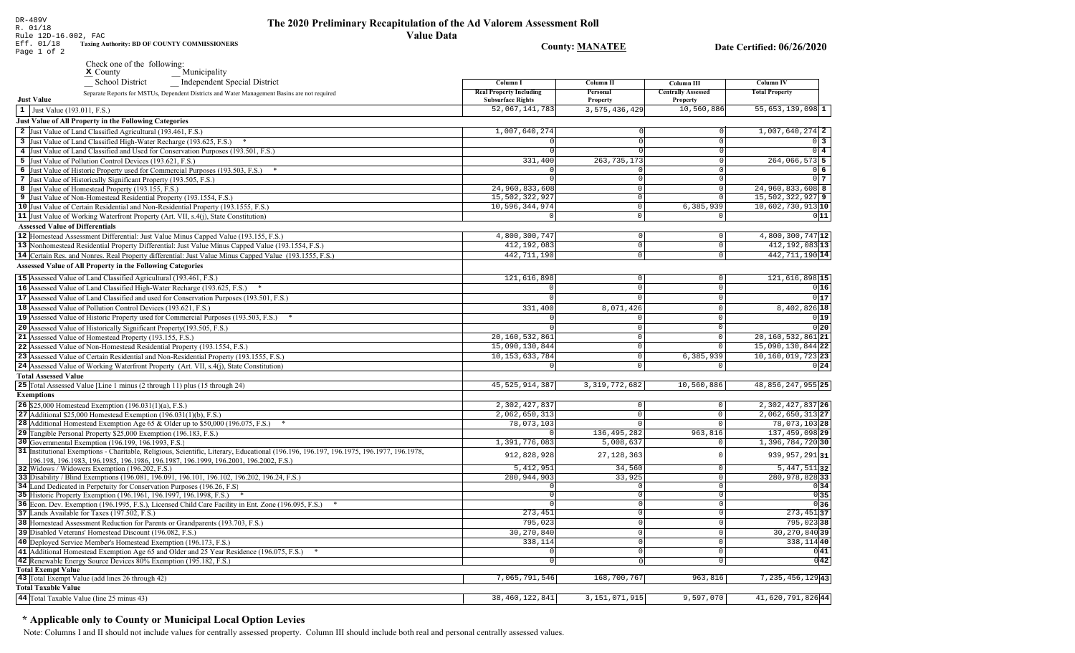Rule 12D-16.002, FAC Eff. 01/18 **Taxing Authority: BD OF COUNTY COMMISSIONERS County: MANATEE** Date Certified: 06/26/2020 Page 1 of 2 Check one of the following: Municipality  $x$  County **School District** Independent Special District Column I **Column II** Column III **Column IV Real Property Including** Personal **Centrally Assessed Total Property** Separate Reports for MSTUs, Dependent Districts and Water Management Basins are not required **Just Value Subsurface Rights** Property Property 52,067,141,783 3, 575, 436, 429 10,560,886  $55,653,139,098$ <sup>1</sup>  $\vert 1 \vert$  Just Value (193.011, F.S.) **Just Value of All Property in the Following Categories** 2 Just Value of Land Classified Agricultural (193.461, F.S.) 1,007,640,274  $1.007.640.274$  2 3 Just Value of Land Classified High-Water Recharge (193.625, F.S.) \*  $\Omega$  $0\vert 3$ 4 Just Value of Land Classified and Used for Conservation Purposes (193.501, F.S.)  $\overline{0}$  4 5 Just Value of Pollution Control Devices (193.621, F.S.) 331,400 263, 735, 173 264,066,573 5 6 Just Value of Historic Property used for Commercial Purposes (193.503, F.S.) \*  $0<sub>6</sub>$ 7 Just Value of Historically Significant Property (193.505, F.S.)  $\Omega$  $017$ 24.960.833.608 24.960.833.608 8 8 Just Value of Homestead Property (193.155, F.S.)  $\Omega$ 15,502,322,927 15,502,322,927 9 9 Just Value of Non-Homestead Residential Property (193.1554, F.S.)  $\Omega$ 10 Just Value of Certain Residential and Non-Residential Property (193.1555, F.S.) 10,596,344,974 6,385,939 10,602,730,913 10  $\circ$ 11 Just Value of Working Waterfront Property (Art. VII, s.4(j), State Constitution)  $\overline{\circ}$  $011$ **Assessed Value of Differentials** 12 |Homestead Assessment Differential: Just Value Minus Capped Value (193.155, F.S.) 4,800,300,747  $4,800,300,747$ <sup>12</sup>  $\Omega$  $\Omega$  $412, 192, 083$ <sup>13</sup> 13 Nonhomestead Residential Property Differential: Just Value Minus Capped Value (193.1554, F.S.) 412,192,083  $\mathbb O$ 14 Certain Res. and Nonres. Real Property differential: Just Value Minus Capped Value (193.1555, F.S.) 442, 711, 190  $\overline{0}$ 442, 711, 190 14 **Assessed Value of All Property in the Following Categories** 15 Assessed Value of Land Classified Agricultural (193.461, F.S.) 121,616,898  $\Omega$ 121,616,898 15 16 Assessed Value of Land Classified High-Water Recharge (193.625, F.S.)  $0|16|$  $\Omega$  $\Omega$  $0|17$ **17** Assessed Value of Land Classified and used for Conservation Purposes (193.501, F.S.)  $\mathbf{0}$  $\Omega$  $\Omega$ 18 Assessed Value of Pollution Control Devices (193.621, F.S.) 331,400 8,071,426 8,402,826 18 19 Assessed Value of Historic Property used for Commercial Purposes (193.503, F.S.) \*  $0|19|$ 20 Assessed Value of Historically Significant Property (193.505, F.S.)  $0|20|$  $\cap$  $\Omega$  $20, 160, 532, 861$ 21 Assessed Value of Homestead Property (193.155, F.S.) 20, 160, 532, 861 21  $\cap$ 22 Assessed Value of Non-Homestead Residential Property (193.1554, F.S.) 15,090,130,844  $\Omega$ 15,090,130,844 22 10, 153, 633, 784  $10, 160, 019, 723$  23 23 Assessed Value of Certain Residential and Non-Residential Property (193.1555, F.S.)  $6, 385, 939$  $\cap$ 24 Assessed Value of Working Waterfront Property (Art. VII, s.4(j), State Constitution) 0  $0|24|$ **Total Assessed Value** 25 Total Assessed Value [Line 1 minus (2 through 11) plus (15 through 24) 45, 525, 914, 387 3, 319, 772, 682 10,560,886 48,856,247,955 25 **Exemptions** 2,302,427,837  $2.302, 427, 837$  26 **26** \$25,000 Homestead Exemption  $(196.031(1)(a), F.S.)$  $\Omega$ 27 Additional \$25,000 Homestead Exemption  $(196.031(1)(b), F.S.)$  $2,062,650,313$  $\Omega$ 2,062,650,313 27  $\sqrt{2}$ 78,073,103 78,073,103 28 28 Additional Homestead Exemption Age 65 & Older up to \$50,000 (196.075, F.S.) \*  $\cap$  $\sqrt{ }$ 29 Tangible Personal Property \$25,000 Exemption (196.183, F.S.) 136, 495, 282 963,816 137,459,098 29 30 Governmental Exemption (196.199, 196.1993, F.S.) 1,391,776,083  $5.008.637$ 1,396,784,72030 31 Institutional Exemptions - Charitable, Religious, Scientific, Literary, Educational (196.196, 196.197, 196.1977, 196.1977, 196.1978, 912,828,928 27, 128, 363 939, 957, 291 31  $\Omega$ [196.198, 196.1983, 196.1985, 196.1986, 196.1987, 196.1999, 196.2001, 196.2002, F.S.)  $5,412,951$ 34.560  $5,447,511$  32 32 Widows / Widowers Exemption (196.202, F.S.)  $\Omega$ 33 Disability / Blind Exemptions (196.081, 196.091, 196.101, 196.102, 196.202, 196.24, F.S.) 280, 944, 903 33,925  $\overline{0}$ 280,978,828 33 34 Land Dedicated in Perpetuity for Conservation Purposes (196.26, F.S)  $\overline{\circ}$  $0|34|$  $\cap$  $0|35|$ 35 Historic Property Exemption (196.1961, 196.1997, 196.1998, F.S.) \*  $\circ$  $\Omega$ 36 Econ. Dev. Exemption (196.1995, F.S.), Licensed Child Care Facility in Ent. Zone (196.095, F.S.) \*  $\overline{0}$  $0|36|$  $273,451$ 37 37 Lands Available for Taxes (197.502, F.S.) 273,451  $\overline{0}$ 38 Homestead Assessment Reduction for Parents or Grandparents (193.703, F.S.) 795,023 795,02338 0 30,270,840  $30, 270, 840$  39 39 Disabled Veterans' Homestead Discount (196.082, F.S.)  $\Omega$ 40 Deployed Service Member's Homestead Exemption (196.173, F.S.) 338,114  $\cap$ 338, 114 40  $0|41|$ 41 Additional Homestead Exemption Age 65 and Older and 25 Year Residence (196.075, F.S.) \*  $\overline{0}$  $\Omega$  $\overline{0|42|}$ 42 Renewable Energy Source Devices 80% Exemption (195.182, F.S.)  $\overline{0}$  $\overline{0}$ **Total Exempt Value** 43 Total Exempt Value (add lines 26 through 42) 7,065,791,546 168,700,767  $963, 816$  $7, 235, 456, 129$  43 **Total Taxable Value** 

38, 460, 122, 841

3, 151, 071, 915

9,597,070

41,620,791,82644

## \* Applicable only to County or Municipal Local Option Levies

44 Total Taxable Value (line 25 minus 43)

DR-489V

R. 01/18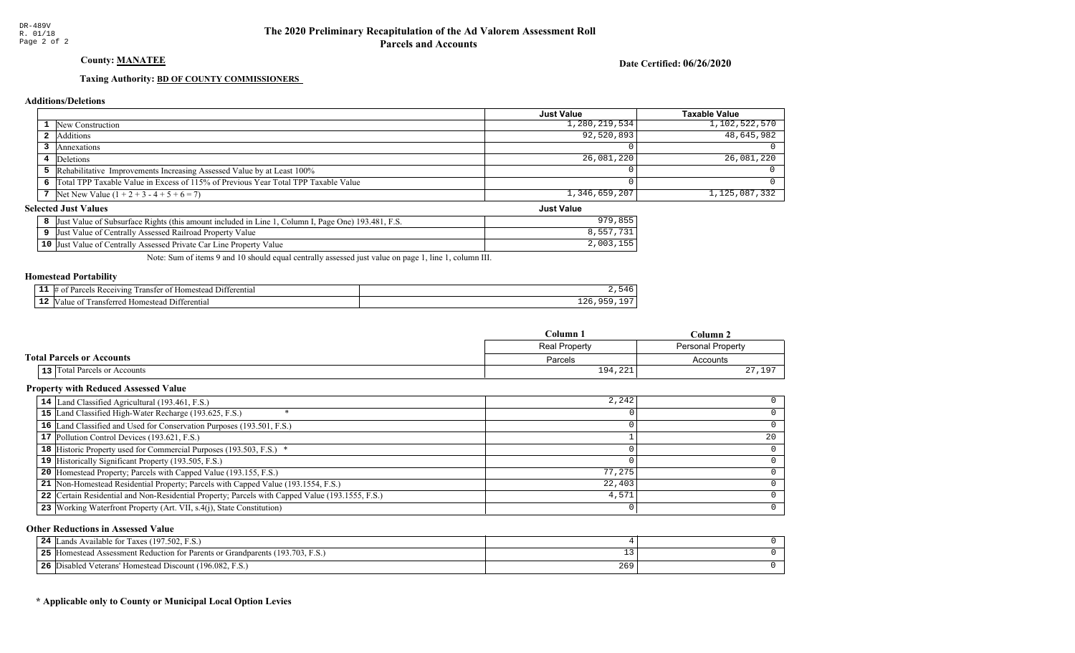## County: **MANATEE**

Date Certified: 06/26/2020

Just Value

#### Taxing Authority: **BD OF COUNTY COMMISSIONERS**

#### Additions/Deletions

|                                                                                      | Just Value    | Taxable Value |
|--------------------------------------------------------------------------------------|---------------|---------------|
| <b>1</b> New Construction                                                            | 1,280,219,534 | 1,102,522,570 |
| <b>2</b> Additions                                                                   | 92,520,893    | 48,645,982    |
| Annexations                                                                          |               |               |
| 4 Deletions                                                                          | 26,081,220    | 26,081,220    |
| 5 Rehabilitative Improvements Increasing Assessed Value by at Least 100%             |               |               |
| 6 Total TPP Taxable Value in Excess of 115% of Previous Year Total TPP Taxable Value |               |               |
| 7 Net New Value $(1 + 2 + 3 - 4 + 5 + 6 = 7)$                                        | 1,346,659,207 | 1,125,087,332 |

#### **Selected Just Values**

| Value of Subsurface Rights (this amount included in Line 1, Column I, Page One) 193.481, F.S.<br> Just | 27 Q   |
|--------------------------------------------------------------------------------------------------------|--------|
| Value of Centrally Assessed Railroad Property Value<br><b>Uust</b>                                     |        |
| <b>10</b> Just Value of Centrally Assessed Private Car Line Property Value                             | 2,003, |

Note: Sum of items 9 and 10 should equal centrally assessed just value on page 1, line 1, column III.

#### Homestead Portability

| Receiving<br>יחו?<br>. ranster<br>. | 11 ا (<br>erential<br>Ωì<br>domes, |                           |
|-------------------------------------|------------------------------------|---------------------------|
| *≏rre,<br>domester<br>an<br>. .     | - 111<br>terentia                  | $\sim$ $\sim$<br>-- - - - |

|                                  | Column 1<br>$C$ olumn $2$ |                   |
|----------------------------------|---------------------------|-------------------|
|                                  | Real Property             | Personal Property |
| <b>Total Parcels or Accounts</b> | Parcels                   | Accounts          |
| 13 Total Parcels or Accounts     | 194,221                   | 27,197            |

#### Property with Reduced Assessed Value

| 14 Land Classified Agricultural (193.461, F.S.)                                                 | 2,242  |    |
|-------------------------------------------------------------------------------------------------|--------|----|
| 15 Land Classified High-Water Recharge (193.625, F.S.)                                          |        |    |
| 16 Land Classified and Used for Conservation Purposes (193.501, F.S.)                           |        |    |
| 17 Pollution Control Devices (193.621, F.S.)                                                    |        | 20 |
| 18 Historic Property used for Commercial Purposes (193.503, F.S.) *                             |        |    |
| 19 Historically Significant Property (193.505, F.S.)                                            |        |    |
| <b>20</b> Homestead Property; Parcels with Capped Value (193.155, F.S.)                         | 77,275 |    |
| 21 Non-Homestead Residential Property; Parcels with Capped Value (193.1554, F.S.)               | 22,403 |    |
| 22 Certain Residential and Non-Residential Property; Parcels with Capped Value (193.1555, F.S.) | 4,571  |    |
| 23 Working Waterfront Property (Art. VII, s.4(j), State Constitution)                           |        | 0  |

#### Other Reductions in Assessed Value

| s Available for Taxes (197.502, F.S.)<br>24<br>ands                                       |     |  |
|-------------------------------------------------------------------------------------------|-----|--|
| (193.703, F.S.,<br>25<br>I Homestead Assessment Reduction for Parents or Grandparents (1) |     |  |
| 26<br>Disabled Veterans' Homestead Discount (196.082, F.S.)                               | 265 |  |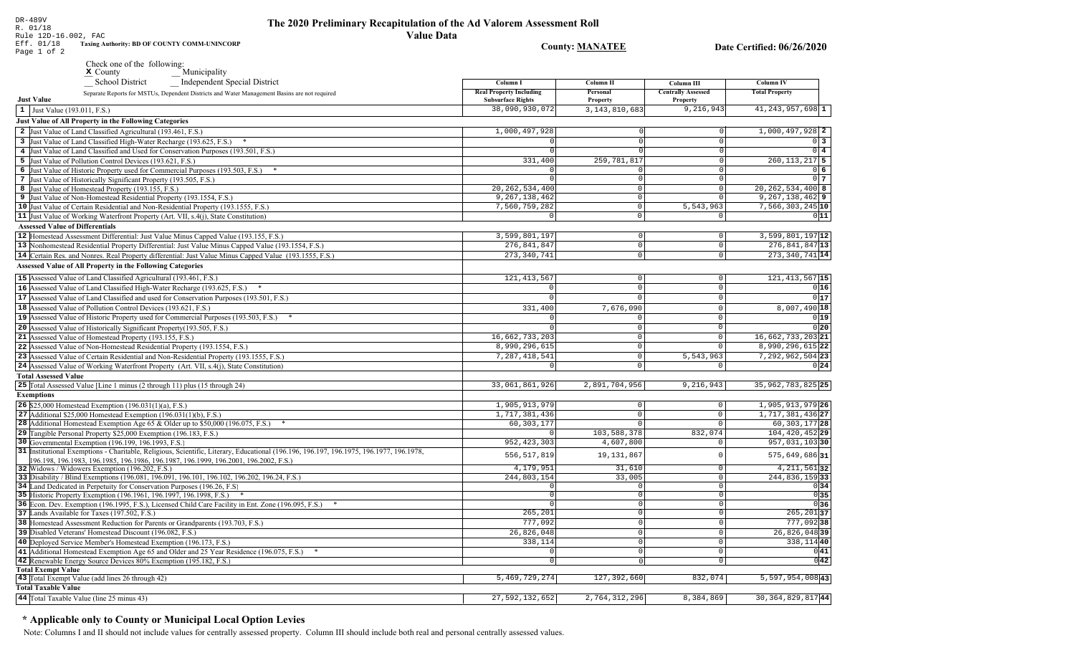DR-489V The 2020 Preliminary Recapitulation of the Ad Valorem Assessment Roll R. 01/18 Rule 12D-16.002, FAC **Value Data** Eff. 01/18 Taxing Authority: BD OF COUNTY COMM-UNINCORP **County: MANATEE** Date Certified: 06/26/2020 Page 1 of 2 Check one of the following: Municipality  $\boldsymbol{\times}$  County School District Independent Special District **Column I Column II** Column III **Real Property Including** Personal **Centrally Assessed** Separate Reports for MSTUs, Dependent Districts and Water Management Basins are not required **Just Value Subsurface Rights** Property Property  $\vert 1 \vert$  Just Value (193.011, F.S.) 38,090,930,072 3, 143, 810, 683 9,216,943 **Just Value of All Property in the Following Categories** 2 Just Value of Land Classified Agricultural (193.461, F.S.) 1,000,497,928 3 Just Value of Land Classified High-Water Recharge (193.625, F.S.) \*  $\Omega$ 4 Just Value of Land Classified and Used for Conservation Purposes (193.501, F.S.) 5 Just Value of Pollution Control Devices (193.621, F.S.) 331,400 259, 781, 817 6 Just Value of Historic Property used for Commercial Purposes (193.503, F.S.) \* 7 Just Value of Historically Significant Property (193.505, F.S.)  $\Omega$ 20, 262, 534, 400 8 Just Value of Homestead Property (193.155, F.S.)  $\Omega$ 9, 267, 138, 462 9 Just Value of Non-Homestead Residential Property (193.1554, F.S.)  $\Omega$ 10 Just Value of Certain Residential and Non-Residential Property (193.1555, F.S.) 7,560,759,282  $\circ$ 5,543,963 11 Just Value of Working Waterfront Property (Art. VII, s.4(j), State Constitution)  $\overline{\circ}$ **Assessed Value of Differentials** 3,599,801,197 12 Homestead Assessment Differential: Just Value Minus Capped Value (193.155, F.S.)  $\Omega$  $\Omega$ 276,841,847 13 Nonhomestead Residential Property Differential: Just Value Minus Capped Value (193.1554, F.S.)  $\mathbb O$ 14 Certain Res. and Nonres. Real Property differential: Just Value Minus Capped Value (193.1555, F.S.) 273, 340, 741  $\overline{0}$ **Assessed Value of All Property in the Following Categories** 15 Assessed Value of Land Classified Agricultural (193.461, F.S.) 121, 413, 567  $\Omega$  $\Omega$ 16 Assessed Value of Land Classified High-Water Recharge (193.625, F.S.)  $\Omega$  $\Omega$ **17** Assessed Value of Land Classified and used for Conservation Purposes (193.501, F.S.)  $|0|$  $\mathbf{0}$  $\overline{0}$ 18 Assessed Value of Pollution Control Devices (193.621, F.S.) 331,400 7,676,090 19 Assessed Value of Historic Property used for Commercial Purposes (193.503, F.S.) \* 20 Assessed Value of Historically Significant Property (193.505, F.S.)  $\cap$  $\Omega$ 16, 662, 733, 203 21 Assessed Value of Homestead Property (193.155, F.S.)  $\Omega$ 22 Assessed Value of Non-Homestead Residential Property (193.1554, F.S.) 8,990,296,615  $\Omega$ 23 Assessed Value of Certain Residential and Non-Residential Property (193.1555, F.S.) 7, 287, 418, 541 5,543,963  $\Omega$ 24 Assessed Value of Working Waterfront Property (Art. VII, s.4(j), State Constitution)  $\mathbf 0$  $\mathsf{O}$  $\mathbf 0$ **Total Assessed Value** 25 Total Assessed Value [Line 1 minus (2 through 11) plus (15 through 24) 33,061,861,926 2,891,704,956  $9,216,943$ **Exemptions 26** \$25,000 Homestead Exemption  $(196.031(1)(a), F.S.)$ 1,905,913,979  $\cap$  $\Omega$ 27 Additional \$25,000 Homestead Exemption  $(196.031(1)(b), F.S.)$ 1,717,381,436  $\Omega$  $\sqrt{ }$  $60, 303, 177$ 28 Additional Homestead Exemption Age 65 & Older up to \$50,000 (196.075, F.S.) \*  $\cap$ 29 Tangible 832,074 30 Governme 31 Institution  $\circ$ 196.198, 32 Widows  $\Omega$ 33 Disability  $\overline{0}$ 34 Land Ded  $\overline{\circ}$ 35 Historic P  $\circ$ 36 Econ. Dev  $\overline{0}$ 

**Column IV** 

**Total Property** 

41, 243, 957, 698 1

 $1,000,497,928$  2

 $260, 113, 217$  5

 $20, 262, 534, 400$  8

 $9,267,138,462$  9

 $7,566,303,245$  10

 $3,599,801,197$ <sup>12</sup>

 $276,841,847$ <sup>13</sup>

 $273,340,741$  14

121, 413, 567 15

8,007,490 18

16,662,733,203 21

 $8,990,296,615$  22

7,292,962,504 23

35, 962, 783, 825 25

1,905,913,979 26

1,717,381,436 27

 $60, 303, 177$  28

104, 420, 452 29

957,031,10330

 $575,649,686$ |31

244,836,15933

 $\overline{0}$ 

0

 $\overline{0}$ 

 $\overline{0}$ 

 $\overline{0}$ 

 $4,211,561$  32

777,09238

338, 114 40

 $26,826,048$ 39

 $0|34|$ 

 $0|35|$ 

 $0|36|$  $\overline{265,201}$ 37

 $0|41|$ 

 $0<sup>3</sup>$ 

 $0\overline{4}$ 

06

 $0<sub>7</sub>$ 

 $011$ 

 $0|16|$ 

 $0|17$ 

 $0|19|$ 

 $0|20|$ 

 $0|24|$ 

| 29 Tangible Personal Property \$25,000 Exemption (196.183, F.S.)                                                                                                                                                                 |               | 103,588,37  |
|----------------------------------------------------------------------------------------------------------------------------------------------------------------------------------------------------------------------------------|---------------|-------------|
| <b>30</b> Governmental Exemption (196.199, 196.1993, F.S.)                                                                                                                                                                       | 952, 423, 303 | 4,607,80    |
| 31 Institutional Exemptions - Charitable, Religious, Scientific, Literary, Educational (196.196, 196.197, 196.1975, 196.1977, 196.1978,<br>[196.198, 196.1983, 196.1985, 196.1986, 196.1987, 196.1999, 196.2001, 196.2002, F.S.) | 556, 517, 819 | 19, 131, 86 |
| <b>32</b> Widows / Widowers Exemption (196.202, F.S.)                                                                                                                                                                            | 4,179,951     | 31,61       |
| 33 Disability / Blind Exemptions (196.081, 196.091, 196.101, 196.102, 196.202, 196.24, F.S.)                                                                                                                                     | 244,803,154   | 33,00       |
| 34 Land Dedicated in Perpetuity for Conservation Purposes (196.26, F.S.                                                                                                                                                          |               |             |
| 35 Historic Property Exemption (196.1961, 196.1997, 196.1998, F.S.)                                                                                                                                                              |               |             |
| 36 Econ. Dev. Exemption (196.1995, F.S.), Licensed Child Care Facility in Ent. Zone (196.095, F.S.)                                                                                                                              |               |             |
| 37 Lands Available for Taxes (197.502, F.S.)                                                                                                                                                                                     | 265,201       |             |
| 38 Homestead Assessment Reduction for Parents or Grandparents (193.703, F.S.)                                                                                                                                                    | 777.092       |             |
| 39 Disabled Veterans' Homestead Discount (196.082, F.S.)                                                                                                                                                                         | 26,826,048    |             |
| 40 Deployed Service Member's Homestead Exemption (196.173, F.S.)                                                                                                                                                                 | 338,114       |             |
| 41 Additional Homestead Exemption Age 65 and Older and 25 Year Residence (196.075, F.S.)                                                                                                                                         |               |             |
| 42 Denovable Energy Source Doviges $90\%$ Examples (105.182 E.S.)                                                                                                                                                                |               |             |

| <b>42</b> Renewable Energy Source Devices 80% Exemption (195.182, F.S.) |                |               |           | 0 42                          |  |
|-------------------------------------------------------------------------|----------------|---------------|-----------|-------------------------------|--|
| <b>Total Exempt Value</b>                                               |                |               |           |                               |  |
| 43 Total Exempt Value (add lines 26 through 42)                         | 5,469,729,274  | 127,392,660   | 832,074   | $5,597,954,008$ <sup>43</sup> |  |
| <b>Total Taxable Value</b>                                              |                |               |           |                               |  |
| 44 Total Taxable Value (line 25 minus 43)                               | 27,592,132,652 | 2,764,312,296 | 8,384,869 | $30, 364, 829, 817$ 44        |  |
|                                                                         |                |               |           |                               |  |

## \* Applicable only to County or Municipal Local Option Levies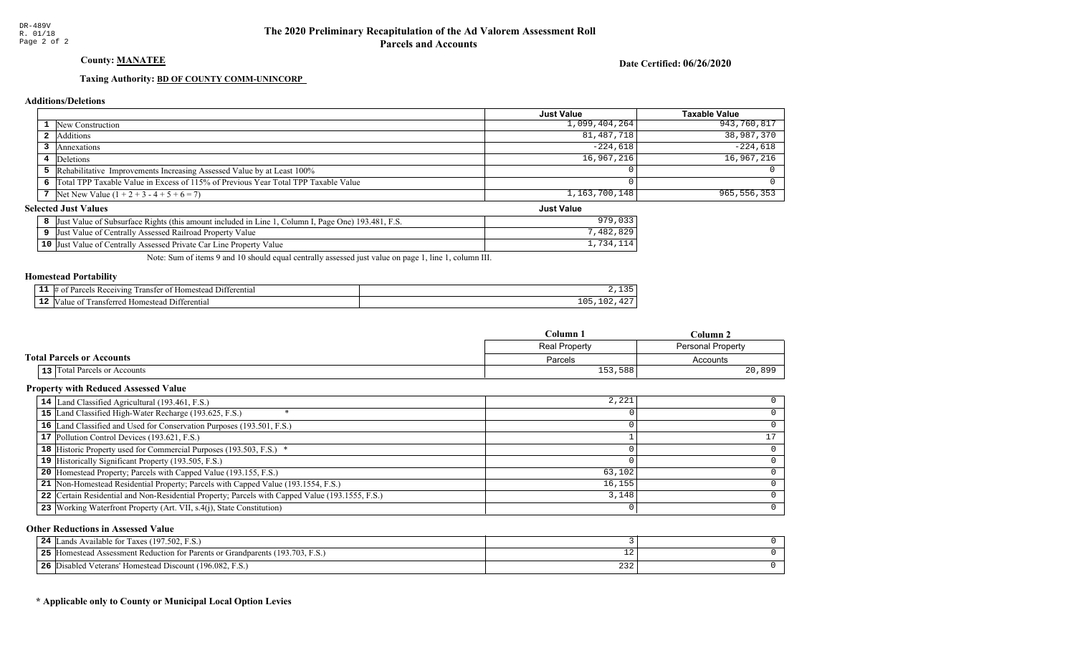## County: **MANATEE**

Date Certified: 06/26/2020

Just Value

#### Taxing Authority: **BD OF COUNTY COMM-UNINCORP**

#### Additions/Deletions

|                                                                                      | <b>Just Value</b> | <b>Taxable Value</b> |
|--------------------------------------------------------------------------------------|-------------------|----------------------|
| New Construction                                                                     | 1,099,404,264     | 943,760,817          |
| Additions                                                                            | 81,487,718        | 38,987,370           |
| Annexations                                                                          | $-224.618$        | $-224,618$           |
| 4 Deletions                                                                          | 16,967,216        | 16,967,216           |
| 5 Rehabilitative Improvements Increasing Assessed Value by at Least 100%             |                   |                      |
| 6 Total TPP Taxable Value in Excess of 115% of Previous Year Total TPP Taxable Value |                   |                      |
| 7 Net New Value $(1 + 2 + 3 - 4 + 5 + 6 = 7)$                                        | 1,163,700,148     | 965,556,353          |

#### **Selected Just Values**

| Value of Subsurface Rights (this amount included in Line 1<br><sup>1</sup> , Column I, Page One) 193.481, F.S.<br> Just | $\circ$<br>070 |
|-------------------------------------------------------------------------------------------------------------------------|----------------|
| Value of Centrally Assessed Railroad Property Value<br> Just                                                            | 829<br>.482    |
| 10 Just Value of Centrally Assessed Private Car Line Property Value                                                     | 734            |

Note: Sum of items 9 and 10 should equal centrally assessed just value on page 1, line 1, column III.

#### Homestead Portability

|    | nn<br>eiving<br>הבזי<br>enn: |                                      |
|----|------------------------------|--------------------------------------|
| -- | rans<br>י הי<br>ent.         | $\sim$ $\sim$<br>ᅩ◡<br>$\sim$ $\sim$ |

|                                  | Column <sub>1</sub><br>Column 2 |                          |  |
|----------------------------------|---------------------------------|--------------------------|--|
|                                  | <b>Real Property</b>            | <b>Personal Property</b> |  |
| <b>Total Parcels or Accounts</b> | Parcels                         | Accounts                 |  |
| 13 Total Parcels or Accounts     | 153,588                         | 20,899                   |  |

#### Property with Reduced Assessed Value

| 14 Land Classified Agricultural (193.461, F.S.)                                                 | 2,221  |   |
|-------------------------------------------------------------------------------------------------|--------|---|
| 15 Land Classified High-Water Recharge (193.625, F.S.)                                          |        |   |
| 16 Land Classified and Used for Conservation Purposes (193.501, F.S.)                           |        |   |
| 17 Pollution Control Devices (193.621, F.S.)                                                    |        |   |
| 18 Historic Property used for Commercial Purposes (193.503, F.S.) *                             |        |   |
| 19 Historically Significant Property (193.505, F.S.)                                            |        |   |
| <b>20</b> Homestead Property; Parcels with Capped Value (193.155, F.S.)                         | 63,102 |   |
| 21 Non-Homestead Residential Property; Parcels with Capped Value (193.1554, F.S.)               | 16,155 |   |
| 22 Certain Residential and Non-Residential Property; Parcels with Capped Value (193.1555, F.S.) | 3,148  |   |
| 23   Working Waterfront Property (Art. VII, s.4(j), State Constitution)                         |        | 0 |

#### Other Reductions in Assessed Value

| 24        | Lands Available for Taxes (197.502, F.S.)                                   |                             |  |
|-----------|-----------------------------------------------------------------------------|-----------------------------|--|
| つち<br>- - | [Homestead Assessment Reduction for Parents or Grandparents (193.703, F.S.) |                             |  |
| 26        | Disabled Veterans' Homestead Discount (196.082, F.S.)                       | $\sim$ $\sim$ $\sim$<br>232 |  |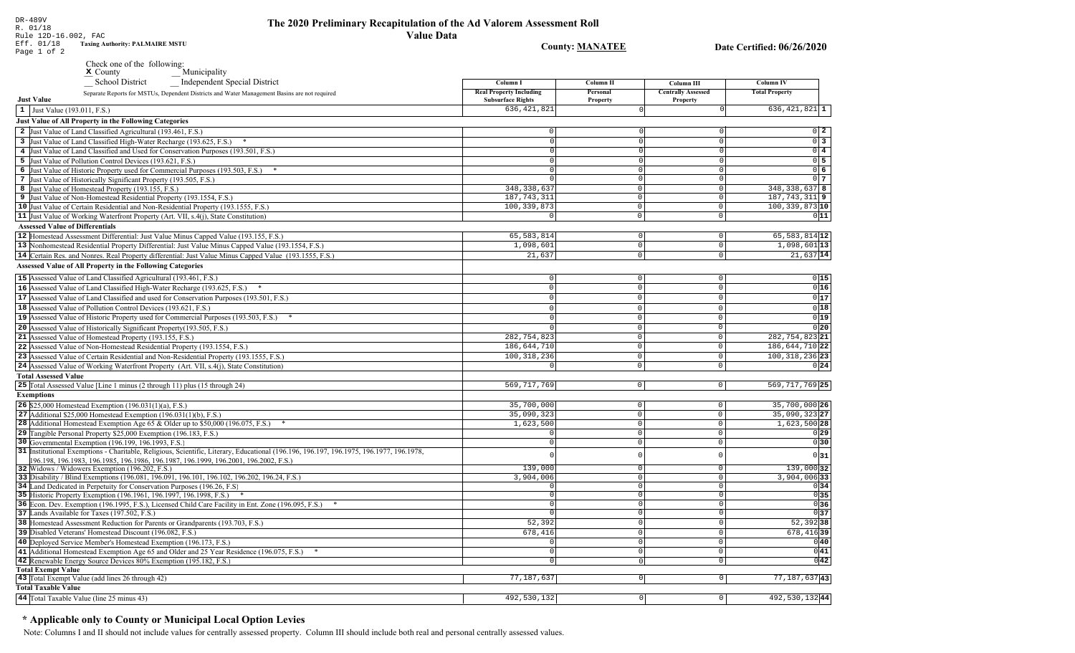# The 2020 Preliminary Recapitulation of the Ad Valorem Assessment Roll

**Value Data Taxing Authority: PALMAIRE MSTU County: MANATEE** Date Certified: 06/26/2020 Page 1 of 2 Check one of the following:  $M$  Municipality **School District** Independent Special District Column I **Column II** Column III **Column IV Real Property Including** Personal **Centrally Assessed Total Property** Separate Reports for MSTUs, Dependent Districts and Water Management Basins are not required **Just Value Subsurface Rights** Property Property 636, 421, 821  $636, 421, 821$ <sup>1</sup>  $\vert 1 \vert$  Just Value (193.011, F.S.) **Just Value of All Property in the Following Categories** 2 Just Value of Land Classified Agricultural (193.461, F.S.)  $\Omega$  $0\quad 2$ 3 Just Value of Land Classified High-Water Recharge (193.625, F.S.) \*  $0\overline{3}$  $\Omega$  $\Omega$ 4 Just Value of Land Classified and Used for Conservation Purposes (193.501, F.S.)  $0\sqrt{4}$ 5 Just Value of Pollution Control Devices (193.621, F.S.)  $0\overline{5}$  $\Omega$ 6 Just Value of Historic Property used for Commercial Purposes (193.503, F.S.) \*  $0\overline{6}$ 7 Just Value of Historically Significant Property (193.505, F.S.)  $0<sub>7</sub>$  $\Omega$ 348.338.637 348, 338, 637 8 8 Just Value of Homestead Property (193.155, F.S.)  $\cap$  $187, 743, 311$  9 187, 743, 311 9 Just Value of Non-Homestead Residential Property (193.1554, F.S.)  $\Omega$ 10 Just Value of Certain Residential and Non-Residential Property (193.1555, F.S.) 100, 339, 873  $\circ$  $100, 339, 873$  10 11 Just Value of Working Waterfront Property (Art. VII, s.4(j), State Constitution)  $\overline{\circ}$  $011$  $\overline{0}$ **Assessed Value of Differentials** 65, 583, 814 65, 583, 814 12 12 Homestead Assessment Differential: Just Value Minus Capped Value (193.155, F.S.)  $\Omega$  $\Omega$ 1,098,601  $1,098,601$ <sup>13</sup> 13 Nonhomestead Residential Property Differential: Just Value Minus Capped Value (193.1554, F.S.)  $\mathbb O$  $\Omega$ 14 Certain Res. and Nonres. Real Property differential: Just Value Minus Capped Value (193.1555, F.S.)  $21.637$  $\overline{0}$  $21,637$  14 **Assessed Value of All Property in the Following Categories** 15 Assessed Value of Land Classified Agricultural (193.461, F.S.)  $\Omega$  $\Omega$  $0|15$ 16 Assessed Value of Land Classified High-Water Recharge (193.625, F.S.)  $0|16$  $\mathbb O$  $\Omega$  $\Omega$  $0|17$ **17** Assessed Value of Land Classified and used for Conservation Purposes (193.501, F.S.)  $|0|$  $\mathbf{0}$  $\overline{0}$  $0|18$ 18 Assessed Value of Pollution Control Devices (193.621, F.S.)  $\Omega$  $\cap$  $\Omega$  $0|19|$ 19 Assessed Value of Historic Property used for Commercial Purposes (193.503, F.S.)  $\Omega$  $\Omega$ 20 Assessed Value of Historically Significant Property (193.505, F.S.)  $0|20|$  $\cap$  $\Omega$ 282,754,823 21 Assessed Value of Homestead Property (193.155, F.S.) 282, 754, 823 21  $\cap$ 22 Assessed Value of Non-Homestead Residential Property (193.1554, F.S.) 186,644,710  $\Omega$ 186, 644, 710 22 100, 318, 236  $100, 318, 236$  23 23 Assessed Value of Certain Residential and Non-Residential Property (193.1555, F.S.)  $\cap$  $\Omega$ 24 Assessed Value of Working Waterfront Property (Art. VII, s.4(j), State Constitution)  $0|24|$  $\mathbf{0}$  $\circ$ **Total Assessed Value** 25 Total Assessed Value [Line 1 minus (2 through 11) plus (15 through 24) 569, 717, 769  $\overline{0}$  $|0|$ 569, 717, 769 25 **Exemptions** 35,700,000 **26** \$25,000 Homestead Exemption  $(196.031(1)(a), F.S.)$  $\overline{0}$ 35,700,000 26  $\cap$ 35,090,323 27 27 Additional \$25,000 Homestead Exemption  $(196.031(1)(b), F.S.)$ 35,090,323  $\circ$  $\sqrt{ }$  $1,623,500$  $1,623,500$  28 28 Additional Homestead Exemption Age 65 & Older up to \$50,000 (196.075, F.S.) \*  $\overline{0}$  $\cap$ 29 Tangible Personal Property \$25,000 Exemption (196.183, F.S.)  $\overline{0}$  $\circ$  $\Omega$ 30 Governmental Exemption (196.199, 196.1993, F.S.)  $\overline{\circ}$  $\overline{\circ}$ 31 Institutional Exemptions - Charitable, Religious, Scientific, Literary, Educational (196.196, 196.197, 196.1977, 196.1977, 196.1978,  $\circ$  $0|31$ 196.198, 196.1983, 196.1985, 196.1986, 196.1987, 196.1999, 196.2001, 196.2002, F.S.)  $139,000$  32 32 Widows / Widowers Exemption (196.202, F.S.) 139,000  $\overline{0}$ 33 Disability / Blind Exemptions (196.081, 196.091, 196.101, 196.102, 196.202, 196.24, F.S.) 3,904,006  $\overline{0}$  $3,904,006$  33 34 Land Dedicated in Perpetuity for Conservation Purposes (196.26, F.S)  $\overline{\circ}$  $\cap$  $\begin{array}{c|c}\n\hline\n0 & 35 \\
\hline\n0 & 36\n\end{array}$ 35 Historic Property Exemption (196.1961, 196.1997, 196.1998, F.S.) \*  $\Omega$  $\circ$ 36 Econ. Dev. Exemption (196.1995, F.S.), Licensed Child Care Facility in Ent. Zone (196.095, F.S.) \*  $\sqrt{ }$  $\overline{0}$ 37 Lands Available for Taxes (197.502, F.S.)  $\overline{0}$ 38 Homestead Assessment Reduction for Parents or Grandparents (193.703, F.S.)  $52.392$  $52,392$  38 0 678,416 678, 416 39

 $\sqrt{29}$ 

 $0|30|$ 

 $0|34|$ 

 $0|37$ 

 $0|40|$ 

 $0|41|$ 

 $\overline{0|42|}$ 

 $77, 187, 637$  43

492,530,13244

 $\overline{0}$ 

 $\overline{0}$ 

 $\overline{\circ}$ 

 $\overline{\phantom{0}}$ 

 $\boxed{0}$ 

 $\overline{\circ}$ 

 $\overline{0}$ 

 $\Omega$ 

 $\Omega$ 

 $\overline{0}$ 

77,187,637

492,530,132

### \* Applicable only to County or Municipal Local Option Levies

41 Additional Homestead Exemption Age 65 and Older and 25 Year Residence (196.075, F.S.) \*

39 Disabled Veterans' Homestead Discount (196.082, F.S.)

43 Total Exempt Value (add lines 26 through 42)

44 Total Taxable Value (line 25 minus 43)

**Total Exempt Value** 

**Total Taxable Value** 

40 Deployed Service Member's Homestead Exemption (196.173, F.S.)

42 Renewable Energy Source Devices 80% Exemption (195.182, F.S.)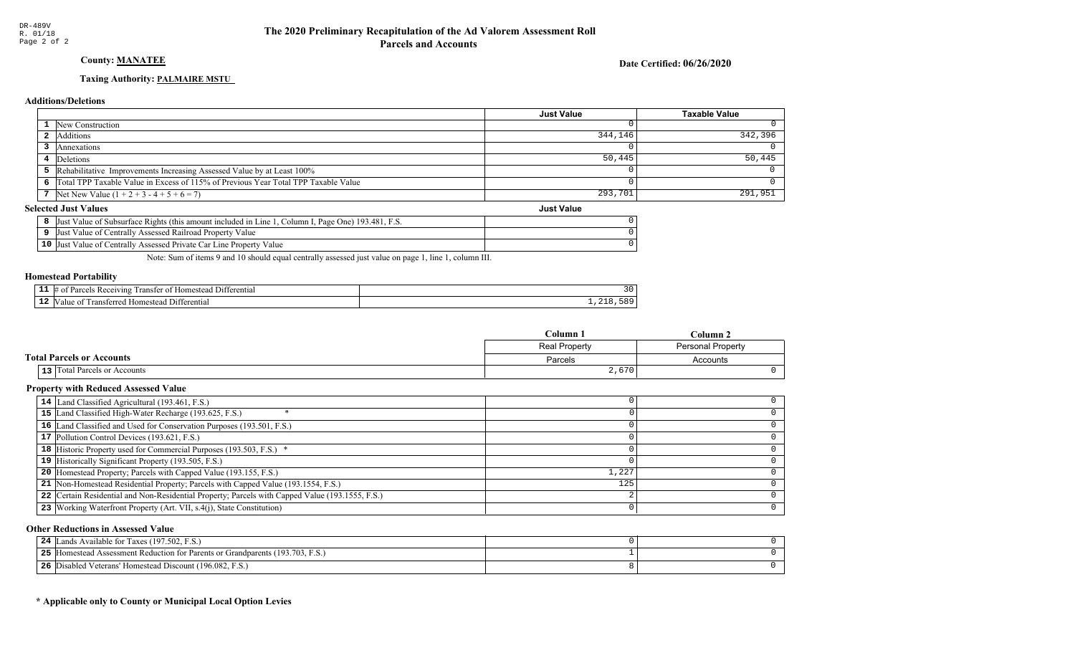## **County: MANATEE**

Date Certified: 06/26/2020

## Taxing Authority: PALMAIRE MSTU

#### **Additions/Deletions**

|                                                                                      | Just Value        | <b>Taxable Value</b> |
|--------------------------------------------------------------------------------------|-------------------|----------------------|
| 1 New Construction                                                                   |                   | 0                    |
| <b>2</b> Additions                                                                   | 344,146           | 342,396              |
| 3 Annexations                                                                        |                   |                      |
| Deletions                                                                            | 50,445            | 50,445               |
| 5 Rehabilitative Improvements Increasing Assessed Value by at Least 100%             |                   |                      |
| 6 Total TPP Taxable Value in Excess of 115% of Previous Year Total TPP Taxable Value |                   |                      |
| 7 Net New Value $(1 + 2 + 3 - 4 + 5 + 6 = 7)$                                        | 293,701           | 291,951              |
| lected Just Values                                                                   | <b>Just Value</b> |                      |

#### **Selected Just Values**

| Column I, Page One) 193.481, F.S.<br>Just Value of Subsurface Rights (this amount included in Line 1) |  |
|-------------------------------------------------------------------------------------------------------|--|
| Just Value of Centrally Assessed Railroad Property Value                                              |  |
| 10 Just Value of Centrally Assessed Private Car Line Property Value                                   |  |

Note: Sum of items 9 and 10 should equal centrally assessed just value on page 1, line 1, column III.

## **Homestead Portability**

| - -<br>-- | <b>CONTRACTOR</b><br>erentia.<br>$\gamma$ ving $\Gamma$<br>omes.<br>ranstei<br>$\Omega$<br>steac<br>ан<br> | .J L |
|-----------|------------------------------------------------------------------------------------------------------------|------|
| . .       | erential<br>ווכי<br>ılık<br>rdomes                                                                         |      |

|                                     | Column 1      | Column 2                 |
|-------------------------------------|---------------|--------------------------|
|                                     | Real Property | <b>Personal Property</b> |
| <b>Total Parcels or Accounts</b>    | Parcels       | Accounts                 |
| <b>13</b> Total Parcels or Accounts | 2,670         |                          |

## **Property with Reduced Assessed Value**

| 14 Land Classified Agricultural (193.461, F.S.)                                                 |       |  |
|-------------------------------------------------------------------------------------------------|-------|--|
| 15 Land Classified High-Water Recharge (193.625, F.S.)                                          |       |  |
| 16 Land Classified and Used for Conservation Purposes (193.501, F.S.)                           |       |  |
| 17 Pollution Control Devices (193.621, F.S.)                                                    |       |  |
| 18 Historic Property used for Commercial Purposes (193.503, F.S.) *                             |       |  |
| 19 Historically Significant Property (193.505, F.S.)                                            |       |  |
| <b>20</b> Homestead Property; Parcels with Capped Value (193.155, F.S.)                         | 1,227 |  |
| 21 Non-Homestead Residential Property; Parcels with Capped Value (193.1554, F.S.)               | 125   |  |
| 22 Certain Residential and Non-Residential Property; Parcels with Capped Value (193.1555, F.S.) |       |  |
| 23 Working Waterfront Property (Art. VII, s.4(j), State Constitution)                           |       |  |

#### **Other Reductions in Assessed Value**

| 24<br>Lands Available for Taxes (197.502, F.S.)                                      |  |
|--------------------------------------------------------------------------------------|--|
| 25<br>If IHomestead Assessment Reduction for Parents or Grandparents (193.703, F.S.) |  |
| 26<br>Disabled Veterans' Homestead Discount (196.082, F.S.)                          |  |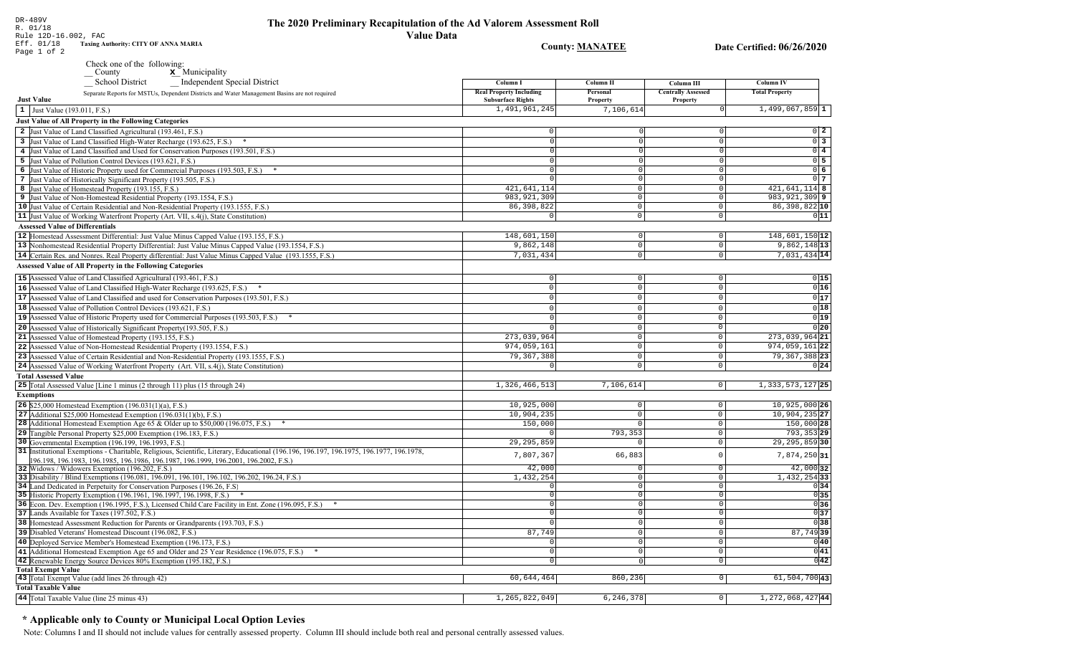DR-489V

R. 01/18

#### The 2020 Preliminary Recapitulation of the Ad Valorem Assessment Roll **Value Data**

Rule 12D-16.002, FAC **Taxing Authority: CITY OF ANNA MARIA** Eff. 01/18 **County: MANATEE** Date Certified: 06/26/2020 Page 1 of 2 Check one of the following:  $\underline{\mathbf{x}}$  Municipality County School District Independent Special District Column I **Column II** Column III **Column IV Real Property Including** Personal **Centrally Assessed Total Property** Separate Reports for MSTUs, Dependent Districts and Water Management Basins are not required **Just Value Subsurface Rights** Property Property 1,491,961,245 7,106,614  $1,499,067,859$ <sup>1</sup>  $\vert 1 \vert$  Just Value (193.011, F.S.) **Just Value of All Property in the Following Categories** 2 Just Value of Land Classified Agricultural (193.461, F.S.)  $\Omega$  $0\quad 2$ 3 Just Value of Land Classified High-Water Recharge (193.625, F.S.) \*  $0\overline{3}$  $\Omega$  $\Omega$ 4 Just Value of Land Classified and Used for Conservation Purposes (193.501, F.S.)  $0\vert 4$ 5 Just Value of Pollution Control Devices (193.621, F.S.)  $0\overline{5}$  $\Omega$ 6 Just Value of Historic Property used for Commercial Purposes (193.503, F.S.) \*  $0\overline{6}$ 7 Just Value of Historically Significant Property (193.505, F.S.)  $0<sub>7</sub>$  $\Omega$  $421.641.114$  $421,641,114$  8 8 Just Value of Homestead Property (193.155, F.S.)  $\Omega$ 983, 921, 309 983, 921, 309 9 9 Just Value of Non-Homestead Residential Property (193.1554, F.S.)  $\Omega$ 10 Just Value of Certain Residential and Non-Residential Property (193.1555, F.S.) 86, 398, 822  $\circ$ 86,398,822 10 11 Just Value of Working Waterfront Property (Art. VII, s.4(j), State Constitution)  $\overline{\circ}$  $011$  $\overline{0}$ **Assessed Value of Differentials** 148,601,150 12 148,601,150 12 Homestead Assessment Differential: Just Value Minus Capped Value (193.155, F.S.)  $\Omega$  $\Omega$  $9,862,148$ <sup>13</sup> 13 Nonhomestead Residential Property Differential: Just Value Minus Capped Value (193.1554, F.S.) 9,862,148  $\mathbb O$  $\Omega$ 14 Certain Res. and Nonres. Real Property differential: Just Value Minus Capped Value (193.1555, F.S.) 7.031.434  $\overline{0}$ 7,031,434 14 **Assessed Value of All Property in the Following Categories** 15 Assessed Value of Land Classified Agricultural (193.461, F.S.)  $\Omega$  $\Omega$  $0|15$ 16 Assessed Value of Land Classified High-Water Recharge (193.625, F.S.)  $0|16$  $\mathbb O$  $\Omega$  $\Omega$  $0|17$ **17** Assessed Value of Land Classified and used for Conservation Purposes (193.501, F.S.)  $|0|$  $\mathbf{0}$  $\overline{0}$  $0|18$ 18 Assessed Value of Pollution Control Devices (193.621, F.S.)  $\Omega$  $\cap$  $\Omega$  $0|19|$ 19 Assessed Value of Historic Property used for Commercial Purposes (193.503, F.S.) \*  $\Omega$  $\Omega$  $\overline{0|20}$ 20 Assessed Value of Historically Significant Property (193.505, F.S.)  $\cap$  $\Omega$ 273,039,964 21 Assessed Value of Homestead Property (193.155, F.S.) 273,039,964 21  $\cap$ 22 Assessed Value of Non-Homestead Residential Property (193.1554, F.S.) 974,059,161  $\Omega$ 974,059,16122 79, 367, 388 79, 367, 388 23 23 Assessed Value of Certain Residential and Non-Residential Property (193.1555, F.S.)  $\cap$  $\Omega$ 24 Assessed Value of Working Waterfront Property (Art. VII, s.4(j), State Constitution)  $0|24|$  $\mathbf{0}$  $\circ$ **Total Assessed Value** 25 Total Assessed Value [Line 1 minus (2 through 11) plus (15 through 24) 1,326,466,513 7,106,614  $|0|$ 1, 333, 573, 127 25 **Exemptions** 10,925,000 **26** \$25,000 Homestead Exemption  $(196.031(1)(a), F.S.)$  $\overline{0}$  $10,925,000$  26  $10,904,235$  27 27 Additional \$25,000 Homestead Exemption  $(196.031(1)(b), F.S.)$ 10,904,235  $\circ$  $\sqrt{2}$  $150,000$  $150,000$  28 28 Additional Homestead Exemption Age 65 & Older up to \$50,000 (196.075, F.S.) \*  $\overline{0}$  $\sqrt{ }$ 29 Tangible Personal Property \$25,000 Exemption (196.183, F.S.) 793,353  $\circ$ 793, 353 29 30 Governmental Exemption (196.199, 196.1993, F.S.) 29, 295, 859  $\overline{\circ}$  $29, 295, 859$  30 31 Institutional Exemptions - Charitable, Religious, Scientific, Literary, Educational (196.196, 196.197, 196.1977, 196.1977, 196.1978, 7,807,367 66,883  $\circ$ 7,874,250 31 196.198, 196.1983, 196.1985, 196.1986, 196.1987, 196.1999, 196.2001, 196.2002, F.S.) 42,000  $42,000$  32 32 Widows / Widowers Exemption (196.202, F.S.)  $\Omega$ 33 Disability / Blind Exemptions (196.081, 196.091, 196.101, 196.102, 196.202, 196.24, F.S.) 1,432,254  $\overline{0}$ 1,432,254 33 34 Land Dedicated in Perpetuity for Conservation Purposes (196.26, F.S)  $\cap$  $\overline{\circ}$  $0|34|$  $\begin{array}{c|c}\n\hline\n0 & 35 \\
\hline\n0 & 36\n\end{array}$ 35 Historic Property Exemption (196.1961, 196.1997, 196.1998, F.S.) \*  $\Omega$  $\circ$ 36 Econ. Dev. Exemption (196.1995, F.S.), Licensed Child Care Facility in Ent. Zone (196.095, F.S.) \*  $\sqrt{ }$  $\overline{0}$ 37 Lands Available for Taxes (197.502, F.S.)  $\overline{0}$  $0|37$ 38 Homestead Assessment Reduction for Parents or Grandparents (193.703, F.S.)  $\sqrt{38}$  $\overline{0}$ 87,749 39 Disabled Veterans' Homestead Discount (196.082, F.S.) 87,74939  $\overline{0}$ 40 Deployed Service Member's Homestead Exemption (196.173, F.S.)  $\overline{0}$  $0|40|$  $\Omega$  $\overline{\circ}$  $0|41|$ 41 Additional Homestead Exemption Age 65 and Older and 25 Year Residence (196.075, F.S.) \*  $\Omega$  $\overline{0|42|}$ 42 Renewable Energy Source Devices 80% Exemption (195.182, F.S.)  $\overline{0}$  $\overline{0}$ **Total Exempt Value** 

 $61,504,700$  43 43 Total Exempt Value (add lines 26 through 42) 60,644,464 860,236  $\boxed{0}$ **Total Taxable Value** 44 Total Taxable Value (line 25 minus 43) 1,265,822,049  $6, 246, 378$  $|0|$ 1, 272, 068, 427 44

## \* Applicable only to County or Municipal Local Option Levies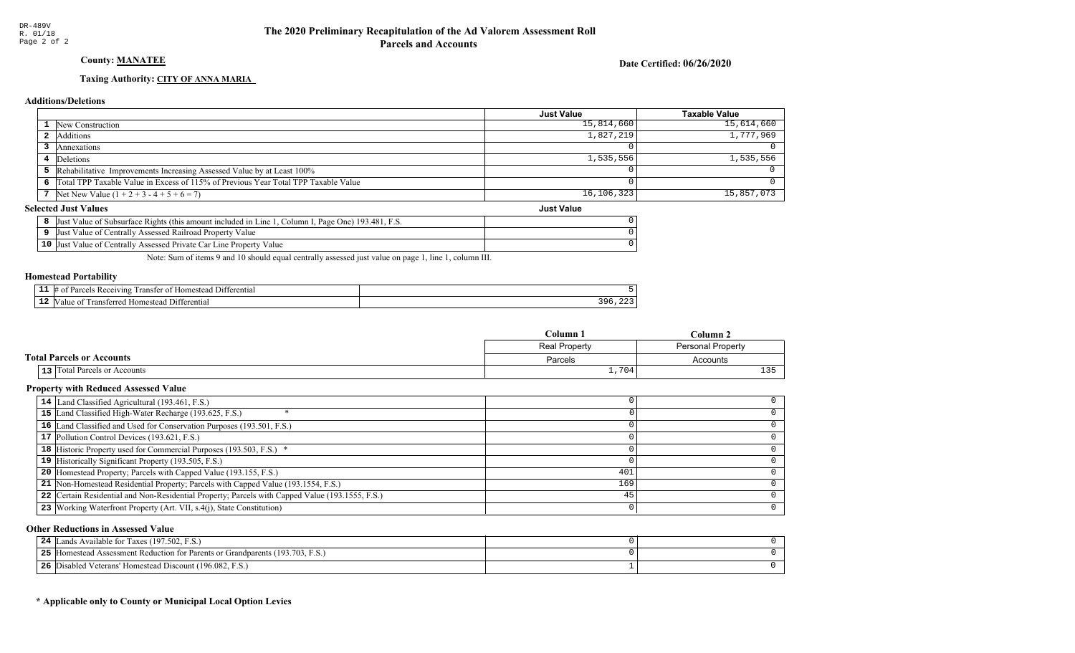## County: **MANATEE**

Date Certified: 06/26/2020

Just Value

#### Taxing Authority: CITY OF ANNA MARIA

#### Additions/Deletions

|                                                                                      | <b>Just Value</b> | Taxable Value |
|--------------------------------------------------------------------------------------|-------------------|---------------|
| <b>1</b> New Construction                                                            | 15,814,660        | $15,614,660$  |
| 2 Additions                                                                          | 1,827,219         | 1,777,969     |
| Annexations                                                                          |                   |               |
| 4 Deletions                                                                          | 1,535,556         | 1,535,556     |
| <b>5</b> Rehabilitative Improvements Increasing Assessed Value by at Least 100%      |                   |               |
| 6 Total TPP Taxable Value in Excess of 115% of Previous Year Total TPP Taxable Value |                   |               |
| 7 Net New Value $(1 + 2 + 3 - 4 + 5 + 6 = 7)$                                        | 16,106,323        | $15,857,073$  |

#### **Selected Just Values**

|                 | Value of Subsurface Rights (this amount included in Line)<br>. Page One) 193.481. F.S.<br>∴olumn 1<br>IJust |  |
|-----------------|-------------------------------------------------------------------------------------------------------------|--|
|                 | Value of Centrally Assessed Railroad Property Value<br>Just                                                 |  |
| 10 <sup>7</sup> | Value of Centrally Assessed Private Car Line Property Value<br> Just                                        |  |

Note: Sum of items 9 and 10 should equal centrally assessed just value on page 1, line 1, column III.

#### Homestead Portability

| - -<br>. | entia:<br>71n9    |      |
|----------|-------------------|------|
| - 4      | entiai<br>ונ<br>ш | $ -$ |

|                                     | Column 1      | Column 2                 |
|-------------------------------------|---------------|--------------------------|
|                                     | Real Property | <b>Personal Property</b> |
| <b>Total Parcels or Accounts</b>    | Parcels       | Accounts                 |
| <b>13</b> Total Parcels or Accounts | 1,704         | 125                      |

#### Property with Reduced Assessed Value

| 14 Land Classified Agricultural (193.461, F.S.)                                                 |     |  |
|-------------------------------------------------------------------------------------------------|-----|--|
| 15 Land Classified High-Water Recharge (193.625, F.S.)                                          |     |  |
| 16 Land Classified and Used for Conservation Purposes (193.501, F.S.)                           |     |  |
| 17 Pollution Control Devices (193.621, F.S.)                                                    |     |  |
| 18 Historic Property used for Commercial Purposes (193.503, F.S.) *                             |     |  |
| 19 Historically Significant Property (193.505, F.S.)                                            |     |  |
| <b>20</b> Homestead Property; Parcels with Capped Value (193.155, F.S.)                         | 401 |  |
| 21 Non-Homestead Residential Property; Parcels with Capped Value (193.1554, F.S.)               | 169 |  |
| 22 Certain Residential and Non-Residential Property; Parcels with Capped Value (193.1555, F.S.) | 45  |  |
| 23 Working Waterfront Property (Art. VII, s.4(j), State Constitution)                           |     |  |
|                                                                                                 |     |  |

#### Other Reductions in Assessed Value

| ands Available for Taxes (197.502, F.S.)<br>24                                       |  |
|--------------------------------------------------------------------------------------|--|
| 5 [Homestead Assessment Reduction for Parents or Grandparents (193.703, F.S.)<br>25. |  |
| Disabled Veterans' Homestead Discount (196.082, F.S.)<br>26                          |  |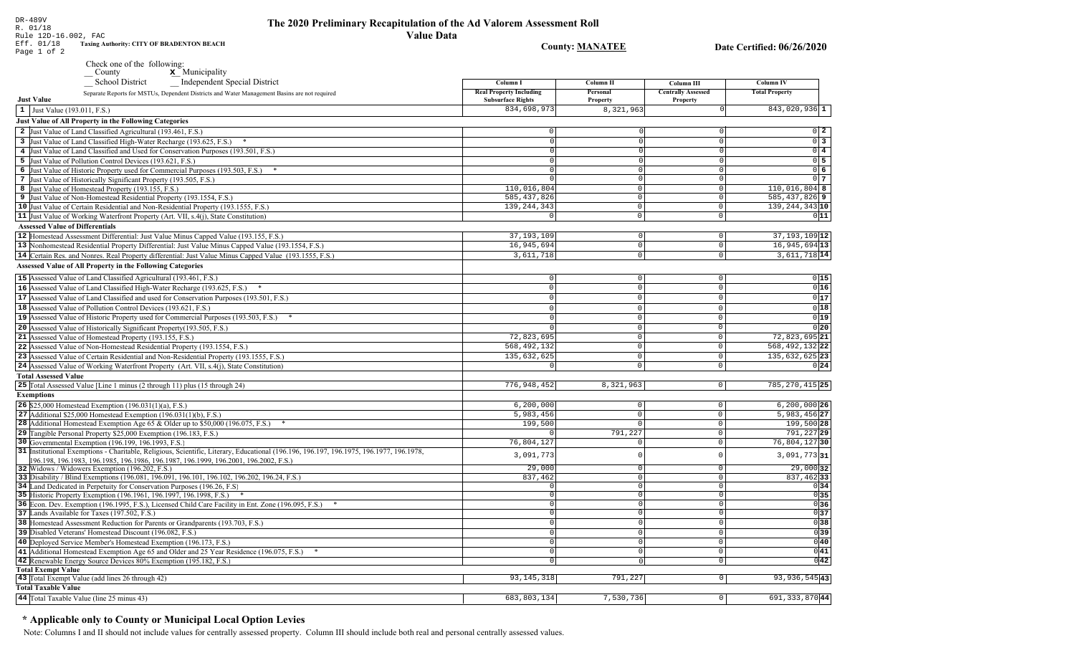**County: MANATEE** 

Column II

Personal

Property

 $8,321,963$ 

n

 $\overline{\circ}$ 

 $\Omega$ 

 $\circ$ 

 $\overline{0}$  $\overline{0}$ 

 $\overline{\circ}$ 

 $\boxed{0}$ 

 $\circ$ 

 $\overline{0}$ 

Column III

**Centrally Assessed** 

Property

 $|0|$ 

 $\boxed{\circ}$ 

Column I

**Real Property Including<br>Subsurface Rights** 

834,698,973

 $110,016,804$ 

 $\overline{585, 437, 826}$ 

139, 244, 343

 $|0|$ 

 $\overline{\circ}$ 

 $\overline{\circ}$ 

 $\overline{\mathfrak{o}}$ 

 $\overline{\circ}$ 

Date Certified: 06/26/2020

Column IV

**Total Property** 

 $843,020,936$ <sup>1</sup>

 $110,016,804$  8

 $\overline{585,437,826}$  9

139, 244, 343 10

 $0\quad 2$ 

 $0\overline{3}$ 

 $0\overline{4}$ 

 $0\overline{5}$ 

 $0\overline{6}$ 

 $0<sub>7</sub>$ 

 $011$ 

|   | DR-489V<br>The 2020 Preliminary Recapitulatio<br>R. 01/18<br>Value<br>Rule 12D-16.002, FAC                                                                                                   |
|---|----------------------------------------------------------------------------------------------------------------------------------------------------------------------------------------------|
|   | Eff. 01/18<br><b>Taxing Authority: CITY OF BRADENTON BEACH</b><br>Page 1 of 2                                                                                                                |
|   | Check one of the following:<br>$\mathbf{x}$ Municipality<br>County                                                                                                                           |
|   | School District Independent Special District<br>Separate Reports for MSTUs, Dependent Districts and Water Management Basins are not required                                                 |
|   | <b>Just Value</b>                                                                                                                                                                            |
| 1 | Just Value (193.011, F.S.)                                                                                                                                                                   |
|   | <b>Just Value of All Property in the Following Categories</b>                                                                                                                                |
| 2 | Just Value of Land Classified Agricultural (193.461, F.S.)                                                                                                                                   |
| 3 | Just Value of Land Classified High-Water Recharge (193.625, F.S.)<br>*                                                                                                                       |
| 4 | Just Value of Land Classified and Used for Conservation Purposes (193.501, F.S.)                                                                                                             |
| 5 | Just Value of Pollution Control Devices (193.621, F.S.)                                                                                                                                      |
| 6 | Just Value of Historic Property used for Commercial Purposes (193.503, F.S.)<br>$*$                                                                                                          |
|   | Just Value of Historically Significant Property (193.505, F.S.)                                                                                                                              |
| 8 | Just Value of Homestead Property (193.155, F.S.)                                                                                                                                             |
|   | Just Value of Non-Homestead Residential Property (193.1554, F.S.)                                                                                                                            |
|   | 10 Just Value of Certain Residential and Non-Residential Property (193.1555, F.S.)                                                                                                           |
|   | 11 Just Value of Working Waterfront Property (Art. VII, s.4(j), State Constitution)                                                                                                          |
|   | <b>Assessed Value of Differentials</b>                                                                                                                                                       |
|   | 12 Homestead Assessment Differential: Just Value Minus Capped Value (193.155, F.S.)                                                                                                          |
|   | $12$ Methods and Decidential Decoration $D(\mathcal{C}_{n}^{*}, \mathbf{t})$ . Let $M_{n}^{*}$ $M_{n}^{*}$ $\mathcal{C}_{n}^{*}$ and $M_{n}^{*}$ $\mathcal{C}_{n}^{*}$ $\mathcal{C}_{n}^{*}$ |

| 37, 193, 109  | $\Omega$                    | $\mathbf{0}$         | $37, 193, 109$ 12                                                                               |
|---------------|-----------------------------|----------------------|-------------------------------------------------------------------------------------------------|
| 16,945,694    | $\Omega$                    | $\Omega$             | $16,945,694$ 13                                                                                 |
| 3,611,718     | $\overline{0}$              | $\Omega$             | $3,611,718$ <sup>14</sup>                                                                       |
|               |                             |                      |                                                                                                 |
|               |                             |                      | 0 15                                                                                            |
|               | $\cap$                      |                      | 0 16                                                                                            |
|               |                             |                      | 0 17                                                                                            |
|               |                             | $\Omega$             | 0 18                                                                                            |
|               |                             | $\Omega$             | 0 19                                                                                            |
|               |                             | $\Omega$             | 0 20                                                                                            |
| 72,823,695    |                             | $\mathbf 0$          | 72,823,695 21                                                                                   |
| 568, 492, 132 |                             | $\mathbf 0$          | 568, 492, 132 22                                                                                |
| 135,632,625   | <sup>0</sup>                | $\mathbf 0$          | 135,632,625 23                                                                                  |
|               | $\Omega$                    | $\mathbf 0$          | 0 24                                                                                            |
|               |                             |                      |                                                                                                 |
| 776,948,452   | 8,321,963                   | $\circ$              | 785, 270, 415 25                                                                                |
|               |                             |                      |                                                                                                 |
| 6, 200, 000   | 0                           | $\mathbf 0$          | 6,200,000 26                                                                                    |
| 5,983,456     | $\Omega$                    | $\circ$              | $5,983,456$ 27                                                                                  |
| 199,500       |                             | $\circ$              | 199,500 28                                                                                      |
|               | 791,227                     | $\mathbb O$          | 791,227 29                                                                                      |
| 76,804,127    |                             | $\circ$              | 76,804,12730                                                                                    |
| 3,091,773     |                             | $\mathbf 0$          | $3,091,773$ 31                                                                                  |
| 29,000        | $\Omega$                    | $\circ$              | 29,000 32                                                                                       |
| 837,462       | $\Omega$                    | $\Omega$             | $837, 462$ 33                                                                                   |
|               |                             | $\Omega$             | 0 34                                                                                            |
|               |                             |                      | 0 35                                                                                            |
|               |                             |                      | $\frac{0}{0}$ 36<br>$\frac{0}{37}$<br>$\frac{37}{0}$ 38                                         |
|               |                             |                      |                                                                                                 |
|               |                             |                      |                                                                                                 |
|               |                             |                      | 039                                                                                             |
|               |                             | $\Omega$             | 0 40                                                                                            |
|               |                             |                      | 0 41                                                                                            |
|               | $\cap$                      |                      | 0 42                                                                                            |
|               |                             |                      |                                                                                                 |
|               |                             |                      | $93,936,545$  43                                                                                |
|               |                             |                      |                                                                                                 |
|               |                             |                      | 691, 333, 870 44                                                                                |
|               | 93, 145, 318<br>683,803,134 | 791,227<br>7,530,736 | $\Omega$<br>$\Omega$<br>$\bigcap$<br>$\cap$<br>$\mathbf 0$<br>$\mathbf 0$<br> 0 <br>$\mathbb O$ |

## \* Applicable only to County or Municipal Local Option Levies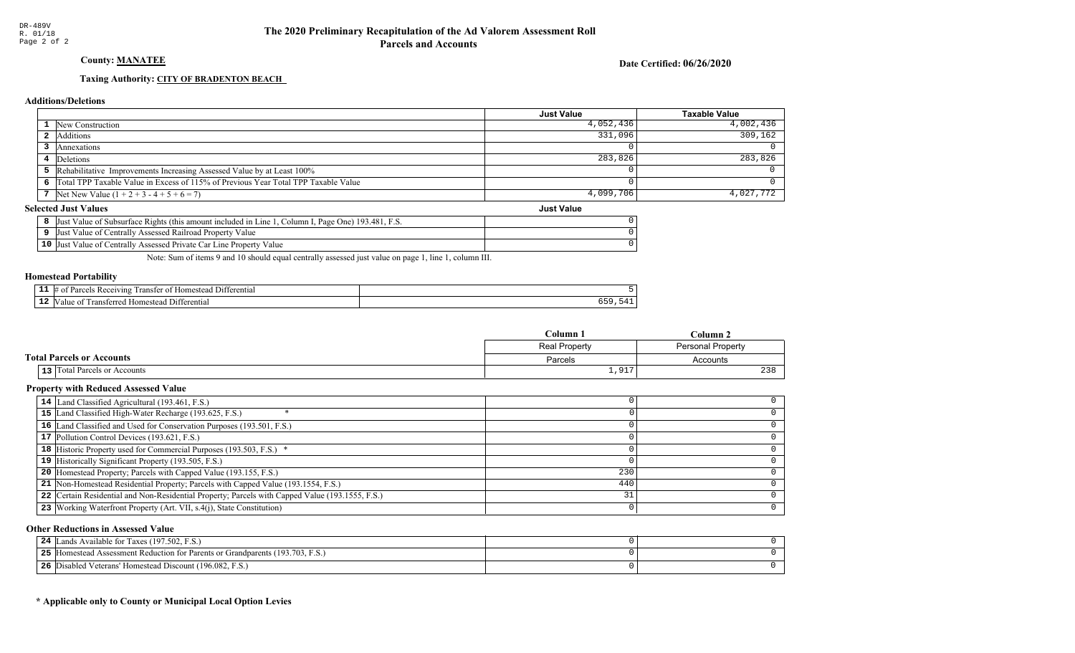## **County: MANATEE**

Date Certified: 06/26/2020

**Just Value** 

## Taxing Authority: CITY OF BRADENTON BEACH

#### **Additions/Deletions**

|                                                                                      | <b>Just Value</b> | Taxable Value |
|--------------------------------------------------------------------------------------|-------------------|---------------|
| <b>1</b> New Construction                                                            | 4,052,436         | 4,002,436     |
| Additions                                                                            | 331,096           | 309.162       |
| Annexations                                                                          |                   |               |
| 4 Deletions                                                                          | 283,826           | 283,826       |
| <b>5</b> Rehabilitative Improvements Increasing Assessed Value by at Least 100%      |                   |               |
| 6 Total TPP Taxable Value in Excess of 115% of Previous Year Total TPP Taxable Value |                   |               |
| 7 Net New Value $(1 + 2 + 3 - 4 + 5 + 6 = 7)$                                        | 4,099,706         | 4,027,772     |

### **Selected Just Values**

| t Value of Subsurface Rights (this amount included in Line 1, Column I, Page One) 193.481, F.S.<br> Just |  |
|----------------------------------------------------------------------------------------------------------|--|
| Just Value of Centrally Assessed Railroad Property Value                                                 |  |
| 10 Just Value of Centrally Assessed Private Car Line Property Value                                      |  |

Note: Sum of items 9 and 10 should equal centrally assessed just value on page 1, line 1, column III.

## **Homestead Portability**

| -- | 71 no<br>ranste<br>entia. |        |
|----|---------------------------|--------|
|    | entia.                    | $\sim$ |

|                                  | C <b>olumn</b> 1       | Column                   |  |
|----------------------------------|------------------------|--------------------------|--|
|                                  | Real Property          | <b>Personal Property</b> |  |
| <b>Total Parcels or Accounts</b> | Parcels                | Accounts                 |  |
| 13 Total Parcels or Accounts     | $\sim$ $\sim$<br>T,9T. | 238                      |  |

## **Property with Reduced Assessed Value**

| 230 |  |
|-----|--|
| 440 |  |
| 31  |  |
|     |  |
|     |  |

#### **Other Reductions in Assessed Value**

| <sup>'t</sup> ands Available for Taxes (197.502, F.S.)<br>24                     |  |
|----------------------------------------------------------------------------------|--|
| Homestead Assessment Reduction for Parents or Grandparents (193.703, F.S.)<br>25 |  |
| Disabled Veterans' Homestead Discount (196.082, F.S.)<br>26                      |  |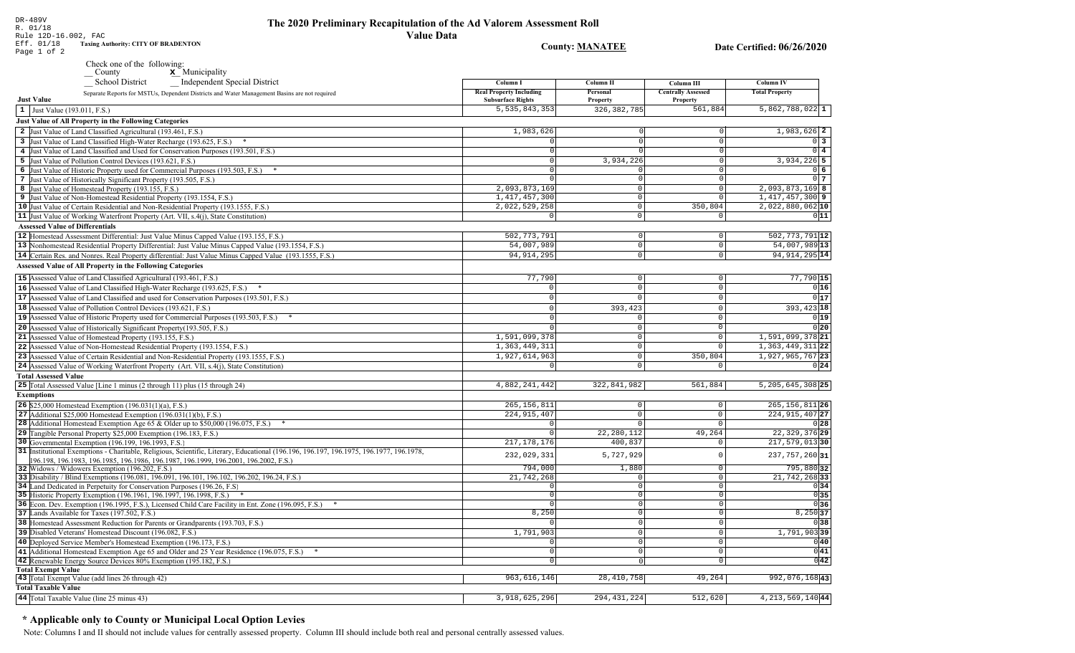#### The 2020 Preliminary Recapitulation of the Ad Valorem Assessment Roll **Value Data**

Eff. 01/18 **Taxing Authority: CITY OF BRADENTON County: MANATEE** Date Certified: 06/26/2020 Page 1 of 2 Check one of the following:  $\underline{\mathbf{x}}$  Municipality County School District Independent Special District Column I **Column II** Column III **Column IV Real Property Including** Personal **Centrally Assessed Total Property** Separate Reports for MSTUs, Dependent Districts and Water Management Basins are not required **Just Value Subsurface Rights** Property Property 5,535,843,353 326, 382, 785 561,884  $5,862,788,022$  1  $\vert 1 \vert$  Just Value (193.011, F.S.) **Just Value of All Property in the Following Categories** 2 Just Value of Land Classified Agricultural (193.461, F.S.) 1,983,626  $1.983.626$  2 3 Just Value of Land Classified High-Water Recharge (193.625, F.S.) \*  $\Omega$  $0\vert 3$ 4 Just Value of Land Classified and Used for Conservation Purposes (193.501, F.S.)  $\overline{0}$  4 5 Just Value of Pollution Control Devices (193.621, F.S.) 3,934,226  $3,934,226$  5 6 Just Value of Historic Property used for Commercial Purposes (193.503, F.S.) \* 06 7 Just Value of Historically Significant Property (193.505, F.S.)  $\Omega$  $017$ 2,093,873,169 2,093,873,169 8 8 Just Value of Homestead Property (193.155, F.S.)  $\Omega$  $1,417,457,300$  9 1, 417, 457, 300 9 Just Value of Non-Homestead Residential Property (193.1554, F.S.)  $\Omega$ 10 Just Value of Certain Residential and Non-Residential Property (193.1555, F.S.)  $2,022,529,258$ 350,804  $2,022,880,062$  10  $\circ$ 11 Just Value of Working Waterfront Property (Art. VII, s.4(j), State Constitution)  $\overline{\circ}$  $011$ **Assessed Value of Differentials**  $502, 773, 791$  12 502,773,791 12 Homestead Assessment Differential: Just Value Minus Capped Value (193.155, F.S.)  $\Omega$  $54,007,989$ <sup>13</sup> 13 Nonhomestead Residential Property Differential: Just Value Minus Capped Value (193.1554, F.S.) 54,007,989  $\mathbb O$ 14 Certain Res. and Nonres. Real Property differential: Just Value Minus Capped Value (193.1555, F.S.) 94, 914, 295  $\overline{0}$ 94, 914, 295 14 **Assessed Value of All Property in the Following Categories** 15 Assessed Value of Land Classified Agricultural (193.461, F.S.) 77,790  $\Omega$  $77,790$  15 16 Assessed Value of Land Classified High-Water Recharge (193.625, F.S.)  $0|16|$  $\Omega$  $\Omega$  $\Omega$  $0|17$ **17** Assessed Value of Land Classified and used for Conservation Purposes (193.501, F.S.)  $|0|$  $\Omega$  $\overline{0}$ 18 Assessed Value of Pollution Control Devices (193.621, F.S.)  $393.423$  $393,423$  18  $\Omega$ 19 Assessed Value of Historic Property used for Commercial Purposes (193.503, F.S.) \*  $0|19|$ 20 Assessed Value of Historically Significant Property (193.505, F.S.)  $0|20|$  $\cap$  $\Omega$ 1,591,099,378 21 Assessed Value of Homestead Property (193.155, F.S.) 1,591,099,378 21  $\cap$ 22 Assessed Value of Non-Homestead Residential Property (193.1554, F.S.) 1, 363, 449, 311 1, 363, 449, 311 22  $\Omega$ 1,927,614,963 350,804 1,927,965,767 23 23 Assessed Value of Certain Residential and Non-Residential Property (193.1555, F.S.)  $\cap$ 24 Assessed Value of Working Waterfront Property (Art. VII, s.4(j), State Constitution)  $\mathbf{0}$  $0|24|$ **Total Assessed Value** 25 Total Assessed Value [Line 1 minus (2 through 11) plus (15 through 24) 4,882,241,442 322,841,982 561,884  $5, 205, 645, 308$  25 **Exemptions** 265, 156, 811 **26** \$25,000 Homestead Exemption  $(196.031(1)(a), F.S.)$  $265, 156, 811$  26  $\Omega$ 27 Additional \$25,000 Homestead Exemption  $(196.031(1)(b), F.S.)$ 224, 915, 407  $\Omega$ 224, 915, 407 27  $\sqrt{2}$ 28 Additional Homestead Exemption Age 65 & Older up to \$50,000 (196.075, F.S.) \*  $\cap$  $0|28|$  $\sqrt{ }$ 29 Tangible Personal Property \$25,000 Exemption (196.183, F.S.) 22, 280, 112 49,264 22, 329, 376 29 30 Governmental Exemption (196.199, 196.1993, F.S.)  $217.178.176$  $400.837$  $217,579,013$ 30 31 Institutional Exemptions - Charitable, Religious, Scientific, Literary, Educational (196.196, 196.197, 196.1977, 196.1977, 196.1978, 232,029,331 5,727,929 237, 757, 260 31  $\Omega$ [196.198, 196.1983, 196.1985, 196.1986, 196.1987, 196.1999, 196.2001, 196.2002, F.S.) 794.000 1.880 795,88032 32 Widows / Widowers Exemption (196.202, F.S.)  $\Omega$ 33 Disability / Blind Exemptions (196.081, 196.091, 196.101, 196.102, 196.202, 196.24, F.S.) 21,742,268  $\overline{0}$ 21, 742, 268 33 34 Land Dedicated in Perpetuity for Conservation Purposes (196.26, F.S)  $\overline{\circ}$  $0|34|$  $\cap$  $\cap$  $0|35|$ 35 Historic Property Exemption (196.1961, 196.1997, 196.1998, F.S.) \*  $\circ$  $\Omega$ 36 Econ. Dev. Exemption (196.1995, F.S.), Licensed Child Care Facility in Ent. Zone (196.095, F.S.) \*  $\overline{0}$  $0|36|$ 37 Lands Available for Taxes (197.502, F.S.)  $8,250$  $\overline{0}$  $8,250$  37 38 Homestead Assessment Reduction for Parents or Grandparents (193.703, F.S.) 기38 0 1,791,903 1,791,90339 39 Disabled Veterans' Homestead Discount (196.082, F.S.)  $\overline{0}$ 40 Deployed Service Member's Homestead Exemption (196.173, F.S.)  $\overline{0}$  $0|40|$  $\Omega$  $0|41|$ 41 Additional Homestead Exemption Age 65 and Older and 25 Year Residence (196.075, F.S.) \*  $\overline{0}$  $\overline{0}$  $\overline{0|42|}$ 42 Renewable Energy Source Devices 80% Exemption (195.182, F.S.)  $\overline{0}$  $\overline{0}$ **Total Exempt Value** 

#### 43 Total Exempt Value (add lines 26 through 42) 963,616,146 28, 410, 758  $49, 264$ 992,076,16843 **Total Taxable Value**  $512,620$ 44 Total Taxable Value (line 25 minus 43) 3,918,625,296 294, 431, 224 4, 213, 569, 140 44

## \* Applicable only to County or Municipal Local Option Levies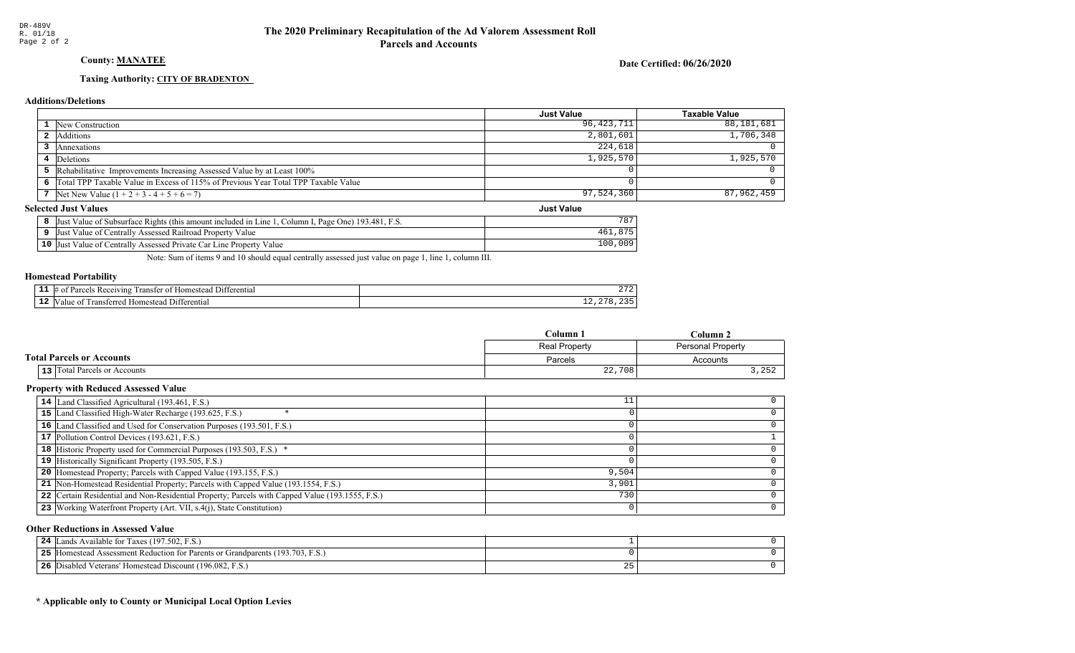## County: **MANATEE**

Date Certified: 06/26/2020

Just Value

#### Taxing Authority: CITY OF BRADENTON

#### Additions/Deletions

|                                                                                      | Just Value | <b>Taxable Value</b> |
|--------------------------------------------------------------------------------------|------------|----------------------|
| <b>1</b> New Construction                                                            | 96,423,711 | 88,181,681           |
| 2 Additions                                                                          | 2,801,601  | 1,706,348            |
| Annexations                                                                          | 224,618    |                      |
| 4 Deletions                                                                          | 1,925,570  | 1,925,570            |
| 5 Rehabilitative Improvements Increasing Assessed Value by at Least 100%             |            |                      |
| 6 Total TPP Taxable Value in Excess of 115% of Previous Year Total TPP Taxable Value |            |                      |
| 7 Net New Value $(1 + 2 + 3 - 4 + 5 + 6 = 7)$                                        | 97,524,360 | 87,962,459           |

### **Selected Just Values**

| st Value of Subsurface Rights (this amount included in Line 1, Column I, Page One) 193.481, F.S.<br> Just |      |
|-----------------------------------------------------------------------------------------------------------|------|
| Just Value of Centrally Assessed Railroad Property Value                                                  |      |
| 10 Just Value of Centrally Assessed Private Car Line Property Value                                       | ,009 |

Note: Sum of items 9 and 10 should equal centrally assessed just value on page 1, line 1, column III.

#### Homestead Portability

|     | -11<br>erentia<br>wm<br>. Homes<br>ΉТ | $\sim$ $ \sim$<br>21 Z |
|-----|---------------------------------------|------------------------|
| . . | "<br>וווו<br>enua<br>ำm∗<br>־יי       | .<br>- - -<br>$\sim$   |

|                                     | Column               | $Column$ .                      |
|-------------------------------------|----------------------|---------------------------------|
|                                     | <b>Real Property</b> | <b>Personal Property</b>        |
| <b>Total Parcels or Accounts</b>    | Parcels              | Accounts                        |
| <b>13</b> Total Parcels or Accounts | 22,708               | $\cap$ $\Gamma$ $\cap$<br>, 202 |

#### Property with Reduced Assessed Value

| 14 Land Classified Agricultural (193.461, F.S.)                                                 |       |  |
|-------------------------------------------------------------------------------------------------|-------|--|
| 15 Land Classified High-Water Recharge (193.625, F.S.)                                          |       |  |
| 16 Land Classified and Used for Conservation Purposes (193.501, F.S.)                           |       |  |
| 17 Pollution Control Devices (193.621, F.S.)                                                    |       |  |
| 18 Historic Property used for Commercial Purposes (193.503, F.S.) *                             |       |  |
| 19 Historically Significant Property (193.505, F.S.)                                            |       |  |
| <b>20</b> Homestead Property; Parcels with Capped Value (193.155, F.S.)                         | 9,504 |  |
| 21 Non-Homestead Residential Property; Parcels with Capped Value (193.1554, F.S.)               | 3,901 |  |
| 22 Certain Residential and Non-Residential Property; Parcels with Capped Value (193.1555, F.S.) | 730   |  |
| 23 Working Waterfront Property (Art. VII, s.4(j), State Constitution)                           |       |  |
|                                                                                                 |       |  |

#### Other Reductions in Assessed Value

| s Available for Taxes (197.502, F.S.)<br>24<br>ands                              |  |
|----------------------------------------------------------------------------------|--|
| Homestead Assessment Reduction for Parents or Grandparents (193.703, F.S.)<br>ット |  |
| Disabled Veterans' Homestead Discount (196.082, F.S.)<br>-26                     |  |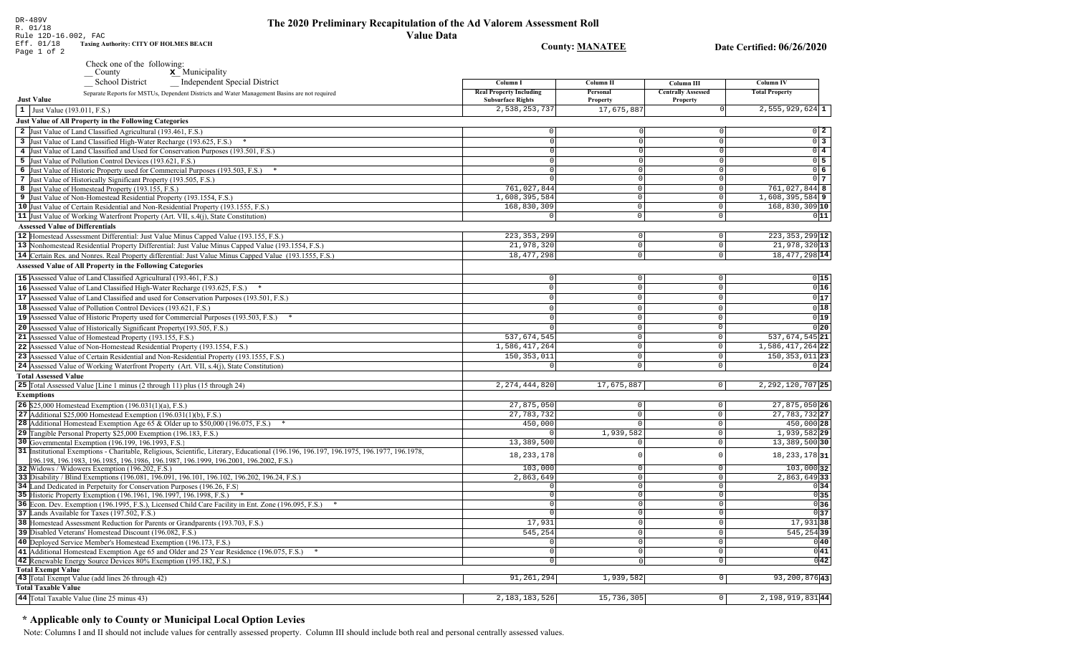**County: MANATEE** 

Date Certified: 06/26/2020

| DR-489V<br>R. 01/18<br>Rule 12D-16.002, FAC                                |
|----------------------------------------------------------------------------|
| Eff. 01/18<br><b>Taxing Authority: CITY OF HOLMES BEACH</b><br>Page 1 of 2 |

- Check one of the following:<br>  $\angle$  County  $\angle$  Municipality
	-

| Independent Special District<br><b>School District</b>                                                                                                                                                                         | Column I                                                   | <b>Column II</b>     | Column III                            | <b>Column IV</b>                    |
|--------------------------------------------------------------------------------------------------------------------------------------------------------------------------------------------------------------------------------|------------------------------------------------------------|----------------------|---------------------------------------|-------------------------------------|
| Separate Reports for MSTUs, Dependent Districts and Water Management Basins are not required<br><b>Just Value</b>                                                                                                              | <b>Real Property Including</b><br><b>Subsurface Rights</b> | Personal<br>Property | <b>Centrally Assessed</b><br>Property | <b>Total Property</b>               |
| 1 Just Value (193.011, F.S.)                                                                                                                                                                                                   | 2,538,253,737                                              | 17,675,887           |                                       | $2,555,929,624$ 1                   |
| Just Value of All Property in the Following Categories                                                                                                                                                                         |                                                            |                      |                                       |                                     |
| 2 Just Value of Land Classified Agricultural (193.461, F.S.)                                                                                                                                                                   | $\Omega$                                                   |                      |                                       | $0\quad 2$                          |
|                                                                                                                                                                                                                                | $\Omega$                                                   |                      | $\Omega$                              | $\overline{0}$ 3                    |
| 3 Just Value of Land Classified High-Water Recharge (193.625, F.S.)                                                                                                                                                            |                                                            | $\Omega$             | $\Omega$                              | $\overline{0}$ 4                    |
| 4 Just Value of Land Classified and Used for Conservation Purposes (193.501, F.S.)                                                                                                                                             |                                                            | $\cap$               | $\Omega$                              | $0\overline{5}$                     |
| 5 Just Value of Pollution Control Devices (193.621, F.S.)                                                                                                                                                                      |                                                            | $\Omega$             |                                       |                                     |
| 6 Just Value of Historic Property used for Commercial Purposes (193.503, F.S.) *                                                                                                                                               |                                                            |                      | $\overline{0}$                        | 06                                  |
| 7 Just Value of Historically Significant Property (193.505, F.S.)                                                                                                                                                              |                                                            | $\circ$              | $\overline{0}$                        | 0 <sub>7</sub>                      |
| 8 Just Value of Homestead Property (193.155, F.S.)                                                                                                                                                                             | 761,027,844                                                | $\circ$<br>$\circ$   | 0                                     | 761,027,844 8                       |
| 9 Just Value of Non-Homestead Residential Property (193.1554, F.S.)                                                                                                                                                            | 1,608,395,584<br>168,830,309                               | $\circ$              | 0 <br>$\circ$                         | $1,608,395,584$ 9<br>168,830,309 10 |
| 10 Just Value of Certain Residential and Non-Residential Property (193.1555, F.S.)                                                                                                                                             |                                                            |                      |                                       |                                     |
| 11 Just Value of Working Waterfront Property (Art. VII, s.4(j), State Constitution)                                                                                                                                            | $\Omega$                                                   | $\circ$              | $\overline{0}$                        | 011                                 |
| <b>Assessed Value of Differentials</b>                                                                                                                                                                                         |                                                            |                      |                                       |                                     |
| 12 Homestead Assessment Differential: Just Value Minus Capped Value (193.155, F.S.)                                                                                                                                            | 223, 353, 299                                              | 0                    | $\mathbb O$                           | $223, 353, 299$ 12                  |
| 13 Nonhomestead Residential Property Differential: Just Value Minus Capped Value (193.1554, F.S.)                                                                                                                              | 21,978,320                                                 | 0                    | $\circ$                               | 21,978,320 13                       |
| 14 Certain Res. and Nonres. Real Property differential: Just Value Minus Capped Value (193.1555, F.S.)                                                                                                                         | 18, 477, 298                                               | $\circ$              | $\circ$                               | 18, 477, 298 14                     |
| <b>Assessed Value of All Property in the Following Categories</b>                                                                                                                                                              |                                                            |                      |                                       |                                     |
| 15 Assessed Value of Land Classified Agricultural (193.461, F.S.)                                                                                                                                                              | $\Omega$                                                   | $\mathbf 0$          | $\circ$                               | 0 15                                |
| 16 Assessed Value of Land Classified High-Water Recharge (193.625, F.S.) *                                                                                                                                                     | $\Omega$                                                   | $\circ$              | $\mathbf 0$                           | 0 16                                |
| 17 Assessed Value of Land Classified and used for Conservation Purposes (193.501, F.S.)                                                                                                                                        | $\Omega$                                                   | $\circ$              | $\mathsf 0$                           | 0 17                                |
| 18 Assessed Value of Pollution Control Devices (193.621, F.S.)                                                                                                                                                                 | $\Omega$                                                   | $\circ$              | $\mathbb O$                           | 0 18                                |
| 19 Assessed Value of Historic Property used for Commercial Purposes (193.503, F.S.) *                                                                                                                                          |                                                            | $\Omega$             | $\Omega$                              | 0 19                                |
| 20 Assessed Value of Historically Significant Property (193.505, F.S.)                                                                                                                                                         |                                                            | $\mathbf 0$          | $\Omega$                              | 0 20                                |
| 21 Assessed Value of Homestead Property (193.155, F.S.)                                                                                                                                                                        | 537,674,545                                                | $\Omega$             | $\mathbb O$                           | 537,674,545 21                      |
|                                                                                                                                                                                                                                | 1,586,417,264                                              | $\mathbf 0$          | $\overline{0}$                        | 1,586,417,264 22                    |
| 22 Assessed Value of Non-Homestead Residential Property (193.1554, F.S.)                                                                                                                                                       |                                                            | $\Omega$             |                                       | 150, 353, 011 23                    |
| 23 Assessed Value of Certain Residential and Non-Residential Property (193.1555, F.S.)                                                                                                                                         | 150, 353, 011<br>$\Omega$                                  | $\Omega$             | $\mathbb O$<br>$\Omega$               |                                     |
| 24 Assessed Value of Working Waterfront Property (Art. VII, s.4(j), State Constitution)                                                                                                                                        |                                                            |                      |                                       | 0 24                                |
| <b>Total Assessed Value</b>                                                                                                                                                                                                    |                                                            |                      |                                       |                                     |
| 25 Total Assessed Value [Line 1 minus (2 through 11) plus (15 through 24)                                                                                                                                                      | 2, 274, 444, 820                                           | 17,675,887           | $\circ$                               | 2, 292, 120, 707 25                 |
| <b>Exemptions</b>                                                                                                                                                                                                              |                                                            |                      |                                       |                                     |
| 26 \$25,000 Homestead Exemption $(196.031(1)(a), F.S.)$                                                                                                                                                                        | 27,875,050                                                 | $\circ$              | $\mathsf 0$                           | $27,875,050$ 26                     |
| 27 Additional \$25,000 Homestead Exemption $(196.031(1)(b), F.S.)$                                                                                                                                                             | 27, 783, 732                                               | $\circ$              | $\circ$                               | 27, 783, 732 27                     |
| 28 Additional Homestead Exemption Age 65 & Older up to \$50,000 (196.075, F.S.)                                                                                                                                                | 450,000                                                    | $\Omega$             | $\circ$                               | 450,000 28                          |
| 29 Tangible Personal Property \$25,000 Exemption (196.183, F.S.)                                                                                                                                                               |                                                            | 1,939,582            | $\Omega$                              | $1,939,582$ 29                      |
| 30 Governmental Exemption (196.199, 196.1993, F.S.)                                                                                                                                                                            | 13,389,500                                                 | $\Omega$             | $\mathbf 0$                           | 13,389,500 30                       |
| 31 Institutional Exemptions - Charitable, Religious, Scientific, Literary, Educational (196.196.196.197, 196.1975, 196.1977, 196.1978,<br>196.198, 196.1983, 196.1985, 196.1986, 196.1987, 196.1999, 196.2001, 196.2002, F.S.) | 18, 233, 178                                               | $\Omega$             | $\Omega$                              | $18, 233, 178$  31                  |
| 32 Widows / Widowers Exemption (196.202, F.S.)                                                                                                                                                                                 | 103,000                                                    | $\overline{0}$       | $\Omega$                              | 103,000 32                          |
| 33 Disability / Blind Exemptions (196.081, 196.091, 196.101, 196.102, 196.202, 196.24, F.S.)                                                                                                                                   | 2,863,649                                                  | $\circ$              | $\mathbf 0$                           | $2,863,649$ 33                      |
| 34 Land Dedicated in Perpetuity for Conservation Purposes (196.26, F.S.                                                                                                                                                        |                                                            | $\Omega$             | $\Omega$                              | 0 34                                |
| 35 Historic Property Exemption (196.1961, 196.1997, 196.1998, F.S.) *                                                                                                                                                          |                                                            | 0                    | $\Omega$                              | 035                                 |
| 36 Econ. Dev. Exemption (196.1995, F.S.), Licensed Child Care Facility in Ent. Zone (196.095, F.S.)                                                                                                                            |                                                            | 0                    | $\Omega$                              | 036                                 |
| 37 Lands Available for Taxes (197.502, F.S.)                                                                                                                                                                                   |                                                            | $\Omega$             | $\Omega$                              | $ 0 $ 37                            |
| 38 Homestead Assessment Reduction for Parents or Grandparents (193.703, F.S.)                                                                                                                                                  | 17,931                                                     | 0                    | $\Omega$                              | $17,931$ 38                         |
| 39 Disabled Veterans' Homestead Discount (196.082, F.S.)                                                                                                                                                                       | 545,254                                                    | 0                    | $\mathbf 0$                           | $545, 254$ 39                       |
| 40 Deployed Service Member's Homestead Exemption (196.173, F.S.)                                                                                                                                                               | $\Omega$                                                   | $\circ$              | $\Omega$                              | 0 40                                |
| 41 Additional Homestead Exemption Age 65 and Older and 25 Year Residence (196.075, F.S.)                                                                                                                                       | $\Omega$                                                   | 0                    | $\Omega$                              | 0 41                                |
| 42 Renewable Energy Source Devices 80% Exemption (195.182, F.S.)                                                                                                                                                               | $\Omega$                                                   | $\Omega$             | $\mathbf 0$                           | 0 42                                |
| <b>Total Exempt Value</b>                                                                                                                                                                                                      |                                                            |                      |                                       |                                     |
| 43 Total Exempt Value (add lines 26 through 42)                                                                                                                                                                                | 91,261,294                                                 | 1,939,582            | 0 <sup>1</sup>                        | $93, 200, 876$ <sup>43</sup>        |
| <b>Total Taxable Value</b>                                                                                                                                                                                                     |                                                            |                      |                                       |                                     |
| 44 Total Taxable Value (line 25 minus 43)                                                                                                                                                                                      | 2, 183, 183, 526                                           | 15,736,305           | $\circ$                               | 2,198,919,831 44                    |

## \* Applicable only to County or Municipal Local Option Levies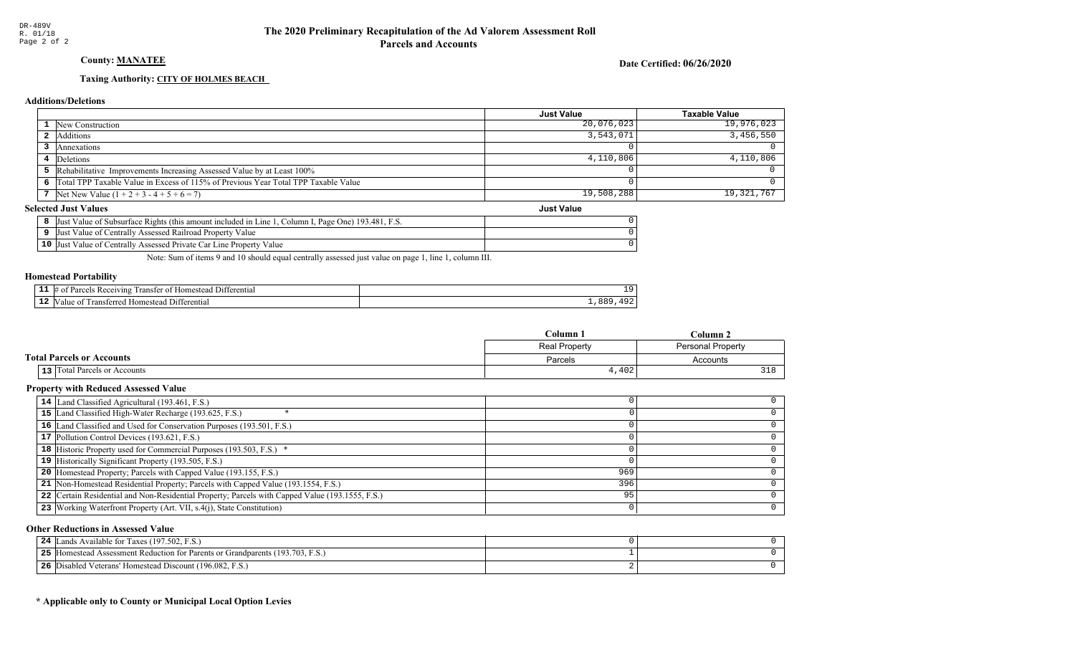## County: **MANATEE**

Date Certified: 06/26/2020

Just Value

#### Taxing Authority: CITY OF HOLMES BEACH

#### Additions/Deletions

|                                                                                      | Just Value | <b>Taxable Value</b> |
|--------------------------------------------------------------------------------------|------------|----------------------|
| 1 New Construction                                                                   | 20,076,023 | 19,976,023           |
| 2 Additions                                                                          | 3,543,071  | 3,456,550            |
| Annexations                                                                          |            |                      |
| 4 Deletions                                                                          | 4,110,806  | 4,110,806            |
| <b>5</b> Rehabilitative Improvements Increasing Assessed Value by at Least 100%      |            |                      |
| 6 Total TPP Taxable Value in Excess of 115% of Previous Year Total TPP Taxable Value |            |                      |
| 7 Net New Value $(1 + 2 + 3 - 4 + 5 + 6 = 7)$                                        | 19,508,288 | 19,321,767           |

#### **Selected Just Values**

|                 | . Page One) 193.481. F.S.<br>Value of Subsurface Rights (this amount included in Line<br>∵olumn l<br>IJust |  |
|-----------------|------------------------------------------------------------------------------------------------------------|--|
|                 | Just Value of Centrally Assessed Railroad Property Value                                                   |  |
| 10 <sup>7</sup> | Value of Centrally Assessed Private Car Line Property Value<br>IJust                                       |  |

Note: Sum of items 9 and 10 should equal centrally assessed just value on page 1, line 1, column III.

#### Homestead Portability

| - - | entia"<br>71n9<br>яnе | . .<br>÷ |
|-----|-----------------------|----------|
| - 4 | entiai<br>-115<br>ш   | --<br>__ |

|                                     | Column 1      | Column 2                 |
|-------------------------------------|---------------|--------------------------|
|                                     | Real Property | <b>Personal Property</b> |
| <b>Total Parcels or Accounts</b>    | Parcels       | Accounts                 |
| <b>13</b> Total Parcels or Accounts | 4,402         | າາດ                      |

#### Property with Reduced Assessed Value

| 14 Land Classified Agricultural (193.461, F.S.)                                                 |     |  |
|-------------------------------------------------------------------------------------------------|-----|--|
| 15 Land Classified High-Water Recharge (193.625, F.S.)                                          |     |  |
| 16 Land Classified and Used for Conservation Purposes (193.501, F.S.)                           |     |  |
| 17 Pollution Control Devices (193.621, F.S.)                                                    |     |  |
| 18 Historic Property used for Commercial Purposes (193.503, F.S.) *                             |     |  |
| 19 Historically Significant Property (193.505, F.S.)                                            |     |  |
| <b>20</b> Homestead Property; Parcels with Capped Value (193.155, F.S.)                         | 969 |  |
| 21 Non-Homestead Residential Property; Parcels with Capped Value (193.1554, F.S.)               | 396 |  |
| 22 Certain Residential and Non-Residential Property; Parcels with Capped Value (193.1555, F.S.) | 95  |  |
| 23 Working Waterfront Property (Art. VII, s.4(j), State Constitution)                           |     |  |
|                                                                                                 |     |  |

#### Other Reductions in Assessed Value

| ands Available for Taxes (197.502, F.S.)<br>24                                       |  |
|--------------------------------------------------------------------------------------|--|
| 5 [Homestead Assessment Reduction for Parents or Grandparents (193.703, F.S.)<br>25. |  |
| Disabled Veterans' Homestead Discount (196.082, F.S.)<br>26                          |  |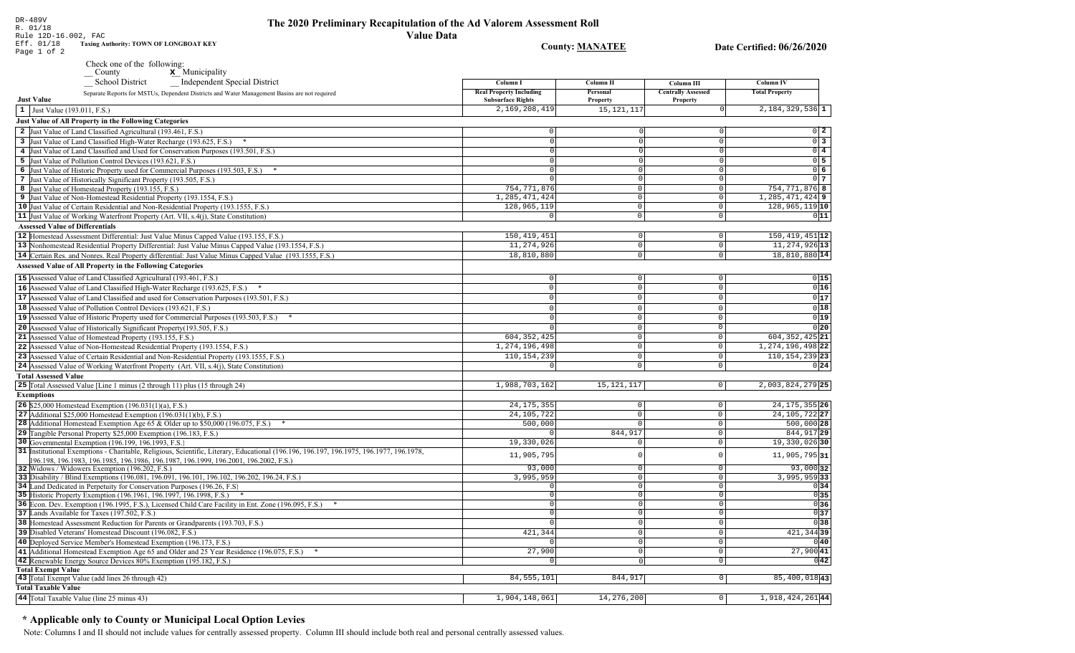R. 01/18 Rule 12D-16.002, FAC **Value Data** Eff. 01/18 **Taxing Authority: TOWN OF LONGBOAT KEY County: MANATEE** Page 1 of 2 Check one of the following:  $\underline{\mathbf{x}}$  Municipality County School District Independent Special District Column I **Column II Real Property Including** Personal Separate Reports for MSTUs, Dependent Districts and Water Management Basins are not required **Just Value Subsurface Rights** Property 2,169,208,419  $15, 121, 11$  $\vert 1 \vert$  Just Value (193.011, F.S.) **Just Value of All Property in the Following Categories** 2 Just Value of Land Classified Agricultural (193.461, F.S.)  $\Omega$ 3 Just Value of Land Classified High-Water Recharge (193.625, F.S.) \*  $\Omega$ 4 Just Value of Land Classified and Used for Conservation Purposes (193.501, F.S.) 5 Just Value of Pollution Control Devices (193.621, F.S.) 6 Just Value of Historic Property used for Commercial Purposes (193.503, F.S.) \* 7 Just Value of Historically Significant Property (193.505, F.S.) 754.771.876 8 Just Value of Homestead Property (193.155, F.S.) 1,285,471,424 9 Just Value of Non-Homestead Residential Property (193.1554, F.S.) 10 Just Value of Certain Residential and Non-Residential Property (193.1555, F.S.) 128,965,119 11 Just Value of Working Waterfront Property (Art. VII, s.4(j), State Constitution) **Assessed Value of Differentials** 150, 419, 451 12 Homestead Assessment Differential: Just Value Minus Capped Value (193.155, F.S.) 11,274,926 13 Nonhomestead Residential Property Differential: Just Value Minus Capped Value (193.1554, F.S.) 14 Certain Res. and Nonres. Real Property differential: Just Value Minus Capped Value (193.1555, F.S.) 18,810,880 **Assessed Value of All Property in the Following Categories** 

15 Assessed Value of Land Classified Agricultural (193.461, F.S.)  $\Omega$  $\Omega$  $0|15$ 16 Assessed Value of Land Classified High-Water Recharge (193.625, F.S.)  $0|16$  $\mathbb O$  $\Omega$  $\Omega$  $0|17$ **17** Assessed Value of Land Classified and used for Conservation Purposes (193.501, F.S.)  $|0|$  $\mathbf{0}$  $\overline{0}$  $0|18$ 18 Assessed Value of Pollution Control Devices (193.621, F.S.)  $\Omega$  $\cap$  $\Omega$  $0|19|$ 19 Assessed Value of Historic Property used for Commercial Purposes (193.503, F.S.) \*  $\Omega$  $\Omega$ 20 Assessed Value of Historically Significant Property (193.505, F.S.)  $0|20|$  $\cap$  $\Omega$ 604, 352, 425 21 Assessed Value of Homestead Property (193.155, F.S.) 604, 352, 425 21  $\cap$ 22 Assessed Value of Non-Homestead Residential Property (193.1554, F.S.) 1, 274, 196, 498  $\Omega$ 1, 274, 196, 498 22 110, 154, 239 110, 154, 239 23 23 Assessed Value of Certain Residential and Non-Residential Property (193.1555, F.S.)  $\cap$  $\Omega$ 24 Assessed Value of Working Waterfront Property (Art. VII, s.4(j), State Constitution)  $0|24|$  $\mathbf{0}$  $\circ$ **Total Assessed Value** 25 Total Assessed Value [Line 1 minus (2 through 11) plus (15 through 24) 1,988,703,162 15, 121, 117  $|0|$  $2,003,824,279$  25 **Exemptions** 24, 175, 355  $24, 175, 355$  26 **26** \$25,000 Homestead Exemption  $(196.031(1)(a), F.S.)$  $\overline{0}$ 27 Additional \$25,000 Homestead Exemption  $(196.031(1)(b), F.S.)$ 24, 105, 722  $\circ$ 24, 105, 722 27  $500,000$  $500,000$  28 28 Additional Homestead Exemption Age 65 & Older up to \$50,000 (196.075, F.S.) \*  $\overline{0}$ £ 29 Tangible Personal Property \$25,000 Exemption (196.183, F.S.) 844,91  $\circ$ 844, 917 29 30 Governmental Exemption (196.199, 196.1993, F.S.)  $19,330,026$  $\overline{\circ}$ 19,330,02630 31 Institutional Exemptions - Charitable, Religious, Scientific, Literary, Educational (196.196, 196.197, 196.1977, 196.1977, 196.1978, 11,905,795  $\circ$  $11,905,795|31|$ 196.198, 196.1983, 196.1985, 196.1986, 196.1987, 196.1999, 196.2001, 196.2002, F.S.)  $93.000$  $93,000$  32 32 Widows / Widowers Exemption (196.202, F.S.)  $\Omega$ 33 Disability / Blind Exemptions (196.081, 196.091, 196.101, 196.102, 196.202, 196.24, F.S.) 3,995,959  $\overline{0}$  $3,995,959$  33 34 Land Dedicated in Perpetuity for Conservation Purposes (196.26, F.S)  $\cap$  $\overline{\circ}$  $0|34|$  $\begin{array}{c|c}\n\hline\n0 & 35 \\
\hline\n0 & 36\n\end{array}$ 35 Historic Property Exemption (196.1961, 196.1997, 196.1998, F.S.) \*  $\Omega$  $\circ$ 36 Econ. Dev. Exemption (196.1995, F.S.), Licensed Child Care Facility in Ent. Zone (196.095, F.S.) \*  $\sqrt{ }$  $\overline{0}$ 37 Lands Available for Taxes (197.502, F.S.)  $\overline{0}$  $0|37$ 38 Homestead Assessment Reduction for Parents or Grandparents (193.703, F.S.)  $\sqrt{38}$ 0 421,344 421, 344 39 39 Disabled Veterans' Homestead Discount (196.082, F.S.)  $\overline{0}$ 40 Deployed Service Member's Homestead Exemption (196.173, F.S.)  $\overline{0}$  $0|40|$ 27,900  $\overline{\circ}$  $27,900|41$ 41 Additional Homestead Exemption Age 65 and Older and 25 Year Residence (196.075, F.S.) \* 42 Renewable Energy Source Devices 80% Exemption (195.182, F.S.)  $\overline{\phantom{0}}$  $0|42|$ **Total Exempt Value**  $85,400,018$ <sup>43</sup> 43 Total Exempt Value (add lines 26 through 42) 84, 555, 101 844,917  $\boxed{0}$ **Total Taxable Value** 44 Total Taxable Value (line 25 minus 43) 1,904,148,061 14,276,200  $\overline{\circ}$ 1,918,424,26144

#### \* Applicable only to County or Municipal Local Option Levies

Note: Columns I and II should not include values for centrally assessed property. Column III should include both real and personal centrally assessed values.

**Column IV** 

**Total Property** 

 $2,184,329,536$  1

754, 771, 876 8

128,965,119 10

 $150, 419, 451$   $|12|$ 

11, 274, 926 13

18,810,880 14

1, 285, 471, 424 9

 $0\quad 2$ 

 $0\overline{3}$ 

 $0\vert 4$ 

 $0\overline{5}$ 

 $0\overline{6}$ 

 $0<sub>1</sub>$ 

 $011$ 

Column III

**Centrally Assessed** 

Property

 $\overline{0}$ 

 $\Omega$ 

 $\Omega$ 

 $\Omega$ 

 $\Omega$ 

 $\Omega$ 

 $\Omega$ 

 $\Omega$ 

 $\circ$ 

 $\overline{\circ}$ 

 $\Omega$ 

 $\mathbb O$ 

 $\overline{0}$ 

DR-489V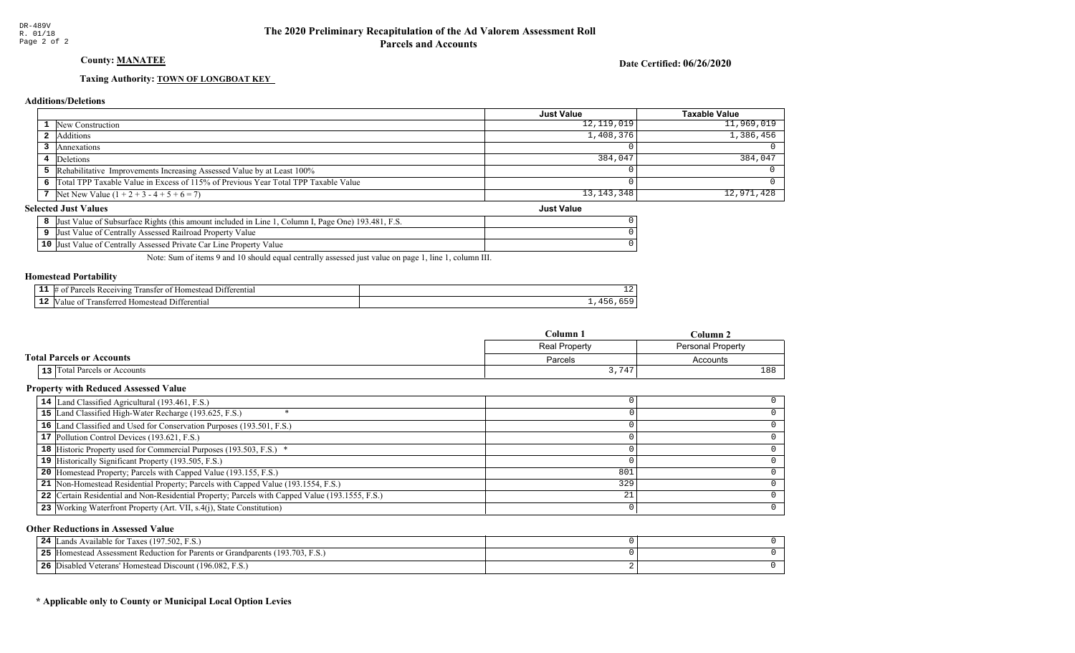## County: **MANATEE**

Date Certified: 06/26/2020

Just Value

#### Taxing Authority: **TOWN OF LONGBOAT KEY**

#### Additions/Deletions

|                                                                                      | Just Value   | <b>Taxable Value</b> |
|--------------------------------------------------------------------------------------|--------------|----------------------|
| <b>1</b> New Construction                                                            | 12,119,019   | 11,969,019           |
| 2 Additions                                                                          | 1,408,376    | 1,386,456            |
| Annexations                                                                          |              |                      |
| Deletions                                                                            | 384,047      | $384,047$            |
| 5 Rehabilitative Improvements Increasing Assessed Value by at Least 100%             |              |                      |
| 6 Total TPP Taxable Value in Excess of 115% of Previous Year Total TPP Taxable Value |              |                      |
| 7 Net New Value $(1 + 2 + 3 - 4 + 5 + 6 = 7)$                                        | 13, 143, 348 | 12,971,428           |

#### **Selected Just Values**

|                 | . Page One) 193.481. F.S.<br>Value of Subsurface Rights (this amount included in Line<br>∵olumn l<br>IJust |  |
|-----------------|------------------------------------------------------------------------------------------------------------|--|
|                 | Just Value of Centrally Assessed Railroad Property Value                                                   |  |
| 10 <sup>7</sup> | Value of Centrally Assessed Private Car Line Property Value<br>IJust                                       |  |

Note: Sum of items 9 and 10 should equal centrally assessed just value on page 1, line 1, column III.

#### Homestead Portability

| . . | renti.<br>71n2<br>ranste<br>$^{\circ}$ | ᅩ |
|-----|----------------------------------------|---|
| --  | entia.<br>ונ                           |   |

|                                     | Column 1      | Column <sub>2</sub>      |
|-------------------------------------|---------------|--------------------------|
|                                     | Real Property | <b>Personal Property</b> |
| <b>Total Parcels or Accounts</b>    | Parcels       | Accounts                 |
| <b>13</b> Total Parcels or Accounts | 3,747         | 188                      |

#### Property with Reduced Assessed Value

| 14 Land Classified Agricultural (193.461, F.S.)                                                 |     |  |
|-------------------------------------------------------------------------------------------------|-----|--|
| 15 Land Classified High-Water Recharge (193.625, F.S.)                                          |     |  |
| 16 Land Classified and Used for Conservation Purposes (193.501, F.S.)                           |     |  |
| 17 Pollution Control Devices (193.621, F.S.)                                                    |     |  |
| 18 Historic Property used for Commercial Purposes (193.503, F.S.) *                             |     |  |
| 19 Historically Significant Property (193.505, F.S.)                                            |     |  |
| <b>20</b> Homestead Property; Parcels with Capped Value (193.155, F.S.)                         | 801 |  |
| 21 Non-Homestead Residential Property; Parcels with Capped Value (193.1554, F.S.)               | 329 |  |
| 22 Certain Residential and Non-Residential Property; Parcels with Capped Value (193.1555, F.S.) | 21  |  |
| 23 Working Waterfront Property (Art. VII, s.4(j), State Constitution)                           |     |  |
|                                                                                                 |     |  |

#### Other Reductions in Assessed Value

| ands Available for Taxes (197.502, F.S.)<br>24                                       |  |
|--------------------------------------------------------------------------------------|--|
| 5 [Homestead Assessment Reduction for Parents or Grandparents (193.703, F.S.)<br>25. |  |
| Disabled Veterans' Homestead Discount (196.082, F.S.)<br>26                          |  |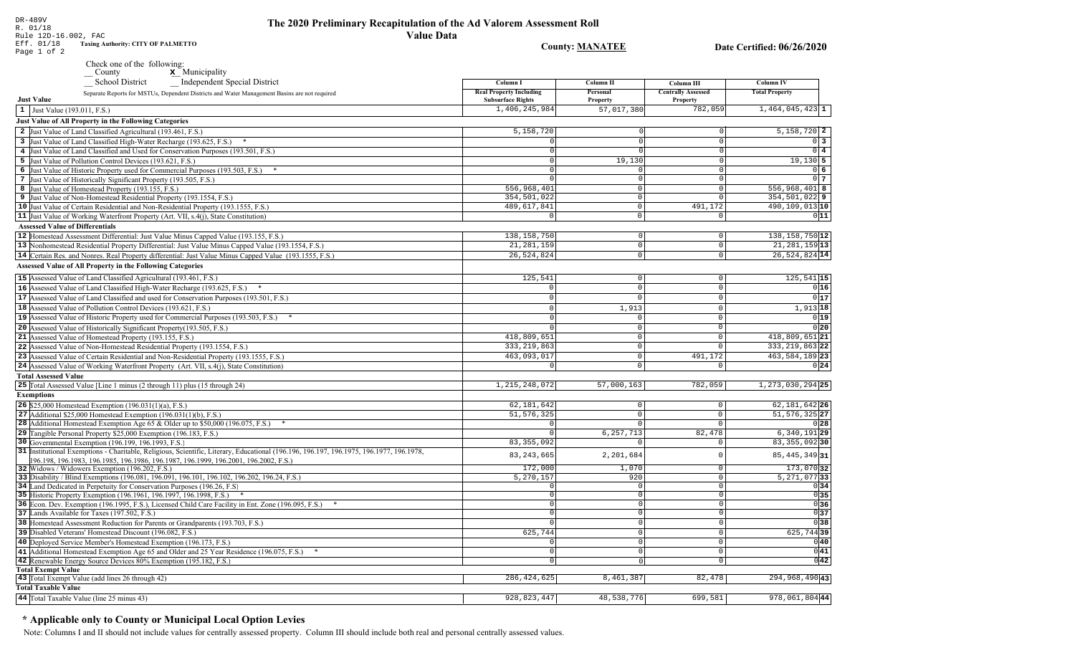## The 2020 Preliminary Recapitulation of the Ad Valorem Assessment Roll **Value Data**

**County: MANATEE** 

Date Certified: 06/26/2020

Taxing Authority: CITY OF PALMETTO

# Check one of the following:<br>  $\begin{array}{c}\n\blacksquare$  County  $\blacksquare$  Municipality

| Independent Special District<br><b>School District</b>                                                                                                                                                                     | Column I                                                   | Column II                  | Column III                            | <b>Column IV</b>               |
|----------------------------------------------------------------------------------------------------------------------------------------------------------------------------------------------------------------------------|------------------------------------------------------------|----------------------------|---------------------------------------|--------------------------------|
| Separate Reports for MSTUs, Dependent Districts and Water Management Basins are not required<br><b>Just Value</b>                                                                                                          | <b>Real Property Including</b><br><b>Subsurface Rights</b> | Personal<br>Property       | <b>Centrally Assessed</b><br>Property | <b>Total Property</b>          |
| 1 Just Value (193.011, F.S.)                                                                                                                                                                                               | 1,406,245,984                                              | 57,017,380                 | 782,059                               | $1,464,045,423$ 1              |
| <b>Just Value of All Property in the Following Categories</b>                                                                                                                                                              |                                                            |                            |                                       |                                |
|                                                                                                                                                                                                                            |                                                            |                            | $\Omega$                              |                                |
| 2 Just Value of Land Classified Agricultural (193.461, F.S.)                                                                                                                                                               | 5,158,720                                                  |                            |                                       | $5,158,720$ 2                  |
| 3 Just Value of Land Classified High-Water Recharge (193.625, F.S.) *                                                                                                                                                      | $\Omega$                                                   | $\Omega$                   | $\mathbf 0$                           | $\overline{0}$ 3               |
| 4 Just Value of Land Classified and Used for Conservation Purposes (193.501, F.S.)                                                                                                                                         | $\Omega$                                                   |                            | $\Omega$                              | $0\overline{4}$                |
| 5 Just Value of Pollution Control Devices (193.621, F.S.)                                                                                                                                                                  | $\Omega$                                                   | 19,130                     | $\Omega$                              | 19,130 5                       |
| 6 Just Value of Historic Property used for Commercial Purposes (193.503, F.S.) *                                                                                                                                           | $\Omega$<br>$\Omega$                                       | $\Omega$                   | $\mathbf{0}$<br>$\mathbf 0$           | $0\overline{6}$                |
| 7 Just Value of Historically Significant Property (193.505, F.S.)                                                                                                                                                          |                                                            | $\mathbf 0$                |                                       | 0 <sub>7</sub>                 |
| 8 Just Value of Homestead Property (193.155, F.S.)                                                                                                                                                                         | 556,968,401                                                | $\Omega$<br>$\overline{0}$ | $\mathsf 0$<br>$\overline{0}$         | 556,968,401 8<br>9 354,501,022 |
| 9 Just Value of Non-Homestead Residential Property (193.1554, F.S.)                                                                                                                                                        | 354,501,022<br>489, 617, 841                               | $\Omega$                   | 491,172                               | 490,109,013 10                 |
| 10 Just Value of Certain Residential and Non-Residential Property (193.1555, F.S.)                                                                                                                                         | $\Omega$                                                   | $\Omega$                   | $\Omega$                              | 011                            |
| 11 Just Value of Working Waterfront Property (Art. VII, s.4(j), State Constitution)                                                                                                                                        |                                                            |                            |                                       |                                |
| <b>Assessed Value of Differentials</b>                                                                                                                                                                                     |                                                            |                            |                                       |                                |
| 12 Homestead Assessment Differential: Just Value Minus Capped Value (193.155, F.S.)                                                                                                                                        | 138, 158, 750                                              | $\Omega$                   | $\mathbf 0$                           | 138, 158, 750 12               |
| 13 Nonhomestead Residential Property Differential: Just Value Minus Capped Value (193.1554, F.S.)                                                                                                                          | 21, 281, 159                                               | $\overline{0}$             | $\mathbb O$                           | 21, 281, 159 13                |
| 14 Certain Res. and Nonres. Real Property differential: Just Value Minus Capped Value (193.1555, F.S.)                                                                                                                     | 26,524,824                                                 | $\Omega$                   | $\mathbf 0$                           | 26,524,824 14                  |
| <b>Assessed Value of All Property in the Following Categories</b>                                                                                                                                                          |                                                            |                            |                                       |                                |
| 15 Assessed Value of Land Classified Agricultural (193.461, F.S.)                                                                                                                                                          | 125,541                                                    | $\Omega$                   | $\Omega$                              | 125, 541 15                    |
| 16 Assessed Value of Land Classified High-Water Recharge (193.625, F.S.) *                                                                                                                                                 | $\Omega$                                                   | $\Omega$                   | $\mathsf 0$                           | 0 16                           |
| 17 Assessed Value of Land Classified and used for Conservation Purposes (193.501, F.S.)                                                                                                                                    | $\Omega$                                                   | $\Omega$                   | $\mathsf 0$                           | 0 17                           |
| 18 Assessed Value of Pollution Control Devices (193.621, F.S.)                                                                                                                                                             |                                                            | 1,913                      | $\mathbf 0$                           | $1,913$ 18                     |
| 19 Assessed Value of Historic Property used for Commercial Purposes (193.503, F.S.)                                                                                                                                        |                                                            | $\Omega$                   | $\circ$                               | 0 19                           |
| 20 Assessed Value of Historically Significant Property (193.505, F.S.)                                                                                                                                                     |                                                            | $\Omega$                   | $\overline{0}$                        | 0 20                           |
| 21 Assessed Value of Homestead Property (193.155, F.S.)                                                                                                                                                                    | 418,809,651                                                | $\mathbf 0$                | $\circ$                               | 418,809,651 21                 |
|                                                                                                                                                                                                                            | 333, 219, 863                                              | $\Omega$                   | $\Omega$                              | 333, 219, 863 22               |
| 22 Assessed Value of Non-Homestead Residential Property (193.1554, F.S.)                                                                                                                                                   |                                                            |                            |                                       |                                |
| 23 Assessed Value of Certain Residential and Non-Residential Property (193.1555, F.S.)                                                                                                                                     | 463,093,017                                                | $\overline{0}$<br>$\Omega$ | 491,172                               | 463, 584, 189 23               |
| 24 Assessed Value of Working Waterfront Property (Art. VII, s.4(j), State Constitution)                                                                                                                                    | $\Omega$                                                   |                            | $\Omega$                              | 0 24                           |
| <b>Total Assessed Value</b>                                                                                                                                                                                                |                                                            |                            |                                       |                                |
| 25 Total Assessed Value [Line 1 minus (2 through 11) plus (15 through 24)                                                                                                                                                  | 1, 215, 248, 072                                           | 57,000,163                 | 782,059                               | 1, 273, 030, 294 25            |
| <b>Exemptions</b>                                                                                                                                                                                                          |                                                            |                            |                                       |                                |
| <b>26</b> \$25,000 Homestead Exemption $(196.031(1)(a), F.S.)$                                                                                                                                                             | 62,181,642                                                 | $\overline{0}$             | $\mathsf{O}\xspace$                   | 62, 181, 642 26                |
| 27 Additional \$25,000 Homestead Exemption $(196.031(1)(b), F.S.)$                                                                                                                                                         | 51, 576, 325                                               | $\circ$                    | $\mathbb O$                           | $51, 576, 325$ 27              |
| 28 Additional Homestead Exemption Age 65 & Older up to \$50,000 (196.075, F.S.) *                                                                                                                                          | $\Omega$                                                   | $\overline{0}$             | $\Omega$                              | 0 28                           |
| 29 Tangible Personal Property \$25,000 Exemption (196.183, F.S.)                                                                                                                                                           |                                                            | 6, 257, 713                | 82,478                                | $6,340,191$ <sub>29</sub>      |
| 30 Governmental Exemption (196.199, 196.1993, F.S.)                                                                                                                                                                        | 83, 355, 092                                               | $\circ$                    | $\mathbf 0$                           | 83, 355, 092 30                |
| 31 Institutional Exemptions - Charitable, Religious, Scientific, Literary, Educational (196.196.197. 196.1975, 196.1977, 196.1978,<br>196.198, 196.1983, 196.1985, 196.1986, 196.1987, 196.1999, 196.2001, 196.2002, F.S.) | 83, 243, 665                                               | 2,201,684                  | $\Omega$                              | 85, 445, 349 31                |
| 32 Widows / Widowers Exemption (196.202, F.S.)                                                                                                                                                                             | 172,000                                                    | 1,070                      | $\Omega$                              | 173,070 32                     |
| 33 Disability / Blind Exemptions (196.081, 196.091, 196.101, 196.102, 196.202, 196.24, F.S.)                                                                                                                               | 5,270,157                                                  | 920                        | $\mathsf 0$                           | $5,271,077$ 33                 |
| 34 Land Dedicated in Perpetuity for Conservation Purposes (196.26, F.S.)                                                                                                                                                   |                                                            | $\Omega$                   | $\Omega$                              | 0 34                           |
| 35 Historic Property Exemption (196.1961, 196.1997, 196.1998, F.S.) *                                                                                                                                                      | $\Omega$                                                   | 0                          | $\mathbf 0$                           | $\overline{0}$ 35              |
| 36 Econ. Dev. Exemption (196.1995, F.S.), Licensed Child Care Facility in Ent. Zone (196.095, F.S.) *                                                                                                                      |                                                            | $\Omega$                   | $\overline{0}$                        | 036                            |
| 37 Lands Available for Taxes (197.502, F.S.)                                                                                                                                                                               |                                                            | $\circ$                    | $\mathbf{0}$                          | $\overline{0}$ 37              |
| 38 Homestead Assessment Reduction for Parents or Grandparents (193.703, F.S.)                                                                                                                                              |                                                            | 0                          | $\overline{0}$                        | 038                            |
| 39 Disabled Veterans' Homestead Discount (196.082, F.S.)                                                                                                                                                                   | 625,744                                                    | $\overline{0}$             | $\mathbb O$                           | $625,744$ 39                   |
| 40 Deployed Service Member's Homestead Exemption (196.173, F.S.)                                                                                                                                                           |                                                            | $\Omega$                   | $\Omega$                              | 0 40                           |
| 41 Additional Homestead Exemption Age 65 and Older and 25 Year Residence (196.075, F.S.)                                                                                                                                   | $\Omega$                                                   | 0                          | $\circ$                               | 0 41                           |
| 42 Renewable Energy Source Devices 80% Exemption (195.182, F.S.)                                                                                                                                                           | $\Omega$                                                   | $\Omega$                   | $\mathbf 0$                           | $0\overline{42}$               |
| <b>Total Exempt Value</b>                                                                                                                                                                                                  |                                                            |                            |                                       |                                |
| 43 Total Exempt Value (add lines 26 through 42)                                                                                                                                                                            | 286, 424, 625                                              | 8,461,387                  | 82,478                                | 294, 968, 490 43               |
| <b>Total Taxable Value</b>                                                                                                                                                                                                 |                                                            |                            |                                       |                                |
| 44 Total Taxable Value (line 25 minus 43)                                                                                                                                                                                  | 928, 823, 447                                              | 48,538,776                 | 699,581                               | 978,061,804 44                 |

## \* Applicable only to County or Municipal Local Option Levies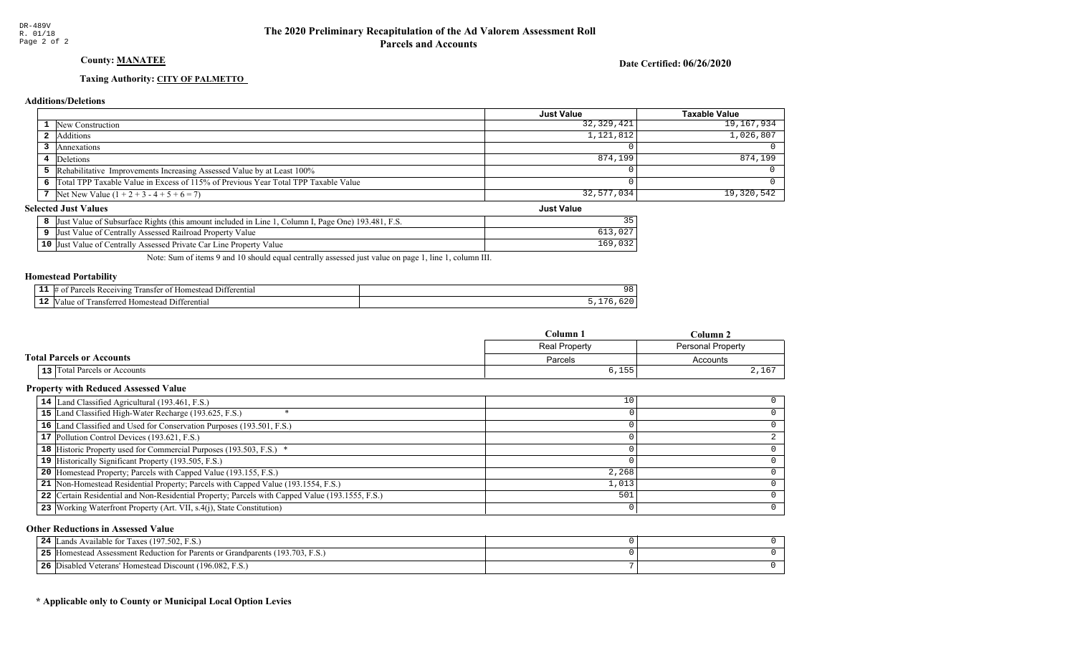## County: **MANATEE**

Date Certified: 06/26/2020

Just Value

#### Taxing Authority: CITY OF PALMETTO

#### Additions/Deletions

|                                                                                      | <b>Just Value</b> | <b>Taxable Value</b> |
|--------------------------------------------------------------------------------------|-------------------|----------------------|
| <b>1</b> New Construction                                                            | 32,329,421        | 19, 167, 934         |
| <b>2</b> Additions                                                                   | 1,121,812         | 1,026,807            |
| Annexations                                                                          |                   |                      |
| 4 Deletions                                                                          | 874,199           | 874,199              |
| 5 Rehabilitative Improvements Increasing Assessed Value by at Least 100%             |                   |                      |
| 6 Total TPP Taxable Value in Excess of 115% of Previous Year Total TPP Taxable Value |                   |                      |
| 7 Net New Value $(1 + 2 + 3 - 4 + 5 + 6 = 7)$                                        | 32,577,034        | $19,320,542$         |

## **Selected Just Values**

| t Value of Subsurface Rights (this amount included in Line 1, Column I, Page One) 193.481, F.S.<br> Just | 35 |
|----------------------------------------------------------------------------------------------------------|----|
| Just Value of Centrally Assessed Railroad Property Value                                                 |    |
| 10 Just Value of Centrally Assessed Private Car Line Property Value                                      |    |

Note: Sum of items 9 and 10 should equal centrally assessed just value on page 1, line 1, column III.

#### Homestead Portability

| - -<br>. . | entia"<br>$^7$ 10<br>, angter | . . |
|------------|-------------------------------|-----|
| - 4        | entiai<br>71.<br>ш            |     |

|                                  | $C$ olumn     | $Column$ .               |
|----------------------------------|---------------|--------------------------|
|                                  | Real Property | <b>Personal Property</b> |
| <b>Total Parcels or Accounts</b> | Parcels       | Accounts                 |
| 13 Total Parcels or Accounts     | 6,155         | 2,167                    |

#### Property with Reduced Assessed Value

| 14 Land Classified Agricultural (193.461, F.S.)                                                 | 10    |  |
|-------------------------------------------------------------------------------------------------|-------|--|
| 15 Land Classified High-Water Recharge (193.625, F.S.)                                          |       |  |
| 16 Land Classified and Used for Conservation Purposes (193.501, F.S.)                           |       |  |
| 17 Pollution Control Devices (193.621, F.S.)                                                    |       |  |
| 18 Historic Property used for Commercial Purposes (193.503, F.S.) *                             |       |  |
| 19 Historically Significant Property (193.505, F.S.)                                            |       |  |
| <b>20</b> Homestead Property; Parcels with Capped Value (193.155, F.S.)                         | 2,268 |  |
| 21 Non-Homestead Residential Property; Parcels with Capped Value (193.1554, F.S.)               | 1,013 |  |
| 22 Certain Residential and Non-Residential Property; Parcels with Capped Value (193.1555, F.S.) | 501   |  |
| 23 Working Waterfront Property (Art. VII, s.4(j), State Constitution)                           |       |  |

#### Other Reductions in Assessed Value

| Available for Taxes (197.502, F.S.)<br>ΟΔ.<br>ands<br>- - -                        |  |
|------------------------------------------------------------------------------------|--|
| I Homestead Assessment Reduction for Parents or Grandparents (193.703, F.S.)<br>つち |  |
| Disabled Veterans' Homestead Discount (196.082, F.S.)<br>-26                       |  |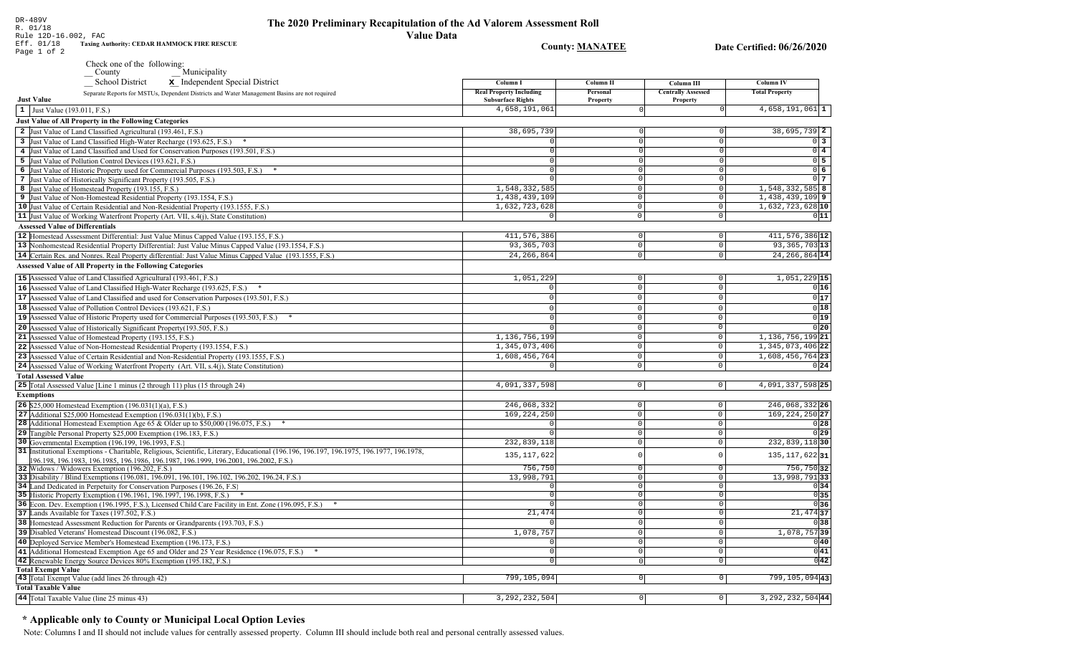| Rule 12D-16.002, FAC<br>Eff. 01/18     | <b>Value Data</b><br>Taxing Authority: CEDAR HAMMOCK FIRE RESCUE                                                                                    |                                            |                                  |                                       |                                      |
|----------------------------------------|-----------------------------------------------------------------------------------------------------------------------------------------------------|--------------------------------------------|----------------------------------|---------------------------------------|--------------------------------------|
| Page 1 of 2                            |                                                                                                                                                     |                                            | <b>County: MANATEE</b>           |                                       | Date Certified: 06/26/2020           |
|                                        | Check one of the following:                                                                                                                         |                                            |                                  |                                       |                                      |
|                                        | Municipality<br>$\overline{\phantom{a}}$ County                                                                                                     |                                            |                                  |                                       |                                      |
|                                        | _School District<br>x Independent Special District                                                                                                  | Column I<br><b>Real Property Including</b> | Column II                        | Column III                            | Column IV                            |
| <b>Just Value</b>                      | Separate Reports for MSTUs, Dependent Districts and Water Management Basins are not required                                                        | <b>Subsurface Rights</b>                   | Personal<br><b>Property</b>      | <b>Centrally Assessed</b><br>Property | <b>Total Property</b>                |
| 1 Just Value (193.011, F.S.)           |                                                                                                                                                     | 4,658,191,061                              | $\circ$                          |                                       | $4,658,191,061$ 1                    |
|                                        | Just Value of All Property in the Following Categories                                                                                              |                                            |                                  |                                       |                                      |
|                                        | 2 Just Value of Land Classified Agricultural (193.461, F.S.)                                                                                        | 38,695,739                                 |                                  |                                       | 38,695,739 2                         |
|                                        | 3 Just Value of Land Classified High-Water Recharge (193.625, F.S.) *                                                                               | $\Omega$                                   | $\Omega$                         | $\Omega$                              | $\overline{0}$ 3                     |
|                                        | 4 Just Value of Land Classified and Used for Conservation Purposes (193.501, F.S.)                                                                  | $\Omega$                                   | $\Omega$                         | $\Omega$                              | $\overline{0}$ 4                     |
|                                        | 5 Just Value of Pollution Control Devices (193.621, F.S.)                                                                                           | $\Omega$                                   | $\Omega$                         | $\Omega$                              | $\overline{0}$ 5                     |
|                                        | 6 Just Value of Historic Property used for Commercial Purposes (193.503, F.S.) *                                                                    | 0                                          | $\Omega$                         | $\Omega$                              | 06                                   |
|                                        | 7 Just Value of Historically Significant Property (193.505, F.S.)                                                                                   | 0                                          | $\overline{0}$<br>$\overline{0}$ | $\overline{0}$                        | $0\overline{7}$<br>$1,548,332,585$ 8 |
|                                        | 8 Just Value of Homestead Property (193.155, F.S.)<br>9 Just Value of Non-Homestead Residential Property (193.1554, F.S.)                           | 1,548,332,585<br>1,438,439,109             | $\mathbf 0$                      | 0 <br> 0                              | $1,438,439,109$ 9                    |
|                                        | 10 Just Value of Certain Residential and Non-Residential Property (193.1555, F.S.)                                                                  | 1,632,723,628                              | $\mathbf{0}$                     | $\circ$                               | 1,632,723,628 10                     |
|                                        | 11 Just Value of Working Waterfront Property (Art. VII, s.4(j), State Constitution)                                                                 | 0                                          | $\circ$                          | $\Omega$                              | 011                                  |
| <b>Assessed Value of Differentials</b> |                                                                                                                                                     |                                            |                                  |                                       |                                      |
|                                        | 12 Homestead Assessment Differential: Just Value Minus Capped Value (193.155, F.S.)                                                                 | 411,576,386                                | 0                                | $\circ$                               | $411,576,386$ <sup>12</sup>          |
|                                        | 13 Nonhomestead Residential Property Differential: Just Value Minus Capped Value (193.1554, F.S.)                                                   | 93, 365, 703                               | $\circ$                          | $\circ$                               | 93, 365, 703 13                      |
|                                        | 14 Certain Res. and Nonres. Real Property differential: Just Value Minus Capped Value (193.1555, F.S.)                                              | 24, 266, 864                               | 0                                | $\mathbf 0$                           | 24, 266, 864 14                      |
|                                        | <b>Assessed Value of All Property in the Following Categories</b>                                                                                   |                                            |                                  |                                       |                                      |
|                                        | 15 Assessed Value of Land Classified Agricultural (193.461, F.S.)                                                                                   | 1,051,229                                  | 0                                | $\mathbf 0$                           | 1,051,229 15                         |
|                                        | 16 Assessed Value of Land Classified High-Water Recharge (193.625, F.S.)                                                                            | $\overline{0}$                             | 0                                | $\mathbf 0$                           | 0 16                                 |
|                                        | 17 Assessed Value of Land Classified and used for Conservation Purposes (193.501, F.S.)                                                             | $\Omega$                                   | $\circ$                          | $\Omega$                              | 0 17                                 |
|                                        | 18 Assessed Value of Pollution Control Devices (193.621, F.S.)                                                                                      | $\mathbf 0$                                | 0                                | $\overline{0}$                        | 0 18                                 |
|                                        | 19 Assessed Value of Historic Property used for Commercial Purposes (193.503, F.S.) *                                                               | $\Omega$                                   | $\Omega$                         | $\Omega$                              | 0 19                                 |
|                                        | 20 Assessed Value of Historically Significant Property (193.505, F.S.)                                                                              | $\Omega$                                   | 0                                | $\mathsf 0$                           | 0 20                                 |
|                                        | 21 Assessed Value of Homestead Property (193.155, F.S.)                                                                                             | 1,136,756,199                              | 0                                | $\mathsf 0$                           | 1, 136, 756, 199 21                  |
|                                        | 22 Assessed Value of Non-Homestead Residential Property (193.1554, F.S.)                                                                            | 1,345,073,406                              | 0                                | $\mathsf 0$                           | 1, 345, 073, 406 22                  |
|                                        | 23 Assessed Value of Certain Residential and Non-Residential Property (193.1555, F.S.)                                                              | 1,608,456,764                              | $\circ$                          | $\mathbf 0$                           | 1,608,456,764 23                     |
|                                        | 24 Assessed Value of Working Waterfront Property (Art. VII, s.4(j), State Constitution)                                                             | $\mathbf 0$                                | 0                                | $\mathsf 0$                           | 0 24                                 |
| <b>Total Assessed Value</b>            |                                                                                                                                                     |                                            |                                  |                                       |                                      |
|                                        | <b>25</b> Total Assessed Value [Line 1 minus (2 through 11) plus (15 through 24)                                                                    | 4,091,337,598                              | 0                                | 0                                     | 4,091,337,598 25                     |
| <b>Exemptions</b>                      |                                                                                                                                                     |                                            |                                  |                                       |                                      |
|                                        | <b>26</b> \$25,000 Homestead Exemption $(196.031(1)(a), F.S.)$                                                                                      | 246,068,332                                | 0                                | $\circ$                               | 246,068,332 26                       |
|                                        | 27 Additional \$25,000 Homestead Exemption (196.031(1)(b), F.S.)<br>28 Additional Homestead Exemption Age 65 & Older up to \$50,000 (196.075, F.S.) | 169, 224, 250<br>$\Omega$                  | $\overline{0}$<br> 0             | $\mathbb O$<br>$\overline{0}$         | 169, 224, 250 27<br>0 28             |
|                                        | 29 Tangible Personal Property \$25,000 Exemption (196.183, F.S.)                                                                                    | $\Omega$                                   | 0                                | $\mathsf 0$                           | 0 29                                 |
|                                        | 30 Governmental Exemption (196.199, 196.1993, F.S.)                                                                                                 | 232,839,118                                | $\circ$                          | $\mathsf 0$                           | 232,839,11830                        |
|                                        | 31 Institutional Exemptions - Charitable, Religious, Scientific, Literary, Educational (196.196.197, 196.1975, 196.1977, 196.1978,                  |                                            |                                  |                                       |                                      |
|                                        | [96.198, 196.1983, 196.1985, 196.1986, 196.1987, 196.1999, 196.2001, 196.2002, F.S.)                                                                | 135, 117, 622                              | $\Omega$                         | $\Omega$                              | 135, 117, 622 31                     |
|                                        | 32 Widows / Widowers Exemption (196.202, F.S.)                                                                                                      | 756,750                                    | 0                                | $\mathbf 0$                           | 756,750 32                           |
|                                        | 33 Disability / Blind Exemptions (196.081, 196.091, 196.101, 196.102, 196.202, 196.24, F.S.)                                                        | 13,998,791                                 | 0                                | $\circ$                               | 13,998,79133                         |
|                                        | 34 Land Dedicated in Perpetuity for Conservation Purposes (196.26, F.S.)<br>35 Historic Property Exemption (196.1961, 196.1997, 196.1998, F.S.) *   | $\Omega$<br>$\circ$                        | $\overline{0}$<br>0              | $\circ$<br>$\mathbf{0}$               | 0 34<br>0 35                         |
|                                        | 36 Econ. Dev. Exemption (196.1995, F.S.), Licensed Child Care Facility in Ent. Zone (196.095, F.S.) *                                               | $\overline{0}$                             | 0                                | $\Omega$                              | $\overline{0}$ 36                    |
|                                        | 37 Lands Available for Taxes (197.502, F.S.)                                                                                                        | 21,474                                     | 0                                | 0                                     | $21,474$ 37                          |
|                                        | 38 Homestead Assessment Reduction for Parents or Grandparents (193.703, F.S.)                                                                       |                                            | 0                                | $\Omega$                              | 0 38                                 |
|                                        | 39 Disabled Veterans' Homestead Discount (196.082, F.S.)                                                                                            | 1,078,757                                  | 0                                | $\mathbf 0$                           | $1,078,757$ 39                       |
|                                        | 40 Deployed Service Member's Homestead Exemption (196.173, F.S.)                                                                                    |                                            | 0                                | $\circ$                               | 0 40                                 |
|                                        | 41 Additional Homestead Exemption Age 65 and Older and 25 Year Residence (196.075, F.S.) *                                                          | $\circ$                                    | 0                                | 0                                     | $\overline{0 41}$                    |
|                                        | 42 Renewable Energy Source Devices 80% Exemption (195.182, F.S.)                                                                                    | $\overline{0}$                             | 0                                | 0                                     | 0 42                                 |
| <b>Total Exempt Value</b>              |                                                                                                                                                     |                                            |                                  |                                       |                                      |
| <b>Total Taxable Value</b>             | 43 Total Exempt Value (add lines 26 through 42)                                                                                                     | 799,105,094                                | 0                                | $\overline{0}$                        | 799, 105, 094 43                     |
|                                        | 44 Total Taxable Value (line 25 minus 43)                                                                                                           | 3, 292, 232, 504                           | 0                                | $\circ$                               | $3,292,232,504$ 44                   |
|                                        |                                                                                                                                                     |                                            |                                  |                                       |                                      |

## \* Applicable only to County or Municipal Local Option Levies

Note: Columns I and II should not include values for centrally assessed property. Column III should include both real and personal centrally assessed values.

DR-489V<br>R. 01/18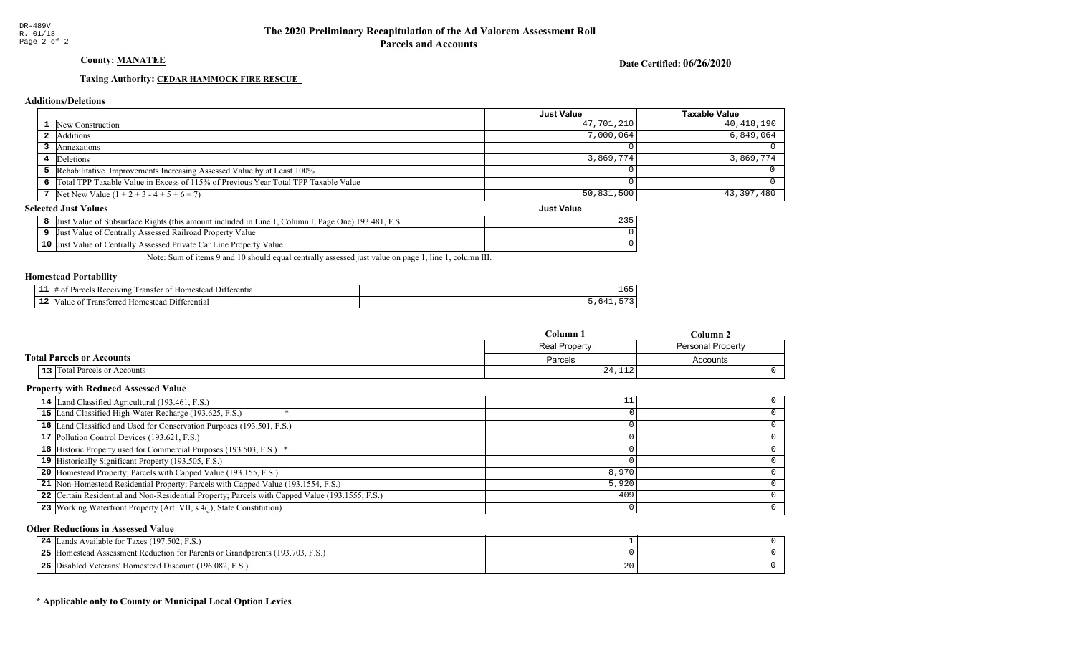County: **MANATEE** 

Date Certified: 06/26/2020

Just Value

#### Taxing Authority: CEDAR HAMMOCK FIRE RESCUE

#### Additions/Deletions

|                                                                                      | <b>Just Value</b> | Taxable Value |
|--------------------------------------------------------------------------------------|-------------------|---------------|
| <b>1</b> New Construction                                                            | 47,701,210        | 40,418,190    |
| 2 Additions                                                                          | 7,000,064         | 6,849,064     |
| Annexations                                                                          |                   |               |
| 4 Deletions                                                                          | 3,869,774         | 3,869,774     |
| <b>5</b> Rehabilitative Improvements Increasing Assessed Value by at Least 100%      |                   |               |
| 6 Total TPP Taxable Value in Excess of 115% of Previous Year Total TPP Taxable Value |                   |               |
| 7 Net New Value $(1 + 2 + 3 - 4 + 5 + 6 = 7)$                                        | 50,831,500        | 43,397,480    |

### **Selected Just Values**

| t Value of Subsurface Rights (this amount included in Line 1.<br>Column I, Page One) 193.481, F.S.<br>IJust | 235 |
|-------------------------------------------------------------------------------------------------------------|-----|
| Just Value of Centrally Assessed Railroad Property Value                                                    |     |
| 10 Just Value of Centrally Assessed Private Car Line Property Value                                         |     |

Note: Sum of items 9 and 10 should equal centrally assessed just value on page 1, line 1, column III.

#### Homestead Portability

|     | 11 ا (<br>rential<br>eiving<br>. .<br>⊻arเ<br>Ωì<br>.domer<br>ranster<br>$\sim$ | - -<br>∸ ∽ |
|-----|---------------------------------------------------------------------------------|------------|
| . . | -111<br>$. \sim$<br>entia<br>domester<br>an<br>c≏r                              |            |

|                                  | $Column_1$           | Column 2                 |
|----------------------------------|----------------------|--------------------------|
|                                  | <b>Real Property</b> | <b>Personal Property</b> |
| <b>Total Parcels or Accounts</b> | Parcels              | Accounts                 |
| 13 Total Parcels or Accounts     | 24,112               |                          |

#### Property with Reduced Assessed Value

| 14 Land Classified Agricultural (193.461, F.S.)                                                 | ᅩᅩ    |  |
|-------------------------------------------------------------------------------------------------|-------|--|
| 15 Land Classified High-Water Recharge (193.625, F.S.)                                          |       |  |
| 16 Land Classified and Used for Conservation Purposes (193.501, F.S.)                           |       |  |
| 17 Pollution Control Devices (193.621, F.S.)                                                    |       |  |
| 18 Historic Property used for Commercial Purposes (193.503, F.S.) *                             |       |  |
| 19 Historically Significant Property (193.505, F.S.)                                            |       |  |
| <b>20</b> Homestead Property; Parcels with Capped Value (193.155, F.S.)                         | 8,970 |  |
| 21 Non-Homestead Residential Property; Parcels with Capped Value (193.1554, F.S.)               | 5,920 |  |
| 22 Certain Residential and Non-Residential Property; Parcels with Capped Value (193.1555, F.S.) | 409   |  |
| 23 Working Waterfront Property (Art. VII, s.4(j), State Constitution)                           |       |  |

#### Other Reductions in Assessed Value

| <sup>T</sup> ands Available for Taxes (197.502, F.S.)<br>24                             |    |  |
|-----------------------------------------------------------------------------------------|----|--|
| [Homestead Assessment Reduction for Parents or Grandparents (193.703, F.S.)<br>つら<br>-- |    |  |
| Disabled Veterans' Homestead Discount (196.082, F.S.)<br>26                             | ∠∪ |  |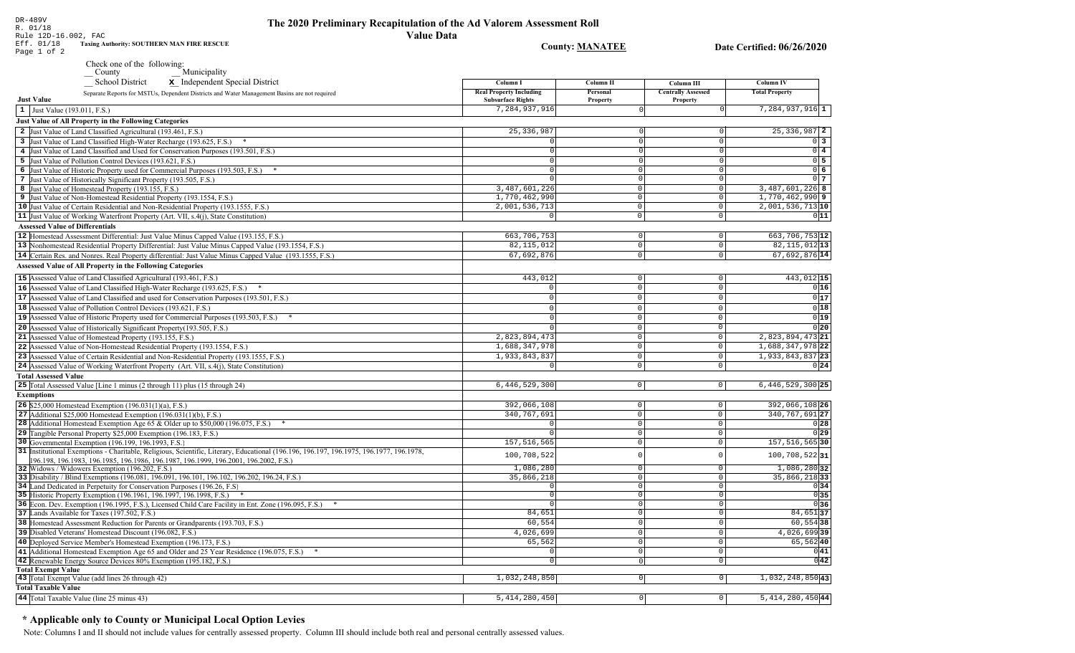Rule 12D-16.002, FAC Eff. 01/18 **Taxing Authority: SOUTHERN MAN FIRE RESCUE County: MANATEE** Date Certified: 06/26/2020 Page 1 of 2 Check one of the following: Municipality School District x Independent Special District Column I **Column II** Column III **Column IV Real Property Including** Personal **Centrally Assessed Total Property** Separate Reports for MSTUs, Dependent Districts and Water Management Basins are not required **Just Value Subsurface Rights** Property Property 7,284,937,916  $7,284,937,916$ <sup>1</sup>  $\vert 1 \vert$  Just Value (193.011, F.S.) **Just Value of All Property in the Following Categories** 2 Just Value of Land Classified Agricultural (193.461, F.S.) 25, 336, 987  $25.336.987$  2 3 Just Value of Land Classified High-Water Recharge (193.625, F.S.) \*  $\Omega$  $0<sup>3</sup>$ 4 Just Value of Land Classified and Used for Conservation Purposes (193.501, F.S.)  $0\sqrt{4}$ 5 Just Value of Pollution Control Devices (193.621, F.S.)  $0\overline{5}$  $\Omega$ 6 Just Value of Historic Property used for Commercial Purposes (193.503, F.S.) \*  $0\sqrt{6}$ 7 Just Value of Historically Significant Property (193.505, F.S.)  $0<sub>1</sub>$  $\Omega$  $3.487.601.226$  $3.487.601.226$  8 8 Just Value of Homestead Property (193.155, F.S.)  $\cap$  $1,770,462,990$  9 1,770,462,990 9 Just Value of Non-Homestead Residential Property (193.1554, F.S.)  $\Omega$ 10 Just Value of Certain Residential and Non-Residential Property (193.1555, F.S.) 2,001,536,713  $2,001,536,713$  10  $\circ$ 11 Just Value of Working Waterfront Property (Art. VII, s.4(j), State Constitution)  $\overline{\circ}$  $011$  $\circ$ **Assessed Value of Differentials**  $663,706,753$  12 663, 706, 753 12 Homestead Assessment Differential: Just Value Minus Capped Value (193.155, F.S.)  $\Omega$  $\Omega$ 82, 115, 012 13 13 Nonhomestead Residential Property Differential: Just Value Minus Capped Value (193.1554, F.S.) 82, 115, 012  $\mathbb O$ 14 Certain Res. and Nonres. Real Property differential: Just Value Minus Capped Value (193.1555, F.S.) 67,692,876  $67,692,876$ <sup>14</sup>  $\cap$ **Assessed Value of All Property in the Following Categories** 15 Assessed Value of Land Classified Agricultural (193.461, F.S.) 443,012  $\Omega$ 443,012 15 16 Assessed Value of Land Classified High-Water Recharge (193.625, F.S.)  $0|16$  $\Omega$  $\Omega$  $\Omega$  $0|17$ **17** Assessed Value of Land Classified and used for Conservation Purposes (193.501, F.S.)  $|0|$  $\mathbf{0}$  $\overline{0}$  $0|18$ 18 Assessed Value of Pollution Control Devices (193.621, F.S.)  $\Omega$  $\Omega$  $\Omega$  $0|19|$ 19 Assessed Value of Historic Property used for Commercial Purposes (193.503, F.S.) \*  $\Omega$  $\Omega$ 20 Assessed Value of Historically Significant Property (193.505, F.S.)  $0|20|$  $\cap$  $\Omega$ 21 Assessed Value of Homestead Property (193.155, F.S.) 2,823,894,473 2,823,894,473 21  $\cap$ 22 Assessed Value of Non-Homestead Residential Property (193.1554, F.S.) 1,688,347,978  $\Omega$ 1,688,347,978 22 1,933,843,837 1,933,843,837 23 23 Assessed Value of Certain Residential and Non-Residential Property (193.1555, F.S.)  $\cap$  $\Omega$ 24 Assessed Value of Working Waterfront Property (Art. VII, s.4(j), State Constitution)  $0|24|$  $\mathbf{0}$  $\circ$ **Total Assessed Value** 25 Total Assessed Value [Line 1 minus (2 through 11) plus (15 through 24)  $6,446,529,300$  $\overline{0}$  $|0|$  $6,446,529,300$  25 **Exemptions** 392,066,108 392,066,108 26 **26** \$25,000 Homestead Exemption  $(196.031(1)(a), F.S.)$  $\overline{0}$  $\cap$ 340, 767, 691 27 27 Additional \$25,000 Homestead Exemption  $(196.031(1)(b), F.S.)$ 340, 767, 691  $\circ$  $\sqrt{2}$ 28 Additional Homestead Exemption Age 65 & Older up to \$50,000 (196.075, F.S.) \*  $\cap$  $\Omega$  $0|28|$ 29 Tangible Personal Property \$25,000 Exemption (196.183, F.S.)  $\overline{0}$  $\circ$ 029 30 Governmental Exemption (196.199, 196.1993, F.S.) 157, 516, 565  $\overline{\circ}$ 157, 516, 565 30 31 Institutional Exemptions - Charitable, Religious, Scientific, Literary, Educational (196.196, 196.197, 196.1977, 196.1977, 196.1978, 100,708,522  $\circ$ 100,708,52231 196.198, 196.1983, 196.1985, 196.1986, 196.1987, 196.1999, 196.2001, 196.2002, F.S.) 1.086.280 1,086,280 32 32 Widows / Widowers Exemption (196.202, F.S.)  $\Omega$ 33 Disability / Blind Exemptions (196.081, 196.091, 196.101, 196.102, 196.202, 196.24, F.S.) 35,866,218  $\overline{0}$  $35,866,218$  33 34 Land Dedicated in Perpetuity for Conservation Purposes (196.26, F.S)  $\cap$  $\overline{\circ}$  $0|34|$  $0|35|$ 35 Historic Property Exemption (196.1961, 196.1997, 196.1998, F.S.) \*  $\Omega$  $\circ$ 36 Econ. Dev. Exemption (196.1995, F.S.), Licensed Child Care Facility in Ent. Zone (196.095, F.S.) \*  $\overline{0}$  $0|36|$  $84,651$  37 37 Lands Available for Taxes (197.502, F.S.) 84,651  $\overline{0}$ 38 Homestead Assessment Reduction for Parents or Grandparents (193.703, F.S.)  $60.554$  $60, 554$  38 0 4,026,699 4,026,69939 39 Disabled Veterans' Homestead Discount (196.082, F.S.)  $\overline{0}$ 40 Deployed Service Member's Homestead Exemption (196.173, F.S.) 65,562  $\overline{0}$  $65,562$  40  $\overline{\circ}$  $0|41|$ 41 Additional Homestead Exemption Age 65 and Older and 25 Year Residence (196.075, F.S.) \*  $\Omega$  $\overline{0|42|}$ 42 Renewable Energy Source Devices 80% Exemption (195.182, F.S.)  $\overline{\phantom{0}}$  $\overline{0}$ **Total Exempt Value** 

#### 43 Total Exempt Value (add lines 26 through 42) 1,032,248,850  $\boxed{0}$  $1,032,248,850$ <sup>43</sup> **Total Taxable Value** 44 Total Taxable Value (line 25 minus 43) 5, 414, 280, 450  $\overline{0}$  $|0|$ 5, 414, 280, 450 44

### \* Applicable only to County or Municipal Local Option Levies

DR-489V

R. 01/18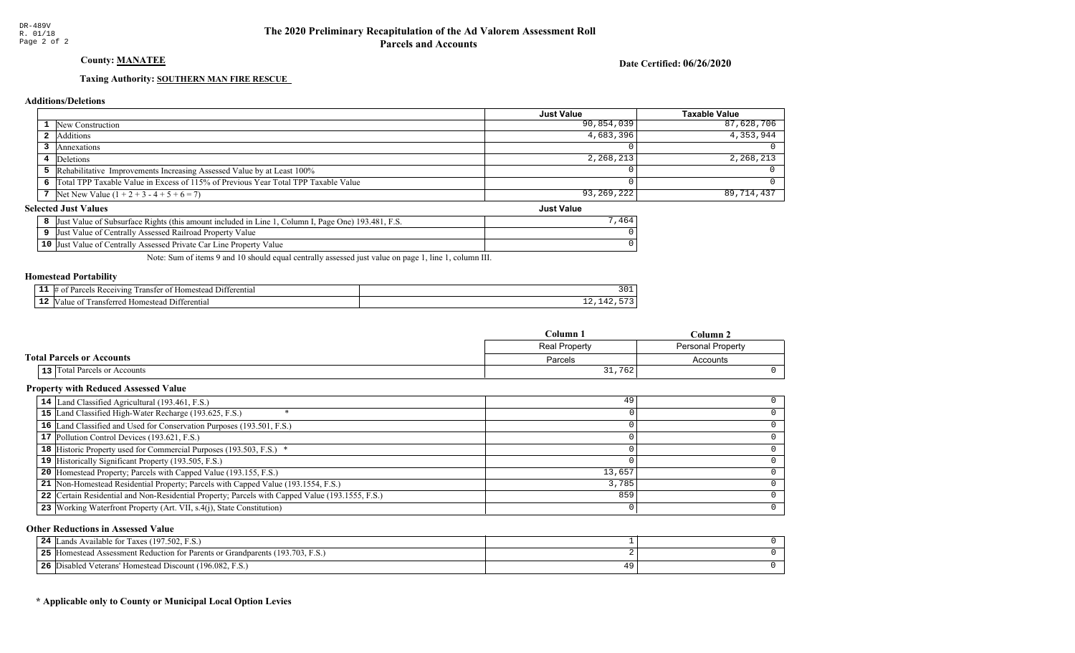## County: **MANATEE**

Date Certified: 06/26/2020

Just Value

#### Taxing Authority: SOUTHERN MAN FIRE RESCUE

#### Additions/Deletions

|                                                                                      | <b>Just Value</b> | <b>Taxable Value</b> |
|--------------------------------------------------------------------------------------|-------------------|----------------------|
| <b>1</b> New Construction                                                            | 90,854,039        | 87,628,706           |
| 2 Additions                                                                          | 4,683,396         | $4,353,944$          |
| Annexations                                                                          |                   |                      |
| 4 Deletions                                                                          | 2,268,213         | 2,268,213            |
| <b>5</b> Rehabilitative Improvements Increasing Assessed Value by at Least 100%      |                   |                      |
| 6 Total TPP Taxable Value in Excess of 115% of Previous Year Total TPP Taxable Value |                   |                      |
| 7 Net New Value $(1 + 2 + 3 - 4 + 5 + 6 = 7)$                                        | 93,269,222        | 89,714,437           |

#### **Selected Just Values**

| t Value of Subsurface Rights (this amount included in Line 1<br>Column I, Page One) $193.481$ , F.S.<br>IJust | 464 |
|---------------------------------------------------------------------------------------------------------------|-----|
| Just Value of Centrally Assessed Railroad Property Value                                                      |     |
| 10 Just Value of Centrally Assessed Private Car Line Property Value                                           |     |

Note: Sum of items 9 and 10 should equal centrally assessed just value on page 1, line 1, column III.

#### Homestead Portability

|     | 11 ا (<br>erentiai<br>uving<br>. .<br>⊻arเ<br>domer,<br>ranste<br>Ωì<br>$\sim$ | ---   |
|-----|--------------------------------------------------------------------------------|-------|
| . . | 11.<br>$\sim$<br>domest.<br>alu<br>entia<br>ื≏r                                | - - - |

|                                  | Column 1      | $Column \angle$          |
|----------------------------------|---------------|--------------------------|
|                                  | Real Property | <b>Personal Property</b> |
| <b>Total Parcels or Accounts</b> | Parcels       | Accounts                 |
| 13 Total Parcels or Accounts     | 31,762        |                          |

#### Property with Reduced Assessed Value

| 14 Land Classified Agricultural (193.461, F.S.)                                                 | 49     |  |
|-------------------------------------------------------------------------------------------------|--------|--|
| 15 Land Classified High-Water Recharge (193.625, F.S.)                                          |        |  |
| 16 Land Classified and Used for Conservation Purposes (193.501, F.S.)                           |        |  |
| 17 Pollution Control Devices (193.621, F.S.)                                                    |        |  |
| 18 Historic Property used for Commercial Purposes (193.503, F.S.) *                             |        |  |
| 19 Historically Significant Property (193.505, F.S.)                                            |        |  |
| <b>20</b> Homestead Property; Parcels with Capped Value (193.155, F.S.)                         | 13,657 |  |
| 21 Non-Homestead Residential Property; Parcels with Capped Value (193.1554, F.S.)               | 3,785  |  |
| 22 Certain Residential and Non-Residential Property; Parcels with Capped Value (193.1555, F.S.) | 859    |  |
| 23 Working Waterfront Property (Art. VII, s.4(j), State Constitution)                           |        |  |

#### Other Reductions in Assessed Value

| 24 $\mathbb L$ | Lands Available for Taxes (197.502, F.S.)                                           |  |
|----------------|-------------------------------------------------------------------------------------|--|
| 25             | and Assessment Reduction for Parents or Grandparents (193.703, F.S.)<br>- Homestead |  |
|                | 26 Disabled Veterans' Homestead Discount (196.082, F.S.)                            |  |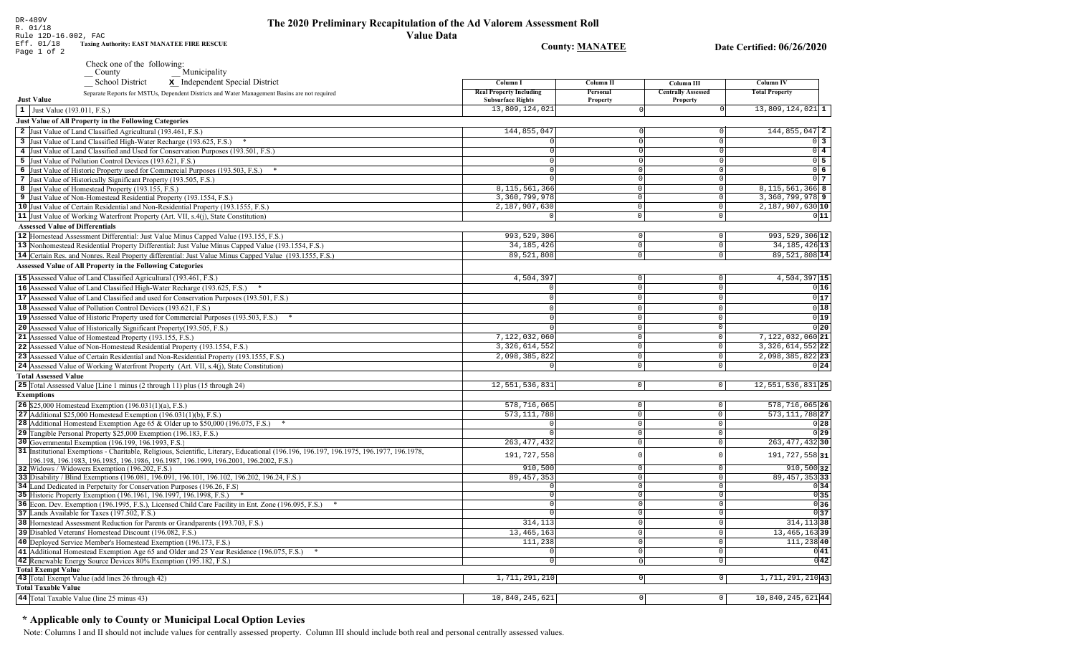**County: MANATEE** 

Taxing Authority: EAST MANATEE FIRE RESCUE

Check one of the following:<br>County Municipality

| <b>Real Property Including</b><br>Personal<br><b>Centrally Assessed</b><br><b>Total Property</b><br>Separate Reports for MSTUs, Dependent Districts and Water Management Basins are not required<br><b>Just Value</b><br><b>Subsurface Rights</b><br>Property<br>Property<br>13,809,124,021<br>$13,809,124,021$ 1<br> 0 <br>$\circ$<br>1 Just Value (193.011, F.S.)<br><b>Just Value of All Property in the Following Categories</b><br>2 Just Value of Land Classified Agricultural (193.461, F.S.)<br>144,855,047<br>$144,855,047$ 2<br>0<br>$\Omega$<br>$0\vert 3$<br>3 Just Value of Land Classified High-Water Recharge (193.625, F.S.)<br>$0\sqrt{4}$<br>4 Just Value of Land Classified and Used for Conservation Purposes (193.501, F.S.)<br>$\mathbf 0$<br>$0\overline{5}$<br>5 Just Value of Pollution Control Devices (193.621, F.S.)<br>$\overline{0}$<br>0 <sub>6</sub><br>$\mathbf 0$<br>6 Just Value of Historic Property used for Commercial Purposes (193.503, F.S.) *<br>$\Omega$<br>0 <sub>7</sub><br>$\Omega$<br>$\mathbf 0$<br>7 Just Value of Historically Significant Property (193.505, F.S.)<br>8,115,561,366<br>$\circ$<br>8, 115, 561, 366 8<br>8 Just Value of Homestead Property (193.155, F.S.)<br>$\mathsf 0$<br>3,360,799,978<br>$\mathsf 0$<br>$\circ$<br>$3,360,799,978$ 9<br>9 Just Value of Non-Homestead Residential Property (193.1554, F.S.)<br>2,187,907,630 10<br>2,187,907,630<br>$\mathbb O$<br>$\circ$<br>10 Just Value of Certain Residential and Non-Residential Property (193.1555, F.S.)<br>11 Just Value of Working Waterfront Property (Art. VII, s.4(j), State Constitution)<br>$\circ$<br>$\circ$<br>0 11<br>$\mathbf 0$<br><b>Assessed Value of Differentials</b><br>12 Homestead Assessment Differential: Just Value Minus Capped Value (193.155, F.S.)<br>993,529,306<br>993, 529, 306 12<br>$\circ$<br>$\mathbf 0$<br>34, 185, 426<br>$\mathbb O$<br>$\mathbf 0$<br>34, 185, 426 13<br>13 Nonhomestead Residential Property Differential: Just Value Minus Capped Value (193.1554, F.S.)<br>89,521,808 14<br>89,521,808<br>$\overline{0}$<br>$\overline{0}$<br>14 Certain Res. and Nonres. Real Property differential: Just Value Minus Capped Value (193.1555, F.S.)<br><b>Assessed Value of All Property in the Following Categories</b><br>15 Assessed Value of Land Classified Agricultural (193.461, F.S.)<br>4,504,397 15<br>4,504,397<br>$\mathbf 0$<br>$\mathbf 0$<br>16 Assessed Value of Land Classified High-Water Recharge (193.625, F.S.)<br>$\mathbf 0$<br>$\mathsf{O}$<br>0 16 <br>$\overline{0}$<br>0 17<br>17 Assessed Value of Land Classified and used for Conservation Purposes (193.501, F.S.)<br>$\mathbf 0$<br>$\Omega$<br>0 18<br>18 Assessed Value of Pollution Control Devices (193.621, F.S.)<br>$\mathsf 0$<br>$\mathbf 0$<br>0 19<br>19 Assessed Value of Historic Property used for Commercial Purposes (193.503, F.S.)<br>$\circ$<br>$\mathbf 0$<br>0 20<br>$\overline{0}$<br>20 Assessed Value of Historically Significant Property (193.505, F.S.)<br>$\mathbf 0$<br>$\overline{0}$<br>21 Assessed Value of Homestead Property (193.155, F.S.)<br>7,122,032,060<br>$\mathbb O$<br>7,122,032,060 21<br>3, 326, 614, 552<br>$\overline{0}$<br>3, 326, 614, 552 22<br>22 Assessed Value of Non-Homestead Residential Property (193.1554, F.S.)<br>$\mathsf 0$<br>23 Assessed Value of Certain Residential and Non-Residential Property (193.1555, F.S.)<br>2,098,385,822<br>2,098,385,822 23<br>$\mathsf 0$<br>$\mathsf 0$<br>24 Assessed Value of Working Waterfront Property (Art. VII, s.4(j), State Constitution)<br>$\mathsf{O}\xspace$<br>$\mathbf 0$<br>0 24<br>$\Omega$<br><b>Total Assessed Value</b><br>25 Total Assessed Value [Line 1 minus (2 through 11) plus (15 through 24)<br>12,551,536,831<br> 0 <br> 0 <br>12,551,536,831 25<br><b>Exemptions</b><br>26 \$25,000 Homestead Exemption (196.031(1)(a), F.S.)<br>578, 716, 065<br>$\mathsf 0$<br>$\mathsf{O}$<br>578, 716, 065 26<br>573, 111, 788<br>$\mathbb O$<br>$\circ$<br>573, 111, 788 27<br>27 Additional \$25,000 Homestead Exemption $(196.031(1)(b), F.S.)$<br>$\mathbf 0$<br>$\mathsf{O}$<br>0 28<br>28 Additional Homestead Exemption Age 65 & Older up to \$50,000 (196.075, F.S.) *<br>$\Omega$<br>29 Tangible Personal Property \$25,000 Exemption (196.183, F.S.)<br>0 29<br>$\mathbb O$<br>$\mathsf{O}\xspace$<br>30 Governmental Exemption (196.199, 196.1993, F.S.)<br>$\mathsf 0$<br>$\mathsf 0$<br>263, 477, 432 30<br>263, 477, 432<br>31 Institutional Exemptions - Charitable, Religious, Scientific, Literary, Educational (196.196.197, 196.1975, 196.1977, 196.1978,<br>191, 727, 558 31<br>191,727,558<br>$\Omega$<br>$\Omega$<br>196.198. 196.1983. 196.1985. 196.1986. 196.1987. 196.1999. 196.2001. 196.2002. F.S.)<br>32 Widows / Widowers Exemption (196.202, F.S.)<br>910,500<br>$\mathbb O$<br>$\mathbf 0$<br>$910,500$ 32<br>89, 457, 353 33<br>33 Disability / Blind Exemptions (196.081, 196.091, 196.101, 196.102, 196.202, 196.24, F.S.)<br>89, 457, 353<br>$\mathbb O$<br>$\mathsf{O}$<br>34 Land Dedicated in Perpetuity for Conservation Purposes (196.26, F.S.)<br>$\Omega$<br>$\Omega$<br>0 34<br>0 35<br>$\overline{0}$<br>$\mathbf{0}$<br>35 Historic Property Exemption (196.1961, 196.1997, 196.1998, F.S.) *<br>036<br>$\overline{0}$<br>$\overline{0}$<br>36 Econ. Dev. Exemption (196.1995, F.S.), Licensed Child Care Facility in Ent. Zone (196.095, F.S.)<br>037<br>37 Lands Available for Taxes (197.502, F.S.)<br>$\mathbb O$<br>$\mathbb O$<br>$\cap$<br>314, 113 38<br>314, 113<br>$\overline{0}$<br>38 Homestead Assessment Reduction for Parents or Grandparents (193.703, F.S.)<br>$\overline{0}$<br>39 Disabled Veterans' Homestead Discount (196.082, F.S.)<br>$\mathsf 0$<br>13, 465, 163 39<br>13, 465, 163<br>$\mathbf 0$<br>111,23840<br>40 Deployed Service Member's Homestead Exemption (196.173, F.S.)<br>111,238<br>$\circ$<br>$\mathsf 0$<br>$\overline{0}$<br>$\circ$<br>0 41<br>41 Additional Homestead Exemption Age 65 and Older and 25 Year Residence (196.075, F.S.)<br>$\Omega$<br>0 42<br>42 Renewable Energy Source Devices 80% Exemption (195.182, F.S.)<br>$\Omega$<br>$\mathbf 0$<br>$\Omega$<br><b>Total Exempt Value</b><br>$\overline{0}$<br>43 Total Exempt Value (add lines 26 through 42)<br>1,711,291,210<br>$\circ$<br>1,711,291,210 43<br>44 Total Taxable Value (line 25 minus 43)<br>10,840,245,621<br>$\circ$<br> 0 <br>10,840,245,62144 | County<br>wightchpancy<br>x Independent Special District<br><b>School District</b> | Column I | <b>Column II</b> | Column III | <b>Column IV</b> |
|---------------------------------------------------------------------------------------------------------------------------------------------------------------------------------------------------------------------------------------------------------------------------------------------------------------------------------------------------------------------------------------------------------------------------------------------------------------------------------------------------------------------------------------------------------------------------------------------------------------------------------------------------------------------------------------------------------------------------------------------------------------------------------------------------------------------------------------------------------------------------------------------------------------------------------------------------------------------------------------------------------------------------------------------------------------------------------------------------------------------------------------------------------------------------------------------------------------------------------------------------------------------------------------------------------------------------------------------------------------------------------------------------------------------------------------------------------------------------------------------------------------------------------------------------------------------------------------------------------------------------------------------------------------------------------------------------------------------------------------------------------------------------------------------------------------------------------------------------------------------------------------------------------------------------------------------------------------------------------------------------------------------------------------------------------------------------------------------------------------------------------------------------------------------------------------------------------------------------------------------------------------------------------------------------------------------------------------------------------------------------------------------------------------------------------------------------------------------------------------------------------------------------------------------------------------------------------------------------------------------------------------------------------------------------------------------------------------------------------------------------------------------------------------------------------------------------------------------------------------------------------------------------------------------------------------------------------------------------------------------------------------------------------------------------------------------------------------------------------------------------------------------------------------------------------------------------------------------------------------------------------------------------------------------------------------------------------------------------------------------------------------------------------------------------------------------------------------------------------------------------------------------------------------------------------------------------------------------------------------------------------------------------------------------------------------------------------------------------------------------------------------------------------------------------------------------------------------------------------------------------------------------------------------------------------------------------------------------------------------------------------------------------------------------------------------------------------------------------------------------------------------------------------------------------------------------------------------------------------------------------------------------------------------------------------------------------------------------------------------------------------------------------------------------------------------------------------------------------------------------------------------------------------------------------------------------------------------------------------------------------------------------------------------------------------------------------------------------------------------------------------------------------------------------------------------------------------------------------------------------------------------------------------------------------------------------------------------------------------------------------------------------------------------------------------------------------------------------------------------------------------------------------------------------------------------------------------------------------------------------------------------------------------------------------------------------------------------------------------------------------------------------------------------------------------------------------------------------------------------------------------------------------------------------------------------------------------------------------------------------------------------------------------------------------------------------------------------------------------------------------------------------------------------------------------------------------------------------------------------------------------------------------------------------------------------------------------------------------------------------------------------------------------------------------------------------------------------------------------------------------------------------------------------------------------------------------------------------------------------------------------------------------------------------------------------------------------------------------------------------------------------------------------------------------------------------------------------------------------------------------|------------------------------------------------------------------------------------|----------|------------------|------------|------------------|
|                                                                                                                                                                                                                                                                                                                                                                                                                                                                                                                                                                                                                                                                                                                                                                                                                                                                                                                                                                                                                                                                                                                                                                                                                                                                                                                                                                                                                                                                                                                                                                                                                                                                                                                                                                                                                                                                                                                                                                                                                                                                                                                                                                                                                                                                                                                                                                                                                                                                                                                                                                                                                                                                                                                                                                                                                                                                                                                                                                                                                                                                                                                                                                                                                                                                                                                                                                                                                                                                                                                                                                                                                                                                                                                                                                                                                                                                                                                                                                                                                                                                                                                                                                                                                                                                                                                                                                                                                                                                                                                                                                                                                                                                                                                                                                                                                                                                                                                                                                                                                                                                                                                                                                                                                                                                                                                                                                                                                                                                                                                                                                                                                                                                                                                                                                                                                                                                                                                                                                                                                                                                                                                                                                                                                                                                                                                                                                                                                                                                                                   |                                                                                    |          |                  |            |                  |
|                                                                                                                                                                                                                                                                                                                                                                                                                                                                                                                                                                                                                                                                                                                                                                                                                                                                                                                                                                                                                                                                                                                                                                                                                                                                                                                                                                                                                                                                                                                                                                                                                                                                                                                                                                                                                                                                                                                                                                                                                                                                                                                                                                                                                                                                                                                                                                                                                                                                                                                                                                                                                                                                                                                                                                                                                                                                                                                                                                                                                                                                                                                                                                                                                                                                                                                                                                                                                                                                                                                                                                                                                                                                                                                                                                                                                                                                                                                                                                                                                                                                                                                                                                                                                                                                                                                                                                                                                                                                                                                                                                                                                                                                                                                                                                                                                                                                                                                                                                                                                                                                                                                                                                                                                                                                                                                                                                                                                                                                                                                                                                                                                                                                                                                                                                                                                                                                                                                                                                                                                                                                                                                                                                                                                                                                                                                                                                                                                                                                                                   |                                                                                    |          |                  |            |                  |
|                                                                                                                                                                                                                                                                                                                                                                                                                                                                                                                                                                                                                                                                                                                                                                                                                                                                                                                                                                                                                                                                                                                                                                                                                                                                                                                                                                                                                                                                                                                                                                                                                                                                                                                                                                                                                                                                                                                                                                                                                                                                                                                                                                                                                                                                                                                                                                                                                                                                                                                                                                                                                                                                                                                                                                                                                                                                                                                                                                                                                                                                                                                                                                                                                                                                                                                                                                                                                                                                                                                                                                                                                                                                                                                                                                                                                                                                                                                                                                                                                                                                                                                                                                                                                                                                                                                                                                                                                                                                                                                                                                                                                                                                                                                                                                                                                                                                                                                                                                                                                                                                                                                                                                                                                                                                                                                                                                                                                                                                                                                                                                                                                                                                                                                                                                                                                                                                                                                                                                                                                                                                                                                                                                                                                                                                                                                                                                                                                                                                                                   |                                                                                    |          |                  |            |                  |
|                                                                                                                                                                                                                                                                                                                                                                                                                                                                                                                                                                                                                                                                                                                                                                                                                                                                                                                                                                                                                                                                                                                                                                                                                                                                                                                                                                                                                                                                                                                                                                                                                                                                                                                                                                                                                                                                                                                                                                                                                                                                                                                                                                                                                                                                                                                                                                                                                                                                                                                                                                                                                                                                                                                                                                                                                                                                                                                                                                                                                                                                                                                                                                                                                                                                                                                                                                                                                                                                                                                                                                                                                                                                                                                                                                                                                                                                                                                                                                                                                                                                                                                                                                                                                                                                                                                                                                                                                                                                                                                                                                                                                                                                                                                                                                                                                                                                                                                                                                                                                                                                                                                                                                                                                                                                                                                                                                                                                                                                                                                                                                                                                                                                                                                                                                                                                                                                                                                                                                                                                                                                                                                                                                                                                                                                                                                                                                                                                                                                                                   |                                                                                    |          |                  |            |                  |
|                                                                                                                                                                                                                                                                                                                                                                                                                                                                                                                                                                                                                                                                                                                                                                                                                                                                                                                                                                                                                                                                                                                                                                                                                                                                                                                                                                                                                                                                                                                                                                                                                                                                                                                                                                                                                                                                                                                                                                                                                                                                                                                                                                                                                                                                                                                                                                                                                                                                                                                                                                                                                                                                                                                                                                                                                                                                                                                                                                                                                                                                                                                                                                                                                                                                                                                                                                                                                                                                                                                                                                                                                                                                                                                                                                                                                                                                                                                                                                                                                                                                                                                                                                                                                                                                                                                                                                                                                                                                                                                                                                                                                                                                                                                                                                                                                                                                                                                                                                                                                                                                                                                                                                                                                                                                                                                                                                                                                                                                                                                                                                                                                                                                                                                                                                                                                                                                                                                                                                                                                                                                                                                                                                                                                                                                                                                                                                                                                                                                                                   |                                                                                    |          |                  |            |                  |
|                                                                                                                                                                                                                                                                                                                                                                                                                                                                                                                                                                                                                                                                                                                                                                                                                                                                                                                                                                                                                                                                                                                                                                                                                                                                                                                                                                                                                                                                                                                                                                                                                                                                                                                                                                                                                                                                                                                                                                                                                                                                                                                                                                                                                                                                                                                                                                                                                                                                                                                                                                                                                                                                                                                                                                                                                                                                                                                                                                                                                                                                                                                                                                                                                                                                                                                                                                                                                                                                                                                                                                                                                                                                                                                                                                                                                                                                                                                                                                                                                                                                                                                                                                                                                                                                                                                                                                                                                                                                                                                                                                                                                                                                                                                                                                                                                                                                                                                                                                                                                                                                                                                                                                                                                                                                                                                                                                                                                                                                                                                                                                                                                                                                                                                                                                                                                                                                                                                                                                                                                                                                                                                                                                                                                                                                                                                                                                                                                                                                                                   |                                                                                    |          |                  |            |                  |
|                                                                                                                                                                                                                                                                                                                                                                                                                                                                                                                                                                                                                                                                                                                                                                                                                                                                                                                                                                                                                                                                                                                                                                                                                                                                                                                                                                                                                                                                                                                                                                                                                                                                                                                                                                                                                                                                                                                                                                                                                                                                                                                                                                                                                                                                                                                                                                                                                                                                                                                                                                                                                                                                                                                                                                                                                                                                                                                                                                                                                                                                                                                                                                                                                                                                                                                                                                                                                                                                                                                                                                                                                                                                                                                                                                                                                                                                                                                                                                                                                                                                                                                                                                                                                                                                                                                                                                                                                                                                                                                                                                                                                                                                                                                                                                                                                                                                                                                                                                                                                                                                                                                                                                                                                                                                                                                                                                                                                                                                                                                                                                                                                                                                                                                                                                                                                                                                                                                                                                                                                                                                                                                                                                                                                                                                                                                                                                                                                                                                                                   |                                                                                    |          |                  |            |                  |
|                                                                                                                                                                                                                                                                                                                                                                                                                                                                                                                                                                                                                                                                                                                                                                                                                                                                                                                                                                                                                                                                                                                                                                                                                                                                                                                                                                                                                                                                                                                                                                                                                                                                                                                                                                                                                                                                                                                                                                                                                                                                                                                                                                                                                                                                                                                                                                                                                                                                                                                                                                                                                                                                                                                                                                                                                                                                                                                                                                                                                                                                                                                                                                                                                                                                                                                                                                                                                                                                                                                                                                                                                                                                                                                                                                                                                                                                                                                                                                                                                                                                                                                                                                                                                                                                                                                                                                                                                                                                                                                                                                                                                                                                                                                                                                                                                                                                                                                                                                                                                                                                                                                                                                                                                                                                                                                                                                                                                                                                                                                                                                                                                                                                                                                                                                                                                                                                                                                                                                                                                                                                                                                                                                                                                                                                                                                                                                                                                                                                                                   |                                                                                    |          |                  |            |                  |
|                                                                                                                                                                                                                                                                                                                                                                                                                                                                                                                                                                                                                                                                                                                                                                                                                                                                                                                                                                                                                                                                                                                                                                                                                                                                                                                                                                                                                                                                                                                                                                                                                                                                                                                                                                                                                                                                                                                                                                                                                                                                                                                                                                                                                                                                                                                                                                                                                                                                                                                                                                                                                                                                                                                                                                                                                                                                                                                                                                                                                                                                                                                                                                                                                                                                                                                                                                                                                                                                                                                                                                                                                                                                                                                                                                                                                                                                                                                                                                                                                                                                                                                                                                                                                                                                                                                                                                                                                                                                                                                                                                                                                                                                                                                                                                                                                                                                                                                                                                                                                                                                                                                                                                                                                                                                                                                                                                                                                                                                                                                                                                                                                                                                                                                                                                                                                                                                                                                                                                                                                                                                                                                                                                                                                                                                                                                                                                                                                                                                                                   |                                                                                    |          |                  |            |                  |
|                                                                                                                                                                                                                                                                                                                                                                                                                                                                                                                                                                                                                                                                                                                                                                                                                                                                                                                                                                                                                                                                                                                                                                                                                                                                                                                                                                                                                                                                                                                                                                                                                                                                                                                                                                                                                                                                                                                                                                                                                                                                                                                                                                                                                                                                                                                                                                                                                                                                                                                                                                                                                                                                                                                                                                                                                                                                                                                                                                                                                                                                                                                                                                                                                                                                                                                                                                                                                                                                                                                                                                                                                                                                                                                                                                                                                                                                                                                                                                                                                                                                                                                                                                                                                                                                                                                                                                                                                                                                                                                                                                                                                                                                                                                                                                                                                                                                                                                                                                                                                                                                                                                                                                                                                                                                                                                                                                                                                                                                                                                                                                                                                                                                                                                                                                                                                                                                                                                                                                                                                                                                                                                                                                                                                                                                                                                                                                                                                                                                                                   |                                                                                    |          |                  |            |                  |
|                                                                                                                                                                                                                                                                                                                                                                                                                                                                                                                                                                                                                                                                                                                                                                                                                                                                                                                                                                                                                                                                                                                                                                                                                                                                                                                                                                                                                                                                                                                                                                                                                                                                                                                                                                                                                                                                                                                                                                                                                                                                                                                                                                                                                                                                                                                                                                                                                                                                                                                                                                                                                                                                                                                                                                                                                                                                                                                                                                                                                                                                                                                                                                                                                                                                                                                                                                                                                                                                                                                                                                                                                                                                                                                                                                                                                                                                                                                                                                                                                                                                                                                                                                                                                                                                                                                                                                                                                                                                                                                                                                                                                                                                                                                                                                                                                                                                                                                                                                                                                                                                                                                                                                                                                                                                                                                                                                                                                                                                                                                                                                                                                                                                                                                                                                                                                                                                                                                                                                                                                                                                                                                                                                                                                                                                                                                                                                                                                                                                                                   |                                                                                    |          |                  |            |                  |
|                                                                                                                                                                                                                                                                                                                                                                                                                                                                                                                                                                                                                                                                                                                                                                                                                                                                                                                                                                                                                                                                                                                                                                                                                                                                                                                                                                                                                                                                                                                                                                                                                                                                                                                                                                                                                                                                                                                                                                                                                                                                                                                                                                                                                                                                                                                                                                                                                                                                                                                                                                                                                                                                                                                                                                                                                                                                                                                                                                                                                                                                                                                                                                                                                                                                                                                                                                                                                                                                                                                                                                                                                                                                                                                                                                                                                                                                                                                                                                                                                                                                                                                                                                                                                                                                                                                                                                                                                                                                                                                                                                                                                                                                                                                                                                                                                                                                                                                                                                                                                                                                                                                                                                                                                                                                                                                                                                                                                                                                                                                                                                                                                                                                                                                                                                                                                                                                                                                                                                                                                                                                                                                                                                                                                                                                                                                                                                                                                                                                                                   |                                                                                    |          |                  |            |                  |
|                                                                                                                                                                                                                                                                                                                                                                                                                                                                                                                                                                                                                                                                                                                                                                                                                                                                                                                                                                                                                                                                                                                                                                                                                                                                                                                                                                                                                                                                                                                                                                                                                                                                                                                                                                                                                                                                                                                                                                                                                                                                                                                                                                                                                                                                                                                                                                                                                                                                                                                                                                                                                                                                                                                                                                                                                                                                                                                                                                                                                                                                                                                                                                                                                                                                                                                                                                                                                                                                                                                                                                                                                                                                                                                                                                                                                                                                                                                                                                                                                                                                                                                                                                                                                                                                                                                                                                                                                                                                                                                                                                                                                                                                                                                                                                                                                                                                                                                                                                                                                                                                                                                                                                                                                                                                                                                                                                                                                                                                                                                                                                                                                                                                                                                                                                                                                                                                                                                                                                                                                                                                                                                                                                                                                                                                                                                                                                                                                                                                                                   |                                                                                    |          |                  |            |                  |
|                                                                                                                                                                                                                                                                                                                                                                                                                                                                                                                                                                                                                                                                                                                                                                                                                                                                                                                                                                                                                                                                                                                                                                                                                                                                                                                                                                                                                                                                                                                                                                                                                                                                                                                                                                                                                                                                                                                                                                                                                                                                                                                                                                                                                                                                                                                                                                                                                                                                                                                                                                                                                                                                                                                                                                                                                                                                                                                                                                                                                                                                                                                                                                                                                                                                                                                                                                                                                                                                                                                                                                                                                                                                                                                                                                                                                                                                                                                                                                                                                                                                                                                                                                                                                                                                                                                                                                                                                                                                                                                                                                                                                                                                                                                                                                                                                                                                                                                                                                                                                                                                                                                                                                                                                                                                                                                                                                                                                                                                                                                                                                                                                                                                                                                                                                                                                                                                                                                                                                                                                                                                                                                                                                                                                                                                                                                                                                                                                                                                                                   |                                                                                    |          |                  |            |                  |
|                                                                                                                                                                                                                                                                                                                                                                                                                                                                                                                                                                                                                                                                                                                                                                                                                                                                                                                                                                                                                                                                                                                                                                                                                                                                                                                                                                                                                                                                                                                                                                                                                                                                                                                                                                                                                                                                                                                                                                                                                                                                                                                                                                                                                                                                                                                                                                                                                                                                                                                                                                                                                                                                                                                                                                                                                                                                                                                                                                                                                                                                                                                                                                                                                                                                                                                                                                                                                                                                                                                                                                                                                                                                                                                                                                                                                                                                                                                                                                                                                                                                                                                                                                                                                                                                                                                                                                                                                                                                                                                                                                                                                                                                                                                                                                                                                                                                                                                                                                                                                                                                                                                                                                                                                                                                                                                                                                                                                                                                                                                                                                                                                                                                                                                                                                                                                                                                                                                                                                                                                                                                                                                                                                                                                                                                                                                                                                                                                                                                                                   |                                                                                    |          |                  |            |                  |
|                                                                                                                                                                                                                                                                                                                                                                                                                                                                                                                                                                                                                                                                                                                                                                                                                                                                                                                                                                                                                                                                                                                                                                                                                                                                                                                                                                                                                                                                                                                                                                                                                                                                                                                                                                                                                                                                                                                                                                                                                                                                                                                                                                                                                                                                                                                                                                                                                                                                                                                                                                                                                                                                                                                                                                                                                                                                                                                                                                                                                                                                                                                                                                                                                                                                                                                                                                                                                                                                                                                                                                                                                                                                                                                                                                                                                                                                                                                                                                                                                                                                                                                                                                                                                                                                                                                                                                                                                                                                                                                                                                                                                                                                                                                                                                                                                                                                                                                                                                                                                                                                                                                                                                                                                                                                                                                                                                                                                                                                                                                                                                                                                                                                                                                                                                                                                                                                                                                                                                                                                                                                                                                                                                                                                                                                                                                                                                                                                                                                                                   |                                                                                    |          |                  |            |                  |
|                                                                                                                                                                                                                                                                                                                                                                                                                                                                                                                                                                                                                                                                                                                                                                                                                                                                                                                                                                                                                                                                                                                                                                                                                                                                                                                                                                                                                                                                                                                                                                                                                                                                                                                                                                                                                                                                                                                                                                                                                                                                                                                                                                                                                                                                                                                                                                                                                                                                                                                                                                                                                                                                                                                                                                                                                                                                                                                                                                                                                                                                                                                                                                                                                                                                                                                                                                                                                                                                                                                                                                                                                                                                                                                                                                                                                                                                                                                                                                                                                                                                                                                                                                                                                                                                                                                                                                                                                                                                                                                                                                                                                                                                                                                                                                                                                                                                                                                                                                                                                                                                                                                                                                                                                                                                                                                                                                                                                                                                                                                                                                                                                                                                                                                                                                                                                                                                                                                                                                                                                                                                                                                                                                                                                                                                                                                                                                                                                                                                                                   |                                                                                    |          |                  |            |                  |
|                                                                                                                                                                                                                                                                                                                                                                                                                                                                                                                                                                                                                                                                                                                                                                                                                                                                                                                                                                                                                                                                                                                                                                                                                                                                                                                                                                                                                                                                                                                                                                                                                                                                                                                                                                                                                                                                                                                                                                                                                                                                                                                                                                                                                                                                                                                                                                                                                                                                                                                                                                                                                                                                                                                                                                                                                                                                                                                                                                                                                                                                                                                                                                                                                                                                                                                                                                                                                                                                                                                                                                                                                                                                                                                                                                                                                                                                                                                                                                                                                                                                                                                                                                                                                                                                                                                                                                                                                                                                                                                                                                                                                                                                                                                                                                                                                                                                                                                                                                                                                                                                                                                                                                                                                                                                                                                                                                                                                                                                                                                                                                                                                                                                                                                                                                                                                                                                                                                                                                                                                                                                                                                                                                                                                                                                                                                                                                                                                                                                                                   |                                                                                    |          |                  |            |                  |
|                                                                                                                                                                                                                                                                                                                                                                                                                                                                                                                                                                                                                                                                                                                                                                                                                                                                                                                                                                                                                                                                                                                                                                                                                                                                                                                                                                                                                                                                                                                                                                                                                                                                                                                                                                                                                                                                                                                                                                                                                                                                                                                                                                                                                                                                                                                                                                                                                                                                                                                                                                                                                                                                                                                                                                                                                                                                                                                                                                                                                                                                                                                                                                                                                                                                                                                                                                                                                                                                                                                                                                                                                                                                                                                                                                                                                                                                                                                                                                                                                                                                                                                                                                                                                                                                                                                                                                                                                                                                                                                                                                                                                                                                                                                                                                                                                                                                                                                                                                                                                                                                                                                                                                                                                                                                                                                                                                                                                                                                                                                                                                                                                                                                                                                                                                                                                                                                                                                                                                                                                                                                                                                                                                                                                                                                                                                                                                                                                                                                                                   |                                                                                    |          |                  |            |                  |
|                                                                                                                                                                                                                                                                                                                                                                                                                                                                                                                                                                                                                                                                                                                                                                                                                                                                                                                                                                                                                                                                                                                                                                                                                                                                                                                                                                                                                                                                                                                                                                                                                                                                                                                                                                                                                                                                                                                                                                                                                                                                                                                                                                                                                                                                                                                                                                                                                                                                                                                                                                                                                                                                                                                                                                                                                                                                                                                                                                                                                                                                                                                                                                                                                                                                                                                                                                                                                                                                                                                                                                                                                                                                                                                                                                                                                                                                                                                                                                                                                                                                                                                                                                                                                                                                                                                                                                                                                                                                                                                                                                                                                                                                                                                                                                                                                                                                                                                                                                                                                                                                                                                                                                                                                                                                                                                                                                                                                                                                                                                                                                                                                                                                                                                                                                                                                                                                                                                                                                                                                                                                                                                                                                                                                                                                                                                                                                                                                                                                                                   |                                                                                    |          |                  |            |                  |
|                                                                                                                                                                                                                                                                                                                                                                                                                                                                                                                                                                                                                                                                                                                                                                                                                                                                                                                                                                                                                                                                                                                                                                                                                                                                                                                                                                                                                                                                                                                                                                                                                                                                                                                                                                                                                                                                                                                                                                                                                                                                                                                                                                                                                                                                                                                                                                                                                                                                                                                                                                                                                                                                                                                                                                                                                                                                                                                                                                                                                                                                                                                                                                                                                                                                                                                                                                                                                                                                                                                                                                                                                                                                                                                                                                                                                                                                                                                                                                                                                                                                                                                                                                                                                                                                                                                                                                                                                                                                                                                                                                                                                                                                                                                                                                                                                                                                                                                                                                                                                                                                                                                                                                                                                                                                                                                                                                                                                                                                                                                                                                                                                                                                                                                                                                                                                                                                                                                                                                                                                                                                                                                                                                                                                                                                                                                                                                                                                                                                                                   |                                                                                    |          |                  |            |                  |
|                                                                                                                                                                                                                                                                                                                                                                                                                                                                                                                                                                                                                                                                                                                                                                                                                                                                                                                                                                                                                                                                                                                                                                                                                                                                                                                                                                                                                                                                                                                                                                                                                                                                                                                                                                                                                                                                                                                                                                                                                                                                                                                                                                                                                                                                                                                                                                                                                                                                                                                                                                                                                                                                                                                                                                                                                                                                                                                                                                                                                                                                                                                                                                                                                                                                                                                                                                                                                                                                                                                                                                                                                                                                                                                                                                                                                                                                                                                                                                                                                                                                                                                                                                                                                                                                                                                                                                                                                                                                                                                                                                                                                                                                                                                                                                                                                                                                                                                                                                                                                                                                                                                                                                                                                                                                                                                                                                                                                                                                                                                                                                                                                                                                                                                                                                                                                                                                                                                                                                                                                                                                                                                                                                                                                                                                                                                                                                                                                                                                                                   |                                                                                    |          |                  |            |                  |
|                                                                                                                                                                                                                                                                                                                                                                                                                                                                                                                                                                                                                                                                                                                                                                                                                                                                                                                                                                                                                                                                                                                                                                                                                                                                                                                                                                                                                                                                                                                                                                                                                                                                                                                                                                                                                                                                                                                                                                                                                                                                                                                                                                                                                                                                                                                                                                                                                                                                                                                                                                                                                                                                                                                                                                                                                                                                                                                                                                                                                                                                                                                                                                                                                                                                                                                                                                                                                                                                                                                                                                                                                                                                                                                                                                                                                                                                                                                                                                                                                                                                                                                                                                                                                                                                                                                                                                                                                                                                                                                                                                                                                                                                                                                                                                                                                                                                                                                                                                                                                                                                                                                                                                                                                                                                                                                                                                                                                                                                                                                                                                                                                                                                                                                                                                                                                                                                                                                                                                                                                                                                                                                                                                                                                                                                                                                                                                                                                                                                                                   |                                                                                    |          |                  |            |                  |
|                                                                                                                                                                                                                                                                                                                                                                                                                                                                                                                                                                                                                                                                                                                                                                                                                                                                                                                                                                                                                                                                                                                                                                                                                                                                                                                                                                                                                                                                                                                                                                                                                                                                                                                                                                                                                                                                                                                                                                                                                                                                                                                                                                                                                                                                                                                                                                                                                                                                                                                                                                                                                                                                                                                                                                                                                                                                                                                                                                                                                                                                                                                                                                                                                                                                                                                                                                                                                                                                                                                                                                                                                                                                                                                                                                                                                                                                                                                                                                                                                                                                                                                                                                                                                                                                                                                                                                                                                                                                                                                                                                                                                                                                                                                                                                                                                                                                                                                                                                                                                                                                                                                                                                                                                                                                                                                                                                                                                                                                                                                                                                                                                                                                                                                                                                                                                                                                                                                                                                                                                                                                                                                                                                                                                                                                                                                                                                                                                                                                                                   |                                                                                    |          |                  |            |                  |
|                                                                                                                                                                                                                                                                                                                                                                                                                                                                                                                                                                                                                                                                                                                                                                                                                                                                                                                                                                                                                                                                                                                                                                                                                                                                                                                                                                                                                                                                                                                                                                                                                                                                                                                                                                                                                                                                                                                                                                                                                                                                                                                                                                                                                                                                                                                                                                                                                                                                                                                                                                                                                                                                                                                                                                                                                                                                                                                                                                                                                                                                                                                                                                                                                                                                                                                                                                                                                                                                                                                                                                                                                                                                                                                                                                                                                                                                                                                                                                                                                                                                                                                                                                                                                                                                                                                                                                                                                                                                                                                                                                                                                                                                                                                                                                                                                                                                                                                                                                                                                                                                                                                                                                                                                                                                                                                                                                                                                                                                                                                                                                                                                                                                                                                                                                                                                                                                                                                                                                                                                                                                                                                                                                                                                                                                                                                                                                                                                                                                                                   |                                                                                    |          |                  |            |                  |
|                                                                                                                                                                                                                                                                                                                                                                                                                                                                                                                                                                                                                                                                                                                                                                                                                                                                                                                                                                                                                                                                                                                                                                                                                                                                                                                                                                                                                                                                                                                                                                                                                                                                                                                                                                                                                                                                                                                                                                                                                                                                                                                                                                                                                                                                                                                                                                                                                                                                                                                                                                                                                                                                                                                                                                                                                                                                                                                                                                                                                                                                                                                                                                                                                                                                                                                                                                                                                                                                                                                                                                                                                                                                                                                                                                                                                                                                                                                                                                                                                                                                                                                                                                                                                                                                                                                                                                                                                                                                                                                                                                                                                                                                                                                                                                                                                                                                                                                                                                                                                                                                                                                                                                                                                                                                                                                                                                                                                                                                                                                                                                                                                                                                                                                                                                                                                                                                                                                                                                                                                                                                                                                                                                                                                                                                                                                                                                                                                                                                                                   |                                                                                    |          |                  |            |                  |
|                                                                                                                                                                                                                                                                                                                                                                                                                                                                                                                                                                                                                                                                                                                                                                                                                                                                                                                                                                                                                                                                                                                                                                                                                                                                                                                                                                                                                                                                                                                                                                                                                                                                                                                                                                                                                                                                                                                                                                                                                                                                                                                                                                                                                                                                                                                                                                                                                                                                                                                                                                                                                                                                                                                                                                                                                                                                                                                                                                                                                                                                                                                                                                                                                                                                                                                                                                                                                                                                                                                                                                                                                                                                                                                                                                                                                                                                                                                                                                                                                                                                                                                                                                                                                                                                                                                                                                                                                                                                                                                                                                                                                                                                                                                                                                                                                                                                                                                                                                                                                                                                                                                                                                                                                                                                                                                                                                                                                                                                                                                                                                                                                                                                                                                                                                                                                                                                                                                                                                                                                                                                                                                                                                                                                                                                                                                                                                                                                                                                                                   |                                                                                    |          |                  |            |                  |
|                                                                                                                                                                                                                                                                                                                                                                                                                                                                                                                                                                                                                                                                                                                                                                                                                                                                                                                                                                                                                                                                                                                                                                                                                                                                                                                                                                                                                                                                                                                                                                                                                                                                                                                                                                                                                                                                                                                                                                                                                                                                                                                                                                                                                                                                                                                                                                                                                                                                                                                                                                                                                                                                                                                                                                                                                                                                                                                                                                                                                                                                                                                                                                                                                                                                                                                                                                                                                                                                                                                                                                                                                                                                                                                                                                                                                                                                                                                                                                                                                                                                                                                                                                                                                                                                                                                                                                                                                                                                                                                                                                                                                                                                                                                                                                                                                                                                                                                                                                                                                                                                                                                                                                                                                                                                                                                                                                                                                                                                                                                                                                                                                                                                                                                                                                                                                                                                                                                                                                                                                                                                                                                                                                                                                                                                                                                                                                                                                                                                                                   |                                                                                    |          |                  |            |                  |
|                                                                                                                                                                                                                                                                                                                                                                                                                                                                                                                                                                                                                                                                                                                                                                                                                                                                                                                                                                                                                                                                                                                                                                                                                                                                                                                                                                                                                                                                                                                                                                                                                                                                                                                                                                                                                                                                                                                                                                                                                                                                                                                                                                                                                                                                                                                                                                                                                                                                                                                                                                                                                                                                                                                                                                                                                                                                                                                                                                                                                                                                                                                                                                                                                                                                                                                                                                                                                                                                                                                                                                                                                                                                                                                                                                                                                                                                                                                                                                                                                                                                                                                                                                                                                                                                                                                                                                                                                                                                                                                                                                                                                                                                                                                                                                                                                                                                                                                                                                                                                                                                                                                                                                                                                                                                                                                                                                                                                                                                                                                                                                                                                                                                                                                                                                                                                                                                                                                                                                                                                                                                                                                                                                                                                                                                                                                                                                                                                                                                                                   |                                                                                    |          |                  |            |                  |
|                                                                                                                                                                                                                                                                                                                                                                                                                                                                                                                                                                                                                                                                                                                                                                                                                                                                                                                                                                                                                                                                                                                                                                                                                                                                                                                                                                                                                                                                                                                                                                                                                                                                                                                                                                                                                                                                                                                                                                                                                                                                                                                                                                                                                                                                                                                                                                                                                                                                                                                                                                                                                                                                                                                                                                                                                                                                                                                                                                                                                                                                                                                                                                                                                                                                                                                                                                                                                                                                                                                                                                                                                                                                                                                                                                                                                                                                                                                                                                                                                                                                                                                                                                                                                                                                                                                                                                                                                                                                                                                                                                                                                                                                                                                                                                                                                                                                                                                                                                                                                                                                                                                                                                                                                                                                                                                                                                                                                                                                                                                                                                                                                                                                                                                                                                                                                                                                                                                                                                                                                                                                                                                                                                                                                                                                                                                                                                                                                                                                                                   |                                                                                    |          |                  |            |                  |
|                                                                                                                                                                                                                                                                                                                                                                                                                                                                                                                                                                                                                                                                                                                                                                                                                                                                                                                                                                                                                                                                                                                                                                                                                                                                                                                                                                                                                                                                                                                                                                                                                                                                                                                                                                                                                                                                                                                                                                                                                                                                                                                                                                                                                                                                                                                                                                                                                                                                                                                                                                                                                                                                                                                                                                                                                                                                                                                                                                                                                                                                                                                                                                                                                                                                                                                                                                                                                                                                                                                                                                                                                                                                                                                                                                                                                                                                                                                                                                                                                                                                                                                                                                                                                                                                                                                                                                                                                                                                                                                                                                                                                                                                                                                                                                                                                                                                                                                                                                                                                                                                                                                                                                                                                                                                                                                                                                                                                                                                                                                                                                                                                                                                                                                                                                                                                                                                                                                                                                                                                                                                                                                                                                                                                                                                                                                                                                                                                                                                                                   |                                                                                    |          |                  |            |                  |
|                                                                                                                                                                                                                                                                                                                                                                                                                                                                                                                                                                                                                                                                                                                                                                                                                                                                                                                                                                                                                                                                                                                                                                                                                                                                                                                                                                                                                                                                                                                                                                                                                                                                                                                                                                                                                                                                                                                                                                                                                                                                                                                                                                                                                                                                                                                                                                                                                                                                                                                                                                                                                                                                                                                                                                                                                                                                                                                                                                                                                                                                                                                                                                                                                                                                                                                                                                                                                                                                                                                                                                                                                                                                                                                                                                                                                                                                                                                                                                                                                                                                                                                                                                                                                                                                                                                                                                                                                                                                                                                                                                                                                                                                                                                                                                                                                                                                                                                                                                                                                                                                                                                                                                                                                                                                                                                                                                                                                                                                                                                                                                                                                                                                                                                                                                                                                                                                                                                                                                                                                                                                                                                                                                                                                                                                                                                                                                                                                                                                                                   |                                                                                    |          |                  |            |                  |
|                                                                                                                                                                                                                                                                                                                                                                                                                                                                                                                                                                                                                                                                                                                                                                                                                                                                                                                                                                                                                                                                                                                                                                                                                                                                                                                                                                                                                                                                                                                                                                                                                                                                                                                                                                                                                                                                                                                                                                                                                                                                                                                                                                                                                                                                                                                                                                                                                                                                                                                                                                                                                                                                                                                                                                                                                                                                                                                                                                                                                                                                                                                                                                                                                                                                                                                                                                                                                                                                                                                                                                                                                                                                                                                                                                                                                                                                                                                                                                                                                                                                                                                                                                                                                                                                                                                                                                                                                                                                                                                                                                                                                                                                                                                                                                                                                                                                                                                                                                                                                                                                                                                                                                                                                                                                                                                                                                                                                                                                                                                                                                                                                                                                                                                                                                                                                                                                                                                                                                                                                                                                                                                                                                                                                                                                                                                                                                                                                                                                                                   |                                                                                    |          |                  |            |                  |
|                                                                                                                                                                                                                                                                                                                                                                                                                                                                                                                                                                                                                                                                                                                                                                                                                                                                                                                                                                                                                                                                                                                                                                                                                                                                                                                                                                                                                                                                                                                                                                                                                                                                                                                                                                                                                                                                                                                                                                                                                                                                                                                                                                                                                                                                                                                                                                                                                                                                                                                                                                                                                                                                                                                                                                                                                                                                                                                                                                                                                                                                                                                                                                                                                                                                                                                                                                                                                                                                                                                                                                                                                                                                                                                                                                                                                                                                                                                                                                                                                                                                                                                                                                                                                                                                                                                                                                                                                                                                                                                                                                                                                                                                                                                                                                                                                                                                                                                                                                                                                                                                                                                                                                                                                                                                                                                                                                                                                                                                                                                                                                                                                                                                                                                                                                                                                                                                                                                                                                                                                                                                                                                                                                                                                                                                                                                                                                                                                                                                                                   |                                                                                    |          |                  |            |                  |
|                                                                                                                                                                                                                                                                                                                                                                                                                                                                                                                                                                                                                                                                                                                                                                                                                                                                                                                                                                                                                                                                                                                                                                                                                                                                                                                                                                                                                                                                                                                                                                                                                                                                                                                                                                                                                                                                                                                                                                                                                                                                                                                                                                                                                                                                                                                                                                                                                                                                                                                                                                                                                                                                                                                                                                                                                                                                                                                                                                                                                                                                                                                                                                                                                                                                                                                                                                                                                                                                                                                                                                                                                                                                                                                                                                                                                                                                                                                                                                                                                                                                                                                                                                                                                                                                                                                                                                                                                                                                                                                                                                                                                                                                                                                                                                                                                                                                                                                                                                                                                                                                                                                                                                                                                                                                                                                                                                                                                                                                                                                                                                                                                                                                                                                                                                                                                                                                                                                                                                                                                                                                                                                                                                                                                                                                                                                                                                                                                                                                                                   |                                                                                    |          |                  |            |                  |
|                                                                                                                                                                                                                                                                                                                                                                                                                                                                                                                                                                                                                                                                                                                                                                                                                                                                                                                                                                                                                                                                                                                                                                                                                                                                                                                                                                                                                                                                                                                                                                                                                                                                                                                                                                                                                                                                                                                                                                                                                                                                                                                                                                                                                                                                                                                                                                                                                                                                                                                                                                                                                                                                                                                                                                                                                                                                                                                                                                                                                                                                                                                                                                                                                                                                                                                                                                                                                                                                                                                                                                                                                                                                                                                                                                                                                                                                                                                                                                                                                                                                                                                                                                                                                                                                                                                                                                                                                                                                                                                                                                                                                                                                                                                                                                                                                                                                                                                                                                                                                                                                                                                                                                                                                                                                                                                                                                                                                                                                                                                                                                                                                                                                                                                                                                                                                                                                                                                                                                                                                                                                                                                                                                                                                                                                                                                                                                                                                                                                                                   |                                                                                    |          |                  |            |                  |
|                                                                                                                                                                                                                                                                                                                                                                                                                                                                                                                                                                                                                                                                                                                                                                                                                                                                                                                                                                                                                                                                                                                                                                                                                                                                                                                                                                                                                                                                                                                                                                                                                                                                                                                                                                                                                                                                                                                                                                                                                                                                                                                                                                                                                                                                                                                                                                                                                                                                                                                                                                                                                                                                                                                                                                                                                                                                                                                                                                                                                                                                                                                                                                                                                                                                                                                                                                                                                                                                                                                                                                                                                                                                                                                                                                                                                                                                                                                                                                                                                                                                                                                                                                                                                                                                                                                                                                                                                                                                                                                                                                                                                                                                                                                                                                                                                                                                                                                                                                                                                                                                                                                                                                                                                                                                                                                                                                                                                                                                                                                                                                                                                                                                                                                                                                                                                                                                                                                                                                                                                                                                                                                                                                                                                                                                                                                                                                                                                                                                                                   |                                                                                    |          |                  |            |                  |
|                                                                                                                                                                                                                                                                                                                                                                                                                                                                                                                                                                                                                                                                                                                                                                                                                                                                                                                                                                                                                                                                                                                                                                                                                                                                                                                                                                                                                                                                                                                                                                                                                                                                                                                                                                                                                                                                                                                                                                                                                                                                                                                                                                                                                                                                                                                                                                                                                                                                                                                                                                                                                                                                                                                                                                                                                                                                                                                                                                                                                                                                                                                                                                                                                                                                                                                                                                                                                                                                                                                                                                                                                                                                                                                                                                                                                                                                                                                                                                                                                                                                                                                                                                                                                                                                                                                                                                                                                                                                                                                                                                                                                                                                                                                                                                                                                                                                                                                                                                                                                                                                                                                                                                                                                                                                                                                                                                                                                                                                                                                                                                                                                                                                                                                                                                                                                                                                                                                                                                                                                                                                                                                                                                                                                                                                                                                                                                                                                                                                                                   |                                                                                    |          |                  |            |                  |
|                                                                                                                                                                                                                                                                                                                                                                                                                                                                                                                                                                                                                                                                                                                                                                                                                                                                                                                                                                                                                                                                                                                                                                                                                                                                                                                                                                                                                                                                                                                                                                                                                                                                                                                                                                                                                                                                                                                                                                                                                                                                                                                                                                                                                                                                                                                                                                                                                                                                                                                                                                                                                                                                                                                                                                                                                                                                                                                                                                                                                                                                                                                                                                                                                                                                                                                                                                                                                                                                                                                                                                                                                                                                                                                                                                                                                                                                                                                                                                                                                                                                                                                                                                                                                                                                                                                                                                                                                                                                                                                                                                                                                                                                                                                                                                                                                                                                                                                                                                                                                                                                                                                                                                                                                                                                                                                                                                                                                                                                                                                                                                                                                                                                                                                                                                                                                                                                                                                                                                                                                                                                                                                                                                                                                                                                                                                                                                                                                                                                                                   |                                                                                    |          |                  |            |                  |
|                                                                                                                                                                                                                                                                                                                                                                                                                                                                                                                                                                                                                                                                                                                                                                                                                                                                                                                                                                                                                                                                                                                                                                                                                                                                                                                                                                                                                                                                                                                                                                                                                                                                                                                                                                                                                                                                                                                                                                                                                                                                                                                                                                                                                                                                                                                                                                                                                                                                                                                                                                                                                                                                                                                                                                                                                                                                                                                                                                                                                                                                                                                                                                                                                                                                                                                                                                                                                                                                                                                                                                                                                                                                                                                                                                                                                                                                                                                                                                                                                                                                                                                                                                                                                                                                                                                                                                                                                                                                                                                                                                                                                                                                                                                                                                                                                                                                                                                                                                                                                                                                                                                                                                                                                                                                                                                                                                                                                                                                                                                                                                                                                                                                                                                                                                                                                                                                                                                                                                                                                                                                                                                                                                                                                                                                                                                                                                                                                                                                                                   |                                                                                    |          |                  |            |                  |
|                                                                                                                                                                                                                                                                                                                                                                                                                                                                                                                                                                                                                                                                                                                                                                                                                                                                                                                                                                                                                                                                                                                                                                                                                                                                                                                                                                                                                                                                                                                                                                                                                                                                                                                                                                                                                                                                                                                                                                                                                                                                                                                                                                                                                                                                                                                                                                                                                                                                                                                                                                                                                                                                                                                                                                                                                                                                                                                                                                                                                                                                                                                                                                                                                                                                                                                                                                                                                                                                                                                                                                                                                                                                                                                                                                                                                                                                                                                                                                                                                                                                                                                                                                                                                                                                                                                                                                                                                                                                                                                                                                                                                                                                                                                                                                                                                                                                                                                                                                                                                                                                                                                                                                                                                                                                                                                                                                                                                                                                                                                                                                                                                                                                                                                                                                                                                                                                                                                                                                                                                                                                                                                                                                                                                                                                                                                                                                                                                                                                                                   |                                                                                    |          |                  |            |                  |
|                                                                                                                                                                                                                                                                                                                                                                                                                                                                                                                                                                                                                                                                                                                                                                                                                                                                                                                                                                                                                                                                                                                                                                                                                                                                                                                                                                                                                                                                                                                                                                                                                                                                                                                                                                                                                                                                                                                                                                                                                                                                                                                                                                                                                                                                                                                                                                                                                                                                                                                                                                                                                                                                                                                                                                                                                                                                                                                                                                                                                                                                                                                                                                                                                                                                                                                                                                                                                                                                                                                                                                                                                                                                                                                                                                                                                                                                                                                                                                                                                                                                                                                                                                                                                                                                                                                                                                                                                                                                                                                                                                                                                                                                                                                                                                                                                                                                                                                                                                                                                                                                                                                                                                                                                                                                                                                                                                                                                                                                                                                                                                                                                                                                                                                                                                                                                                                                                                                                                                                                                                                                                                                                                                                                                                                                                                                                                                                                                                                                                                   |                                                                                    |          |                  |            |                  |
|                                                                                                                                                                                                                                                                                                                                                                                                                                                                                                                                                                                                                                                                                                                                                                                                                                                                                                                                                                                                                                                                                                                                                                                                                                                                                                                                                                                                                                                                                                                                                                                                                                                                                                                                                                                                                                                                                                                                                                                                                                                                                                                                                                                                                                                                                                                                                                                                                                                                                                                                                                                                                                                                                                                                                                                                                                                                                                                                                                                                                                                                                                                                                                                                                                                                                                                                                                                                                                                                                                                                                                                                                                                                                                                                                                                                                                                                                                                                                                                                                                                                                                                                                                                                                                                                                                                                                                                                                                                                                                                                                                                                                                                                                                                                                                                                                                                                                                                                                                                                                                                                                                                                                                                                                                                                                                                                                                                                                                                                                                                                                                                                                                                                                                                                                                                                                                                                                                                                                                                                                                                                                                                                                                                                                                                                                                                                                                                                                                                                                                   |                                                                                    |          |                  |            |                  |
|                                                                                                                                                                                                                                                                                                                                                                                                                                                                                                                                                                                                                                                                                                                                                                                                                                                                                                                                                                                                                                                                                                                                                                                                                                                                                                                                                                                                                                                                                                                                                                                                                                                                                                                                                                                                                                                                                                                                                                                                                                                                                                                                                                                                                                                                                                                                                                                                                                                                                                                                                                                                                                                                                                                                                                                                                                                                                                                                                                                                                                                                                                                                                                                                                                                                                                                                                                                                                                                                                                                                                                                                                                                                                                                                                                                                                                                                                                                                                                                                                                                                                                                                                                                                                                                                                                                                                                                                                                                                                                                                                                                                                                                                                                                                                                                                                                                                                                                                                                                                                                                                                                                                                                                                                                                                                                                                                                                                                                                                                                                                                                                                                                                                                                                                                                                                                                                                                                                                                                                                                                                                                                                                                                                                                                                                                                                                                                                                                                                                                                   |                                                                                    |          |                  |            |                  |
|                                                                                                                                                                                                                                                                                                                                                                                                                                                                                                                                                                                                                                                                                                                                                                                                                                                                                                                                                                                                                                                                                                                                                                                                                                                                                                                                                                                                                                                                                                                                                                                                                                                                                                                                                                                                                                                                                                                                                                                                                                                                                                                                                                                                                                                                                                                                                                                                                                                                                                                                                                                                                                                                                                                                                                                                                                                                                                                                                                                                                                                                                                                                                                                                                                                                                                                                                                                                                                                                                                                                                                                                                                                                                                                                                                                                                                                                                                                                                                                                                                                                                                                                                                                                                                                                                                                                                                                                                                                                                                                                                                                                                                                                                                                                                                                                                                                                                                                                                                                                                                                                                                                                                                                                                                                                                                                                                                                                                                                                                                                                                                                                                                                                                                                                                                                                                                                                                                                                                                                                                                                                                                                                                                                                                                                                                                                                                                                                                                                                                                   |                                                                                    |          |                  |            |                  |
|                                                                                                                                                                                                                                                                                                                                                                                                                                                                                                                                                                                                                                                                                                                                                                                                                                                                                                                                                                                                                                                                                                                                                                                                                                                                                                                                                                                                                                                                                                                                                                                                                                                                                                                                                                                                                                                                                                                                                                                                                                                                                                                                                                                                                                                                                                                                                                                                                                                                                                                                                                                                                                                                                                                                                                                                                                                                                                                                                                                                                                                                                                                                                                                                                                                                                                                                                                                                                                                                                                                                                                                                                                                                                                                                                                                                                                                                                                                                                                                                                                                                                                                                                                                                                                                                                                                                                                                                                                                                                                                                                                                                                                                                                                                                                                                                                                                                                                                                                                                                                                                                                                                                                                                                                                                                                                                                                                                                                                                                                                                                                                                                                                                                                                                                                                                                                                                                                                                                                                                                                                                                                                                                                                                                                                                                                                                                                                                                                                                                                                   |                                                                                    |          |                  |            |                  |
|                                                                                                                                                                                                                                                                                                                                                                                                                                                                                                                                                                                                                                                                                                                                                                                                                                                                                                                                                                                                                                                                                                                                                                                                                                                                                                                                                                                                                                                                                                                                                                                                                                                                                                                                                                                                                                                                                                                                                                                                                                                                                                                                                                                                                                                                                                                                                                                                                                                                                                                                                                                                                                                                                                                                                                                                                                                                                                                                                                                                                                                                                                                                                                                                                                                                                                                                                                                                                                                                                                                                                                                                                                                                                                                                                                                                                                                                                                                                                                                                                                                                                                                                                                                                                                                                                                                                                                                                                                                                                                                                                                                                                                                                                                                                                                                                                                                                                                                                                                                                                                                                                                                                                                                                                                                                                                                                                                                                                                                                                                                                                                                                                                                                                                                                                                                                                                                                                                                                                                                                                                                                                                                                                                                                                                                                                                                                                                                                                                                                                                   |                                                                                    |          |                  |            |                  |
|                                                                                                                                                                                                                                                                                                                                                                                                                                                                                                                                                                                                                                                                                                                                                                                                                                                                                                                                                                                                                                                                                                                                                                                                                                                                                                                                                                                                                                                                                                                                                                                                                                                                                                                                                                                                                                                                                                                                                                                                                                                                                                                                                                                                                                                                                                                                                                                                                                                                                                                                                                                                                                                                                                                                                                                                                                                                                                                                                                                                                                                                                                                                                                                                                                                                                                                                                                                                                                                                                                                                                                                                                                                                                                                                                                                                                                                                                                                                                                                                                                                                                                                                                                                                                                                                                                                                                                                                                                                                                                                                                                                                                                                                                                                                                                                                                                                                                                                                                                                                                                                                                                                                                                                                                                                                                                                                                                                                                                                                                                                                                                                                                                                                                                                                                                                                                                                                                                                                                                                                                                                                                                                                                                                                                                                                                                                                                                                                                                                                                                   |                                                                                    |          |                  |            |                  |
|                                                                                                                                                                                                                                                                                                                                                                                                                                                                                                                                                                                                                                                                                                                                                                                                                                                                                                                                                                                                                                                                                                                                                                                                                                                                                                                                                                                                                                                                                                                                                                                                                                                                                                                                                                                                                                                                                                                                                                                                                                                                                                                                                                                                                                                                                                                                                                                                                                                                                                                                                                                                                                                                                                                                                                                                                                                                                                                                                                                                                                                                                                                                                                                                                                                                                                                                                                                                                                                                                                                                                                                                                                                                                                                                                                                                                                                                                                                                                                                                                                                                                                                                                                                                                                                                                                                                                                                                                                                                                                                                                                                                                                                                                                                                                                                                                                                                                                                                                                                                                                                                                                                                                                                                                                                                                                                                                                                                                                                                                                                                                                                                                                                                                                                                                                                                                                                                                                                                                                                                                                                                                                                                                                                                                                                                                                                                                                                                                                                                                                   |                                                                                    |          |                  |            |                  |
|                                                                                                                                                                                                                                                                                                                                                                                                                                                                                                                                                                                                                                                                                                                                                                                                                                                                                                                                                                                                                                                                                                                                                                                                                                                                                                                                                                                                                                                                                                                                                                                                                                                                                                                                                                                                                                                                                                                                                                                                                                                                                                                                                                                                                                                                                                                                                                                                                                                                                                                                                                                                                                                                                                                                                                                                                                                                                                                                                                                                                                                                                                                                                                                                                                                                                                                                                                                                                                                                                                                                                                                                                                                                                                                                                                                                                                                                                                                                                                                                                                                                                                                                                                                                                                                                                                                                                                                                                                                                                                                                                                                                                                                                                                                                                                                                                                                                                                                                                                                                                                                                                                                                                                                                                                                                                                                                                                                                                                                                                                                                                                                                                                                                                                                                                                                                                                                                                                                                                                                                                                                                                                                                                                                                                                                                                                                                                                                                                                                                                                   |                                                                                    |          |                  |            |                  |
|                                                                                                                                                                                                                                                                                                                                                                                                                                                                                                                                                                                                                                                                                                                                                                                                                                                                                                                                                                                                                                                                                                                                                                                                                                                                                                                                                                                                                                                                                                                                                                                                                                                                                                                                                                                                                                                                                                                                                                                                                                                                                                                                                                                                                                                                                                                                                                                                                                                                                                                                                                                                                                                                                                                                                                                                                                                                                                                                                                                                                                                                                                                                                                                                                                                                                                                                                                                                                                                                                                                                                                                                                                                                                                                                                                                                                                                                                                                                                                                                                                                                                                                                                                                                                                                                                                                                                                                                                                                                                                                                                                                                                                                                                                                                                                                                                                                                                                                                                                                                                                                                                                                                                                                                                                                                                                                                                                                                                                                                                                                                                                                                                                                                                                                                                                                                                                                                                                                                                                                                                                                                                                                                                                                                                                                                                                                                                                                                                                                                                                   |                                                                                    |          |                  |            |                  |
|                                                                                                                                                                                                                                                                                                                                                                                                                                                                                                                                                                                                                                                                                                                                                                                                                                                                                                                                                                                                                                                                                                                                                                                                                                                                                                                                                                                                                                                                                                                                                                                                                                                                                                                                                                                                                                                                                                                                                                                                                                                                                                                                                                                                                                                                                                                                                                                                                                                                                                                                                                                                                                                                                                                                                                                                                                                                                                                                                                                                                                                                                                                                                                                                                                                                                                                                                                                                                                                                                                                                                                                                                                                                                                                                                                                                                                                                                                                                                                                                                                                                                                                                                                                                                                                                                                                                                                                                                                                                                                                                                                                                                                                                                                                                                                                                                                                                                                                                                                                                                                                                                                                                                                                                                                                                                                                                                                                                                                                                                                                                                                                                                                                                                                                                                                                                                                                                                                                                                                                                                                                                                                                                                                                                                                                                                                                                                                                                                                                                                                   |                                                                                    |          |                  |            |                  |
|                                                                                                                                                                                                                                                                                                                                                                                                                                                                                                                                                                                                                                                                                                                                                                                                                                                                                                                                                                                                                                                                                                                                                                                                                                                                                                                                                                                                                                                                                                                                                                                                                                                                                                                                                                                                                                                                                                                                                                                                                                                                                                                                                                                                                                                                                                                                                                                                                                                                                                                                                                                                                                                                                                                                                                                                                                                                                                                                                                                                                                                                                                                                                                                                                                                                                                                                                                                                                                                                                                                                                                                                                                                                                                                                                                                                                                                                                                                                                                                                                                                                                                                                                                                                                                                                                                                                                                                                                                                                                                                                                                                                                                                                                                                                                                                                                                                                                                                                                                                                                                                                                                                                                                                                                                                                                                                                                                                                                                                                                                                                                                                                                                                                                                                                                                                                                                                                                                                                                                                                                                                                                                                                                                                                                                                                                                                                                                                                                                                                                                   | <b>Total Taxable Value</b>                                                         |          |                  |            |                  |
|                                                                                                                                                                                                                                                                                                                                                                                                                                                                                                                                                                                                                                                                                                                                                                                                                                                                                                                                                                                                                                                                                                                                                                                                                                                                                                                                                                                                                                                                                                                                                                                                                                                                                                                                                                                                                                                                                                                                                                                                                                                                                                                                                                                                                                                                                                                                                                                                                                                                                                                                                                                                                                                                                                                                                                                                                                                                                                                                                                                                                                                                                                                                                                                                                                                                                                                                                                                                                                                                                                                                                                                                                                                                                                                                                                                                                                                                                                                                                                                                                                                                                                                                                                                                                                                                                                                                                                                                                                                                                                                                                                                                                                                                                                                                                                                                                                                                                                                                                                                                                                                                                                                                                                                                                                                                                                                                                                                                                                                                                                                                                                                                                                                                                                                                                                                                                                                                                                                                                                                                                                                                                                                                                                                                                                                                                                                                                                                                                                                                                                   |                                                                                    |          |                  |            |                  |

## \* Applicable only to County or Municipal Local Option Levies

Note: Columns I and II should not include values for centrally assessed property. Column III should include both real and personal centrally assessed values.

Date Certified: 06/26/2020

DR-489V<br>R. 01/18<br>Rule 12D-16.002, FAC<br>Eff. 01/18 Taxing Aud<br>Page 1 of 2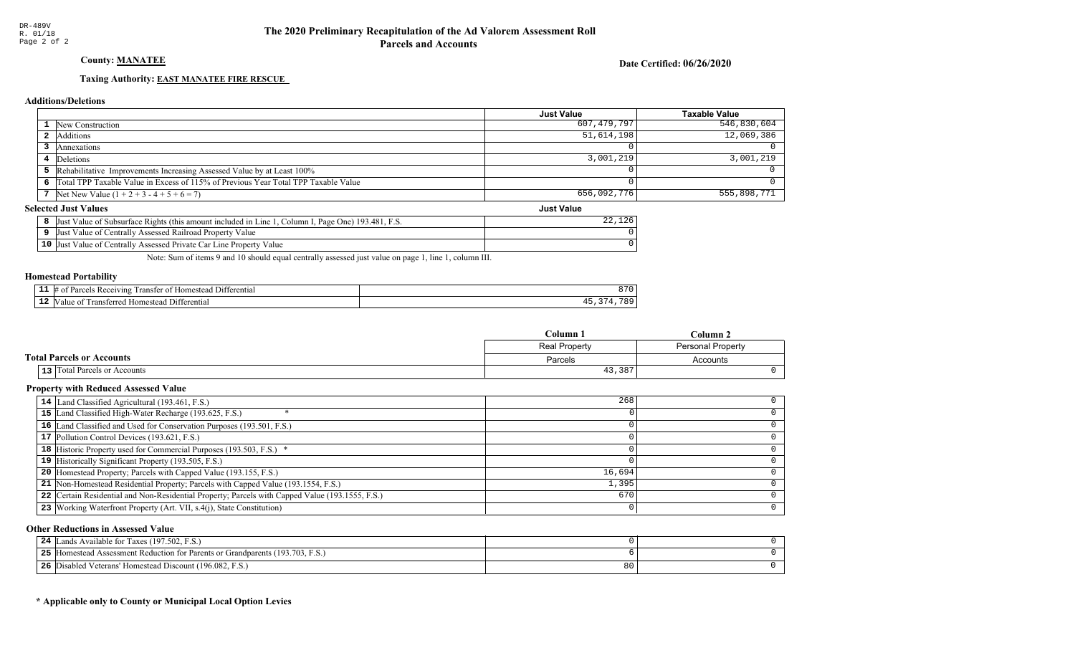## County: **MANATEE**

Date Certified: 06/26/2020

Just Value

#### Taxing Authority: **EAST MANATEE FIRE RESCUE**

#### Additions/Deletions

|                                                                                      | Just Value  | <b>Taxable Value</b> |
|--------------------------------------------------------------------------------------|-------------|----------------------|
| 1 New Construction                                                                   | 607,479,797 | 546,830,604          |
| Additions                                                                            | 51,614,198  | 12,069,386           |
| Annexations                                                                          |             |                      |
| 4 Deletions                                                                          | 3,001,219   | 3,001,219            |
| 5 Rehabilitative Improvements Increasing Assessed Value by at Least 100%             |             |                      |
| 6 Total TPP Taxable Value in Excess of 115% of Previous Year Total TPP Taxable Value |             |                      |
| 7 Net New Value $(1 + 2 + 3 - 4 + 5 + 6 = 7)$                                        | 656,092,776 | 555,898,771          |

#### **Selected Just Values**

| Value of Subsurface Rights (this amount included in Line 1<br>[. Page One) 193.481. F.S.<br>Column I.<br>IJust | 1 າ ເ |
|----------------------------------------------------------------------------------------------------------------|-------|
| Value of Centrally Assessed Railroad Property Value<br>IJust                                                   |       |
| 10 Just Value of Centrally Assessed Private Car Line Property Value                                            |       |

Note: Sum of items 9 and 10 should equal centrally assessed just value on page 1, line 1, column III.

#### Homestead Portability

| .   | 11 ا (<br>rential<br>200<br>eiving<br>יחα<br>. Home <sup>e+</sup><br>. ranster<br>Ωì | - 17 |
|-----|--------------------------------------------------------------------------------------|------|
| . . | - 111<br>$\sim$ ru<br>terentia<br>domester<br>alu                                    | 10c  |

|                                  | Column 1<br>$C$ olumn $2$ |                          |
|----------------------------------|---------------------------|--------------------------|
|                                  | Real Property             | <b>Personal Property</b> |
| <b>Total Parcels or Accounts</b> | Parcels                   | Accounts                 |
| 13 Total Parcels or Accounts     | 43,387                    |                          |

#### Property with Reduced Assessed Value

| 14 Land Classified Agricultural (193.461, F.S.)                                                 | 268    |  |
|-------------------------------------------------------------------------------------------------|--------|--|
| 15 Land Classified High-Water Recharge (193.625, F.S.)                                          |        |  |
| 16 Land Classified and Used for Conservation Purposes (193.501, F.S.)                           |        |  |
| 17 Pollution Control Devices (193.621, F.S.)                                                    |        |  |
| <b>18</b> Historic Property used for Commercial Purposes (193.503, F.S.) *                      |        |  |
| 19 Historically Significant Property (193.505, F.S.)                                            |        |  |
| 20 Homestead Property; Parcels with Capped Value (193.155, F.S.)                                | 16,694 |  |
| 21 Non-Homestead Residential Property; Parcels with Capped Value (193.1554, F.S.)               | 1,395  |  |
| 22 Certain Residential and Non-Residential Property; Parcels with Capped Value (193.1555, F.S.) | 670    |  |
| 23 Working Waterfront Property (Art. VII, s.4(j), State Constitution)                           |        |  |
|                                                                                                 |        |  |

#### Other Reductions in Assessed Value

| 24<br>Lands Available for Taxes (197.502, F.S.)             |    |  |
|-------------------------------------------------------------|----|--|
| 25<br>Figure 193.703, F.S.                                  |    |  |
| 26<br>Disabled Veterans' Homestead Discount (196.082, F.S.) | 80 |  |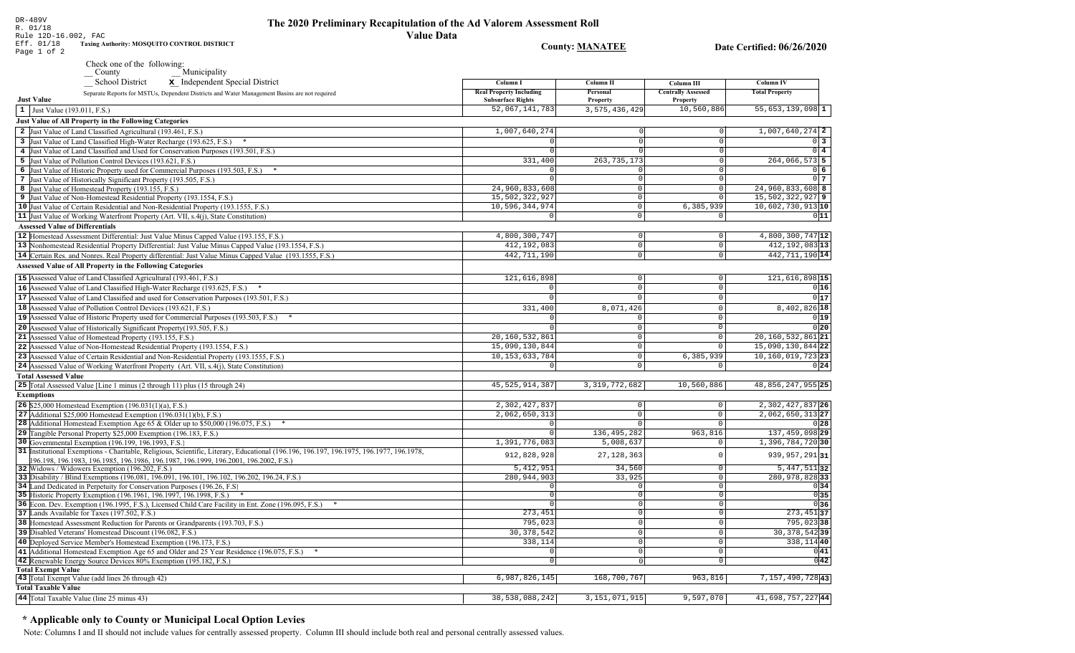**County: MANATEE** 

Date Certified: 06/26/2020

|                                        | Check one of the following:<br>Municipality<br>County                                                                                                        |                                |                            |                             |                       |
|----------------------------------------|--------------------------------------------------------------------------------------------------------------------------------------------------------------|--------------------------------|----------------------------|-----------------------------|-----------------------|
|                                        | <b>School District</b><br>x Independent Special District                                                                                                     | Column I                       | Column II                  | Column III                  | <b>Column IV</b>      |
|                                        | Separate Reports for MSTUs, Dependent Districts and Water Management Basins are not required                                                                 | <b>Real Property Including</b> | Personal                   | <b>Centrally Assessed</b>   | <b>Total Property</b> |
| <b>Just Value</b>                      |                                                                                                                                                              | <b>Subsurface Rights</b>       | <b>Property</b>            | Property                    |                       |
| 1 Just Value (193.011, F.S.)           |                                                                                                                                                              | 52,067,141,783                 | 3,575,436,429              | 10,560,886                  | $55,653,139,098$ 1    |
|                                        | <b>Just Value of All Property in the Following Categories</b>                                                                                                |                                |                            |                             |                       |
|                                        | 2 Just Value of Land Classified Agricultural (193.461, F.S.)                                                                                                 | 1,007,640,274                  |                            | 0                           | 1,007,640,274 2       |
|                                        | 3 Just Value of Land Classified High-Water Recharge (193.625, F.S.) *                                                                                        |                                | $\Omega$                   | $\mathbf 0$                 | 0 <sup>3</sup>        |
|                                        | 4 Just Value of Land Classified and Used for Conservation Purposes (193.501, F.S.)                                                                           | 0                              | $\Omega$                   | $\mathsf 0$                 | $0\vert 4$            |
|                                        | 5 Just Value of Pollution Control Devices (193.621, F.S.)                                                                                                    | 331,400                        | 263, 735, 173              | $\overline{0}$              | 264,066,573 5         |
|                                        | 6 Just Value of Historic Property used for Commercial Purposes (193.503, F.S.) *                                                                             |                                |                            | $\Omega$                    | $0\,6$                |
|                                        | 7 Just Value of Historically Significant Property (193.505, F.S.)                                                                                            | U                              | $\circ$                    | $\Omega$                    | 0 <sub>7</sub>        |
|                                        | 8 Just Value of Homestead Property (193.155, F.S.)                                                                                                           | 24,960,833,608                 | $\circ$                    | $\mathbf 0$                 | 24,960,833,608 8      |
|                                        | 9 Just Value of Non-Homestead Residential Property (193.1554, F.S.)                                                                                          | 15,502,322,927                 | $\circ$                    | $\Omega$                    | 15,502,322,927 9      |
|                                        | 10 Just Value of Certain Residential and Non-Residential Property (193.1555, F.S.)                                                                           | 10,596,344,974                 | $\Omega$                   | 6,385,939                   | 10,602,730,913 10     |
|                                        | 11 Just Value of Working Waterfront Property (Art. VII, s.4(j), State Constitution)                                                                          | O                              | $\Omega$                   | $\Omega$                    | 011                   |
| <b>Assessed Value of Differentials</b> |                                                                                                                                                              |                                |                            |                             |                       |
|                                        | 12 Homestead Assessment Differential: Just Value Minus Capped Value (193.155, F.S.)                                                                          | 4,800,300,747                  | 0                          | $\mathbb O$                 | 4,800,300,747 12      |
|                                        | 13 Nonhomestead Residential Property Differential: Just Value Minus Capped Value (193.1554, F.S.)                                                            | 412,192,083                    | 0                          | $\mathsf 0$                 | 412, 192, 083 13      |
|                                        | 14 Certain Res. and Nonres. Real Property differential: Just Value Minus Capped Value (193.1555, F.S.)                                                       | 442,711,190                    | $\circ$                    | $\mathbf 0$                 | 442, 711, 190 14      |
|                                        | <b>Assessed Value of All Property in the Following Categories</b>                                                                                            |                                |                            |                             |                       |
|                                        | 15 Assessed Value of Land Classified Agricultural (193.461, F.S.)                                                                                            | 121,616,898                    | $\mathsf{O}\xspace$        | $\mathsf{O}$                | 121,616,898 15        |
|                                        | 16 Assessed Value of Land Classified High-Water Recharge (193.625, F.S.)                                                                                     | $\mathbf 0$                    | $\overline{0}$             | $\mathbf 0$                 | 0 16                  |
|                                        | 17 Assessed Value of Land Classified and used for Conservation Purposes (193.501, F.S.)                                                                      | $\overline{0}$                 | $\mathsf{O}\xspace$        | $\mathbf{0}$                | 0 17                  |
|                                        | 18 Assessed Value of Pollution Control Devices (193.621, F.S.)                                                                                               | 331,400                        | 8,071,426                  | $\Omega$                    | 8,402,826 18          |
|                                        | 19 Assessed Value of Historic Property used for Commercial Purposes (193.503, F.S.) *                                                                        | 0                              | $\mathbb O$                | $\mathsf{O}\xspace$         | 0 19                  |
|                                        | 20 Assessed Value of Historically Significant Property (193.505, F.S.)                                                                                       | $\overline{0}$                 | $\overline{0}$             | $\overline{0}$              | 0 20                  |
|                                        | 21 Assessed Value of Homestead Property (193.155, F.S.)                                                                                                      | 20,160,532,861                 | $\mathbf{0}$               | $\mathsf{O}\xspace$         | 20,160,532,861 21     |
|                                        | 22 Assessed Value of Non-Homestead Residential Property (193.1554, F.S.)                                                                                     | 15,090,130,844                 | $\mathbb O$                | $\mathsf{O}\xspace$         | 15,090,130,844 22     |
|                                        | 23 Assessed Value of Certain Residential and Non-Residential Property (193.1555, F.S.)                                                                       | 10, 153, 633, 784              | $\mathsf{O}\xspace$        | 6,385,939                   | 10, 160, 019, 723 23  |
|                                        | 24 Assessed Value of Working Waterfront Property (Art. VII, s.4(j), State Constitution)                                                                      | $\Omega$                       | $\mathsf{O}$               | $\Omega$                    | 0 24                  |
| <b>Total Assessed Value</b>            |                                                                                                                                                              |                                |                            |                             |                       |
|                                        | 25 Total Assessed Value [Line 1 minus (2 through 11) plus (15 through 24)                                                                                    | 45, 525, 914, 387              | 3, 319, 772, 682           | 10,560,886                  | 48, 856, 247, 955 25  |
| <b>Exemptions</b>                      |                                                                                                                                                              |                                |                            |                             |                       |
|                                        | 26 \$25,000 Homestead Exemption (196.031(1)(a), F.S.)                                                                                                        | 2,302,427,837                  | $\mathsf{O}\xspace$        | $\mathsf 0$                 | 2, 302, 427, 837 26   |
|                                        | 27 Additional \$25,000 Homestead Exemption $(196.031(1)(b), F.S.)$                                                                                           | 2,062,650,313                  | $\mathbb O$                | $\mathbb O$                 | $2,062,650,313$  27   |
|                                        | <b>28</b> Additional Homestead Exemption Age 65 & Older up to \$50,000 (196.075, F.S.)                                                                       | 0                              | $\Omega$                   | $\Omega$                    | 0 28                  |
|                                        | 29 Tangible Personal Property \$25,000 Exemption (196.183, F.S.)                                                                                             | $\circ$                        | 136, 495, 282              | 963,816                     | 137, 459, 098 29      |
|                                        | 30 Governmental Exemption (196.199, 196.1993, F.S.)                                                                                                          | 1,391,776,083                  | 5,008,637                  | $\mathbf 0$                 | 1,396,784,720 30      |
|                                        | 31 Institutional Exemptions - Charitable, Religious, Scientific, Literary, Educational (196.196.197, 196.1975, 196.1977, 196.1978,                           | 912,828,928                    |                            | $\mathbf 0$                 | 939, 957, 291 31      |
|                                        | 96.198, 196.1983, 196.1985, 196.1986, 196.1987, 196.1999, 196.2001, 196.2002, F.S.)                                                                          |                                | 27, 128, 363               |                             |                       |
|                                        | 32 Widows / Widowers Exemption (196.202, F.S.)                                                                                                               | 5, 412, 951                    | 34,560                     | $\mathbf 0$                 | $5,447,511$ 32        |
|                                        | 33 Disability / Blind Exemptions (196.081, 196.091, 196.101, 196.102, 196.202, 196.24, F.S.)                                                                 | 280, 944, 903                  | 33,925                     | $\Omega$                    | 280,978,828 33        |
|                                        | 34 Land Dedicated in Perpetuity for Conservation Purposes (196.26, F.S.)                                                                                     | 0                              | $\mathbf 0$                | $\Omega$                    | 0 34                  |
|                                        | 35 Historic Property Exemption (196.1961, 196.1997, 196.1998, F.S.) *                                                                                        | $\circ$                        | 0                          | $\mathbf 0$<br>$\Omega$     | 0 35                  |
|                                        | 36 Econ. Dev. Exemption (196.1995, F.S.), Licensed Child Care Facility in Ent. Zone (196.095, F.S.)                                                          | $\Omega$<br>273,451            | $\circ$<br>$\mathsf 0$     | $\mathbb O$                 | 036<br>$273,451$ 37   |
|                                        | 37 Lands Available for Taxes (197.502, F.S.)                                                                                                                 | 795,023                        | $\overline{0}$             | $\mathbf 0$                 | $795,023$ 38          |
|                                        | 38 Homestead Assessment Reduction for Parents or Grandparents (193.703, F.S.)<br>39 Disabled Veterans' Homestead Discount (196.082, F.S.)                    | 30, 378, 542                   | $\mathbf 0$                | $\mathbf 0$                 | 30, 378, 542 39       |
|                                        |                                                                                                                                                              |                                |                            |                             |                       |
|                                        | 40 Deployed Service Member's Homestead Exemption (196.173, F.S.)                                                                                             | 338,114<br>0                   | $\mathsf 0$<br>$\mathbb O$ | $\mathsf{O}$<br>$\mathbf 0$ | 338,114 40<br>0 41    |
|                                        | 41 Additional Homestead Exemption Age 65 and Older and 25 Year Residence (196.075, F.S.)<br>42 Renewable Energy Source Devices 80% Exemption (195.182, F.S.) | $\overline{0}$                 | 0                          | $\mathbf 0$                 | 0 42                  |
| Total Exempt Value                     |                                                                                                                                                              |                                |                            |                             |                       |
|                                        | 43 Total Exempt Value (add lines 26 through 42)                                                                                                              | 6,987,826,145                  | 168,700,767                | 963,816                     | 7,157,490,72843       |
| <b>Total Taxable Value</b>             |                                                                                                                                                              |                                |                            |                             |                       |
|                                        | 44 Total Taxable Value (line 25 minus 43)                                                                                                                    | 38,538,088,242                 | 3, 151, 071, 915           | 9,597,070                   | 41,698,757,22744      |
|                                        |                                                                                                                                                              |                                |                            |                             |                       |

## \* Applicable only to County or Municipal Local Option Levies

Note: Columns I and II should not include values for centrally assessed property. Column III should include both real and personal centrally assessed values.

DR-489V<br>R. 01/18 Rule 12D-16.002, FAC<br>Eff. 01/18 Taxing Authority: MOSQUITO CONTROL DISTRICT

Page 1 of 2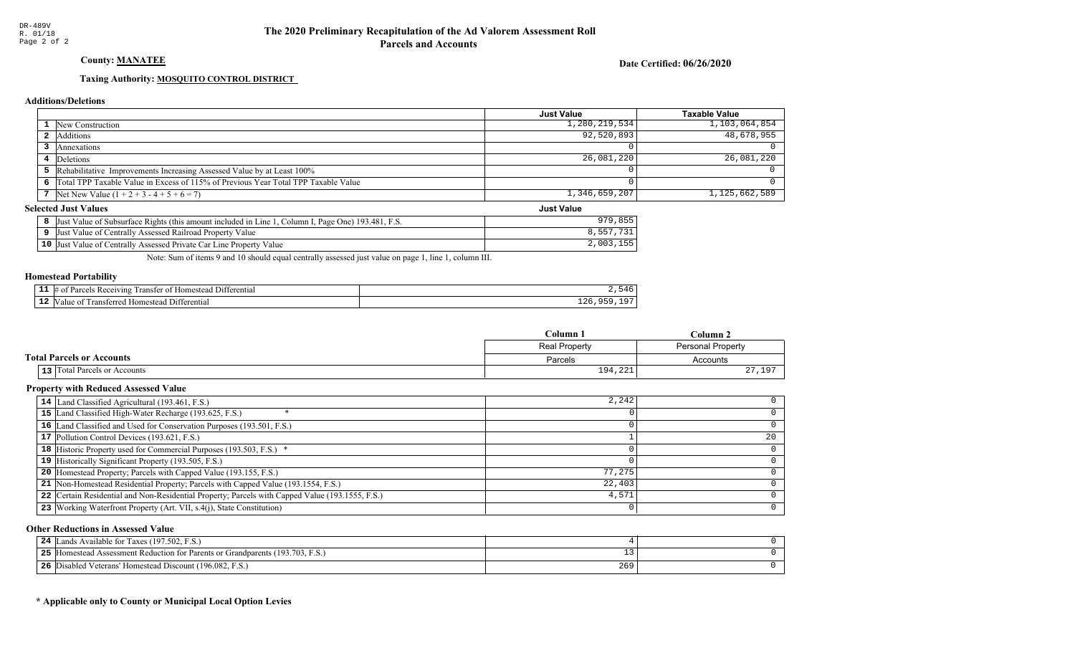## County: **MANATEE**

Date Certified: 06/26/2020

Just Value

#### Taxing Authority: **MOSQUITO CONTROL DISTRICT**

#### Additions/Deletions

|                                                                                      | <b>Just Value</b> | <b>Taxable Value</b> |
|--------------------------------------------------------------------------------------|-------------------|----------------------|
| <b>1</b> New Construction                                                            | 1,280,219,534     | 1, 103, 064, 854     |
| 2 Additions                                                                          | 92,520,893        | 48,678,955           |
| Annexations                                                                          |                   |                      |
| 4 Deletions                                                                          | 26,081,220        | 26,081,220           |
| 5 Rehabilitative Improvements Increasing Assessed Value by at Least 100%             |                   |                      |
| 6 Total TPP Taxable Value in Excess of 115% of Previous Year Total TPP Taxable Value |                   |                      |
| 7   Net New Value $(1 + 2 + 3 - 4 + 5 + 6 = 7)$                                      | 1,346,659,207     | 1, 125, 662, 589     |

#### **Selected Just Values**

| 1, Column I, Page One) 193.481, F.S.<br>Just Value of Subsurface Rights (this amount included in Line 1, | <b>979</b> |
|----------------------------------------------------------------------------------------------------------|------------|
| Just Value of Centrally Assessed Railroad Property Value                                                 |            |
| 10 Just Value of Centrally Assessed Private Car Line Property Value                                      | 2,003,     |

Note: Sum of items 9 and 10 should equal centrally assessed just value on page 1, line 1, column III.

#### Homestead Portability

| . | omes<br>$\mathbf{f} \cap \mathbf{f}$<br>™<br>ent. |       |
|---|---------------------------------------------------|-------|
|   | rans                                              | - - - |

|                                  | Column 1             | Column 2                 |
|----------------------------------|----------------------|--------------------------|
|                                  | <b>Real Property</b> | <b>Personal Property</b> |
| <b>Total Parcels or Accounts</b> | Parcels              | Accounts                 |
| 13 Total Parcels or Accounts     | 194,221              | 27,197                   |

#### Property with Reduced Assessed Value

| 14 Land Classified Agricultural (193.461, F.S.)                                                 | 2,242  |    |
|-------------------------------------------------------------------------------------------------|--------|----|
| 15 Land Classified High-Water Recharge (193.625, F.S.)                                          |        |    |
| 16 Land Classified and Used for Conservation Purposes (193.501, F.S.)                           |        |    |
| 17 Pollution Control Devices (193.621, F.S.)                                                    |        | 20 |
| 18 Historic Property used for Commercial Purposes (193.503, F.S.) *                             |        |    |
| 19 Historically Significant Property (193.505, F.S.)                                            |        |    |
| <b>20</b> Homestead Property; Parcels with Capped Value (193.155, F.S.)                         | 77,275 |    |
| 21 Non-Homestead Residential Property; Parcels with Capped Value (193.1554, F.S.)               | 22,403 |    |
| 22 Certain Residential and Non-Residential Property; Parcels with Capped Value (193.1555, F.S.) | 4,571  |    |
| 23 Working Waterfront Property (Art. VII, s.4(j), State Constitution)                           |        | 0  |

#### Other Reductions in Assessed Value

| 24 | Lands Available for Taxes (197.502, F.S.)             |               |  |
|----|-------------------------------------------------------|---------------|--|
| 25 | Figure 193.703, F.S.)                                 |               |  |
| 26 | Disabled Veterans' Homestead Discount (196.082, F.S.) | $\sim$<br>265 |  |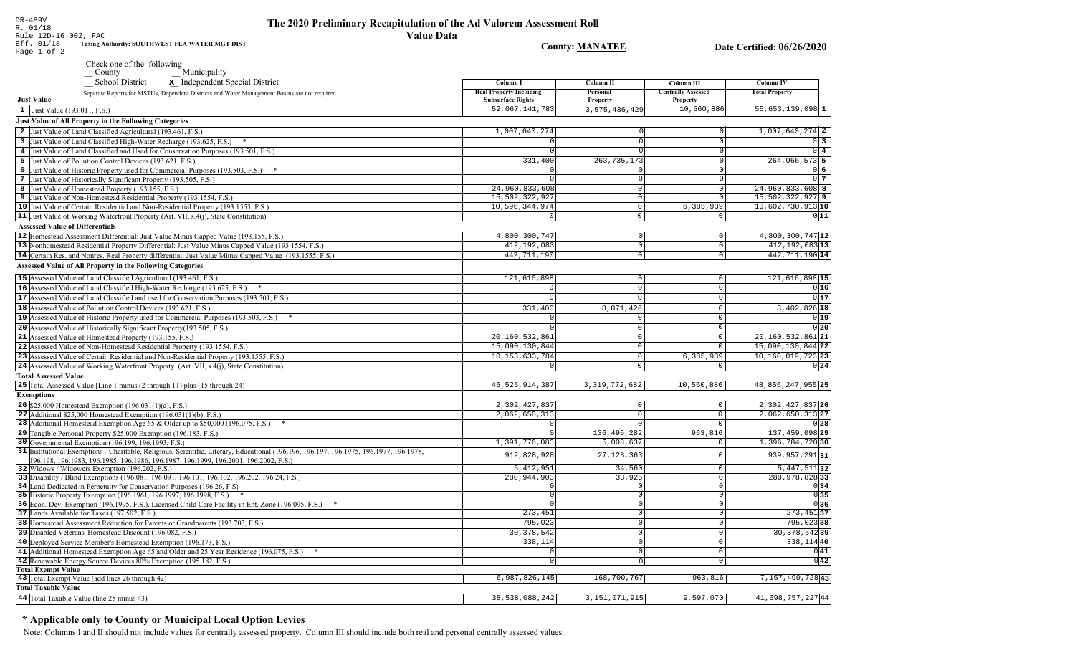| DR-489V                                                                                                                                                                   |                                                            |                         |                                              |                                       |
|---------------------------------------------------------------------------------------------------------------------------------------------------------------------------|------------------------------------------------------------|-------------------------|----------------------------------------------|---------------------------------------|
| The 2020 Preliminary Recapitulation of the Ad Valorem Assessment Roll<br>R. 01/18                                                                                         |                                                            |                         |                                              |                                       |
| <b>Value Data</b><br>Rule 12D-16.002, FAC<br>Taxing Authority: SOUTHWEST FLA WATER MGT DIST<br>Eff. 01/18<br>Page 1 of 2                                                  |                                                            | <b>County: MANATEE</b>  |                                              | Date Certified: 06/26/2020            |
| Check one of the following:                                                                                                                                               |                                                            |                         |                                              |                                       |
| Municipality<br>$\sqrt{\frac{1}{1}}$ County                                                                                                                               |                                                            |                         |                                              |                                       |
| <b>School District</b><br>x Independent Special District                                                                                                                  | Column I                                                   | Column II               | Column III                                   | Column IV                             |
| Separate Reports for MSTUs, Dependent Districts and Water Management Basins are not required<br><b>Just Value</b>                                                         | <b>Real Property Including</b><br><b>Subsurface Rights</b> | Personal<br>Property    | <b>Centrally Assessed</b><br><b>Property</b> | <b>Total Property</b>                 |
| 1 Just Value (193.011, F.S.)                                                                                                                                              | 52,067,141,783                                             | 3,575,436,429           | 10,560,886                                   | $55,653,139,098$ 1                    |
| Just Value of All Property in the Following Categories                                                                                                                    |                                                            |                         |                                              |                                       |
| 2 Just Value of Land Classified Agricultural (193.461, F.S.)                                                                                                              | 1,007,640,274                                              | $\Omega$                | $\circ$                                      | $1,007,640,274$ 2                     |
| 3 Just Value of Land Classified High-Water Recharge (193.625, F.S.)                                                                                                       |                                                            |                         | $\Omega$                                     | $0\overline{3}$                       |
| 4 Just Value of Land Classified and Used for Conservation Purposes (193.501, F.S.)                                                                                        |                                                            |                         | 0                                            | $0\overline{4}$                       |
| 5 Just Value of Pollution Control Devices (193.621, F.S.)                                                                                                                 | 331,400                                                    | 263, 735, 173           | $\overline{0}$                               | 264,066,573 5                         |
| 6 Just Value of Historic Property used for Commercial Purposes (193.503, F.S.) *                                                                                          |                                                            | 0                       | $\mathbf 0$                                  | $0\vert 6$                            |
| 7 Just Value of Historically Significant Property (193.505, F.S.)                                                                                                         |                                                            | $\Omega$                | $\mathbb O$                                  | 0 <sub>7</sub>                        |
| 8 Just Value of Homestead Property (193.155, F.S.)                                                                                                                        | 24,960,833,608                                             | $\Omega$                | $\circ$                                      | 24,960,833,608 8                      |
| 9 Just Value of Non-Homestead Residential Property (193.1554, F.S.)                                                                                                       | 15,502,322,927<br>10,596,344,974                           | $\Omega$<br>$\Omega$    | $\circ$<br>6,385,939                         | 15,502,322,927 9<br>10,602,730,913 10 |
| 10 Just Value of Certain Residential and Non-Residential Property (193.1555, F.S.)<br>11 Just Value of Working Waterfront Property (Art. VII, s.4(j), State Constitution) | $\mathbf 0$                                                | $\Omega$                | 0                                            | 0 11                                  |
| <b>Assessed Value of Differentials</b>                                                                                                                                    |                                                            |                         |                                              |                                       |
| 12 Homestead Assessment Differential: Just Value Minus Capped Value (193.155, F.S.)                                                                                       | 4,800,300,747                                              | $\Omega$                | $\mathbf 0$                                  | 4,800,300,747 12                      |
| 13 Nonhomestead Residential Property Differential: Just Value Minus Capped Value (193.1554, F.S.)                                                                         | 412,192,083                                                | $\overline{0}$          | $\mathbf 0$                                  | 412, 192, 083 13                      |
| 14 Certain Res. and Nonres. Real Property differential: Just Value Minus Capped Value (193.1555, F.S.)                                                                    | 442, 711, 190                                              | $\circ$                 | $\mathbf 0$                                  | 442, 711, 190 14                      |
| <b>Assessed Value of All Property in the Following Categories</b>                                                                                                         |                                                            |                         |                                              |                                       |
| 15 Assessed Value of Land Classified Agricultural (193.461, F.S.)                                                                                                         | 121,616,898                                                | $\overline{0}$          | $\mathbf 0$                                  | 121,616,898 15                        |
| 16 Assessed Value of Land Classified High-Water Recharge (193.625, F.S.)                                                                                                  | $\Omega$                                                   | $\Omega$                | $\mathsf{O}\xspace$                          | 0 16                                  |
| 17 Assessed Value of Land Classified and used for Conservation Purposes (193.501, F.S.)                                                                                   | $\mathbf 0$                                                | $\Omega$                | 0                                            | 0 17                                  |
| 18 Assessed Value of Pollution Control Devices (193.621, F.S.)                                                                                                            | 331,400                                                    | 8,071,426               | $\mathbf 0$                                  | 8,402,826 18                          |
| 19 Assessed Value of Historic Property used for Commercial Purposes (193.503, F.S.)                                                                                       | $\Omega$                                                   | $\Omega$                | $\mathsf 0$                                  | 0 19                                  |
| 20 Assessed Value of Historically Significant Property (193.505, F.S.)                                                                                                    |                                                            | $\Omega$                | $\overline{0}$                               | 0 20                                  |
| 21 Assessed Value of Homestead Property (193.155, F.S.)                                                                                                                   | 20,160,532,861                                             | $\Omega$                | $\mathsf 0$                                  | $20, 160, 532, 861$  21               |
| 22 Assessed Value of Non-Homestead Residential Property (193.1554, F.S.)                                                                                                  | 15,090,130,844                                             | $\Omega$                | $\mathbf 0$                                  | 15,090,130,844 22                     |
| 23 Assessed Value of Certain Residential and Non-Residential Property (193.1555, F.S.)                                                                                    | 10, 153, 633, 784                                          | $\mathbf 0$             | 6,385,939                                    | $10, 160, 019, 723$ 23                |
| 24 Assessed Value of Working Waterfront Property (Art. VII, s.4(j), State Constitution)                                                                                   | $\Omega$                                                   | $\mathbf 0$             | $\mathbf 0$                                  | 0 24                                  |
| <b>Total Assessed Value</b>                                                                                                                                               |                                                            |                         |                                              |                                       |
| 25 Total Assessed Value [Line 1 minus (2 through 11) plus (15 through 24)                                                                                                 | 45, 525, 914, 387                                          | 3, 319, 772, 682        | 10,560,886                                   | 48,856,247,955 25                     |
| <b>Exemptions</b>                                                                                                                                                         |                                                            |                         |                                              |                                       |
| <b>26</b> \$25,000 Homestead Exemption $(196.031(1)(a), F.S.)$                                                                                                            | 2,302,427,837                                              | $\mathbf 0$             | $\mathsf{O}$                                 | 2, 302, 427, 837 26                   |
| 27 Additional \$25,000 Homestead Exemption $(196.031(1)(b), F.S.)$<br><b>28</b> Additional Homestead Exemption Age 65 & Older up to \$50,000 (196.075, F.S.)              | 2,062,650,313<br>$\mathbf 0$                               | $\mathbf 0$<br>$\Omega$ | $\mathbf 0$<br>$\mathbf 0$                   | 2,062,650,313 27<br>0 28              |
| 29 Tangible Personal Property \$25,000 Exemption (196.183, F.S.)                                                                                                          | $\mathbf 0$                                                | 136, 495, 282           | 963,816                                      | 137, 459, 098 29                      |
| 30 Governmental Exemption (196.199, 196.1993, F.S.)                                                                                                                       | 1,391,776,083                                              | 5,008,637               | $\mathbf 0$                                  | 1,396,784,720 30                      |
| 31 Institutional Exemptions - Charitable, Religious, Scientific, Literary, Educational (196.196, 196.197, 196.1975, 196.1977, 196.1978,                                   | 912,828,928                                                | 27, 128, 363            | $\mathbf 0$                                  | 939, 957, 291 31                      |
| 196.198, 196.1983, 196.1985, 196.1986, 196.1987, 196.1999, 196.2001, 196.2002, F.S.)                                                                                      |                                                            |                         |                                              |                                       |
| 32 Widows / Widowers Exemption (196.202, F.S.)                                                                                                                            | 5, 412, 951                                                | 34,560                  | $\mathbf 0$                                  | $5,447,511$ 32                        |
| 33 Disability / Blind Exemptions (196.081, 196.091, 196.101, 196.102, 196.202, 196.24, F.S.)                                                                              | 280, 944, 903                                              | 33,925                  | $\mathsf{O}\xspace$                          | 280,978,828 33                        |
| 34 Land Dedicated in Perpetuity for Conservation Purposes (196.26, F.S.<br>35 Historic Property Exemption (196.1961, 196.1997, 196.1998, F.S.) *                          | $\overline{0}$<br>$\mathbf 0$                              | 0 <br>$\circ$           | $\circ$<br>$\mathbf 0$                       | 0 34 <br>$\overline{0}$ 35            |
| 36 Econ. Dev. Exemption (196.1995, F.S.), Licensed Child Care Facility in Ent. Zone (196.095, F.S.)                                                                       | $\circ$                                                    | $\overline{0}$          | $\mathbf 0$                                  | 0 36                                  |
| 37 Lands Available for Taxes (197.502, F.S.)                                                                                                                              | 273,451                                                    | $\overline{0}$          | $\mathbb O$                                  | $273,451$ 37                          |
| 38 Homestead Assessment Reduction for Parents or Grandparents (193.703, F.S.)                                                                                             | 795,023                                                    | $\overline{0}$          | $\mathsf 0$                                  | 795,02338                             |
| 39 Disabled Veterans' Homestead Discount (196.082, F.S.)                                                                                                                  | 30, 378, 542                                               | $\overline{0}$          | $\mathsf 0$                                  | 30, 378, 542 39                       |
| 40 Deployed Service Member's Homestead Exemption (196.173, F.S.)                                                                                                          | 338,114                                                    | 0                       | $\mathbf 0$                                  | 338,114 40                            |
| 41 Additional Homestead Exemption Age 65 and Older and 25 Year Residence (196.075, F.S.)<br>$*$                                                                           |                                                            | 0                       | $\mathsf{O}\xspace$                          | 0 41                                  |
| 42 Renewable Energy Source Devices 80% Exemption (195.182, F.S.)                                                                                                          | $\circ$                                                    | 0                       | $\overline{0}$                               | $0\overline{42}$                      |
| <b>Total Exempt Value</b><br>43 Total Exempt Value (add lines 26 through 42)                                                                                              | 6,987,826,145                                              | 168,700,767             | 963,816                                      | $7,157,490,728$  43                   |
| <b>Total Taxable Value</b>                                                                                                                                                |                                                            |                         |                                              |                                       |

| <b>26</b> \$25,000 Homestead Exemption $(196.031(1)(a), F.S.)$                                                                                                                                                              | 2,302,427,837  |                  |           | 2,302,427,837 26    |
|-----------------------------------------------------------------------------------------------------------------------------------------------------------------------------------------------------------------------------|----------------|------------------|-----------|---------------------|
| 27 Additional \$25,000 Homestead Exemption $(196.031(1)(b), F.S.)$                                                                                                                                                          | 2,062,650,313  |                  |           | $2,062,650,313$  27 |
| <b>28</b> Additional Homestead Exemption Age 65 & Older up to \$50,000 (196.075, F.S.) $*$                                                                                                                                  |                |                  |           | 0 28                |
| <b>29</b> Tangible Personal Property \$25,000 Exemption (196.183, F.S.)                                                                                                                                                     |                | 136, 495, 282    | 963,816   | $137, 459, 098$  29 |
| <b>30</b> Governmental Exemption (196.199, 196.1993, F.S.)                                                                                                                                                                  | 1,391,776,083  | 5,008,637        |           | 1,396,784,720 30    |
| 31 Institutional Exemptions - Charitable, Religious, Scientific, Literary, Educational (196.196.197, 196.1975, 196.1977, 196.1978,<br>[196.198, 196.1983, 196.1985, 196.1986, 196.1987, 196.1999, 196.2001, 196.2002, F.S.) | 912,828,928    | 27, 128, 363     |           | 939, 957, 291 31    |
| 32 Widows / Widowers Exemption (196.202, F.S.)                                                                                                                                                                              | 5, 412, 951    | 34,560           |           | $5,447,511$ 32      |
| 33 Disability / Blind Exemptions (196.081, 196.091, 196.101, 196.102, 196.202, 196.24, F.S.)                                                                                                                                | 280,944,903    | 33,925           |           | 280,978,82833       |
| 34 Land Dedicated in Perpetuity for Conservation Purposes (196.26, F.S.                                                                                                                                                     |                |                  |           | 0 34                |
| 35 Historic Property Exemption (196.1961, 196.1997, 196.1998, F.S.) *                                                                                                                                                       |                |                  |           | 0 35                |
| 36 Econ. Dev. Exemption (196.1995, F.S.), Licensed Child Care Facility in Ent. Zone (196.095, F.S.)                                                                                                                         |                |                  |           | 0 36                |
| 37 Lands Available for Taxes (197.502, F.S.)                                                                                                                                                                                | 273,451        |                  |           | 273,451 37          |
| 38 Homestead Assessment Reduction for Parents or Grandparents (193.703, F.S.)                                                                                                                                               | 795,023        |                  |           | 795,02338           |
| 39 Disabled Veterans' Homestead Discount (196.082, F.S.)                                                                                                                                                                    | 30, 378, 542   |                  |           | $30,378,542$ 39     |
| 40 Deployed Service Member's Homestead Exemption (196.173, F.S.)                                                                                                                                                            | 338,114        |                  |           | 338,11440           |
| 41 Additional Homestead Exemption Age 65 and Older and 25 Year Residence (196.075, F.S.) *                                                                                                                                  |                |                  |           | 0 41                |
| 42 Renewable Energy Source Devices 80% Exemption (195.182, F.S.)                                                                                                                                                            |                |                  |           | 0 42                |
| <b>Total Exempt Value</b>                                                                                                                                                                                                   |                |                  |           |                     |
| 43 Total Exempt Value (add lines 26 through 42)                                                                                                                                                                             | 6,987,826,145  | 168,700,767      | 963,816   | 7, 157, 490, 728 43 |
| <b>Total Taxable Value</b>                                                                                                                                                                                                  |                |                  |           |                     |
| 44 Total Taxable Value (line 25 minus 43)                                                                                                                                                                                   | 38,538,088,242 | 3, 151, 071, 915 | 9,597,070 | 41,698,757,22744    |

## \* Applicable only to County or Municipal Local Option Levies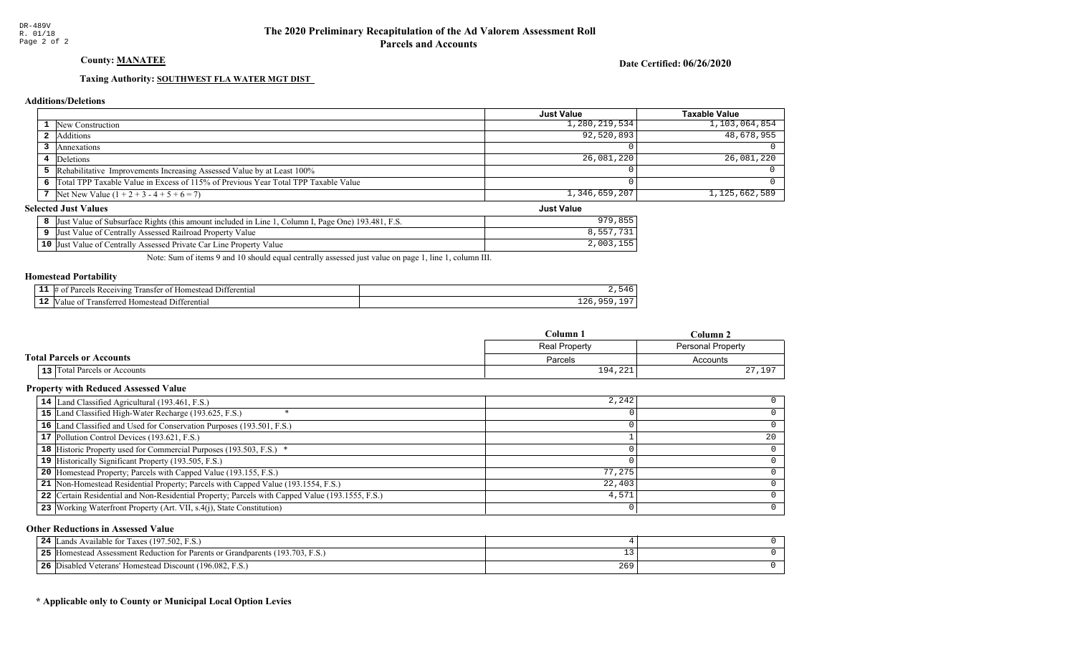## County: **MANATEE**

Date Certified: 06/26/2020

Just Value

#### Taxing Authority: SOUTHWEST FLA WATER MGT DIST

#### Additions/Deletions

|                                                                                      | Just Value    | Taxable Value |
|--------------------------------------------------------------------------------------|---------------|---------------|
| 1 New Construction                                                                   | 1,280,219,534 | 1,103,064,854 |
| 2 Additions                                                                          | 92,520,893    | 48,678,955    |
| Annexations                                                                          |               |               |
| 4 Deletions                                                                          | 26,081,220    | 26,081,220    |
| 5 Rehabilitative Improvements Increasing Assessed Value by at Least 100%             |               |               |
| 6 Total TPP Taxable Value in Excess of 115% of Previous Year Total TPP Taxable Value |               |               |
| 7 Net New Value $(1 + 2 + 3 - 4 + 5 + 6 = 7)$                                        | 1,346,659,207 | 1,125,662,589 |

#### **Selected Just Values**

| <sup>1</sup> , Column I, Page One) 193.481, F.S.<br>Value of Subsurface Rights (this amount included in Line 1,<br>Just | , 855<br>979     |
|-------------------------------------------------------------------------------------------------------------------------|------------------|
| Just Value of Centrally Assessed Railroad Property Value                                                                |                  |
| 10 Just Value of Centrally Assessed Private Car Line Property Value                                                     | 155<br>2,003,155 |

Note: Sum of items 9 and 10 should equal centrally assessed just value on page 1, line 1, column III.

#### Homestead Portability

| --   | <b>CONTRACTOR</b><br>11 - ا<br>ranste<br>†erentia<br>eceiving)<br>വ<br>Homestea<br><i><u>Llaraale</u></i><br>. |      |
|------|----------------------------------------------------------------------------------------------------------------|------|
| - 14 | terenti<br>omesteac<br>Transfer <sup>*</sup><br>ʻalu                                                           | 22 U |

|                                  | Column 1      | Column <sub>2</sub> |
|----------------------------------|---------------|---------------------|
|                                  | Real Property | Personal Property   |
| <b>Total Parcels or Accounts</b> | Parcels       | Accounts            |
| 13 Total Parcels or Accounts     | 194,221       | 197                 |

#### Property with Reduced Assessed Value

| 14 Land Classified Agricultural (193.461, F.S.)                                                 | 2,242  |    |
|-------------------------------------------------------------------------------------------------|--------|----|
| 15 Land Classified High-Water Recharge (193.625, F.S.)                                          |        |    |
| 16 Land Classified and Used for Conservation Purposes (193.501, F.S.)                           |        |    |
| 17 Pollution Control Devices (193.621, F.S.)                                                    |        | 20 |
| 18 Historic Property used for Commercial Purposes (193.503, F.S.) *                             |        |    |
| 19 Historically Significant Property (193.505, F.S.)                                            |        |    |
| <b>20</b> Homestead Property; Parcels with Capped Value (193.155, F.S.)                         | 77,275 |    |
| 21 Non-Homestead Residential Property; Parcels with Capped Value (193.1554, F.S.)               | 22,403 |    |
| 22 Certain Residential and Non-Residential Property; Parcels with Capped Value (193.1555, F.S.) | 4,571  |    |
| 23 Working Waterfront Property (Art. VII, s.4(j), State Constitution)                           |        | 0  |

#### Other Reductions in Assessed Value

| 24<br>s Available for Taxes (197.502, F.S.)<br>ands                              |     |  |
|----------------------------------------------------------------------------------|-----|--|
| 25<br>Homestead Assessment Reduction for Parents or Grandparents (193.703, F.S.) |     |  |
| 26<br>Disabled Veterans' Homestead Discount (196.082, F.S.)                      | 269 |  |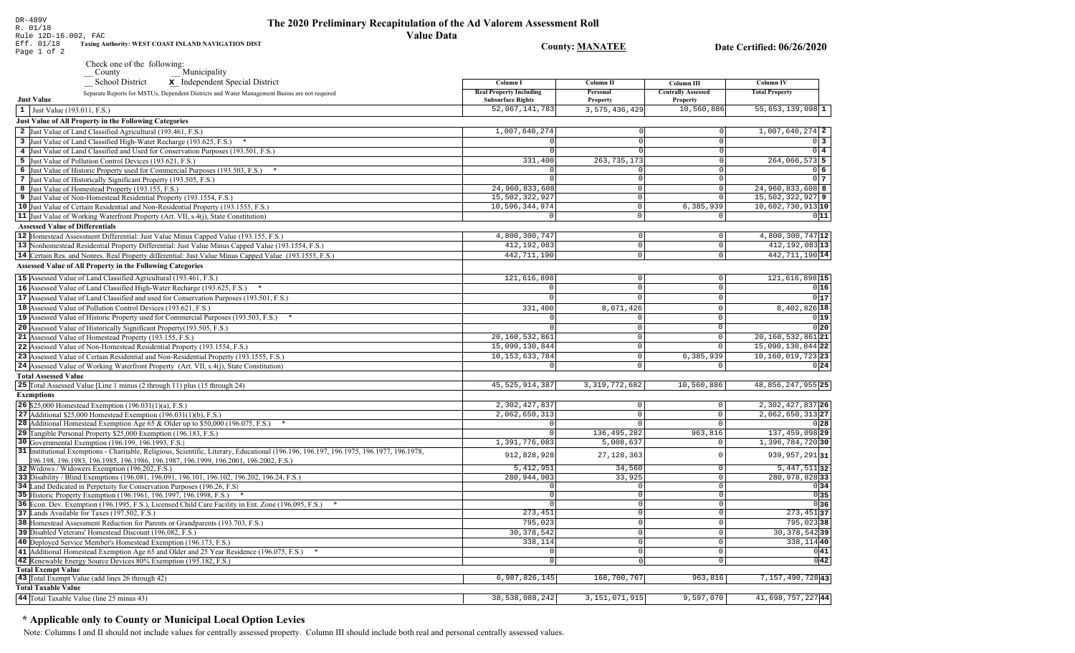Rule 12D-16.002, FAC Eff. 01/18 Taxing Authority: WEST COAST INLAND NAVIGATION DIST **County: MANATEE** Date Certified: 06/26/2020 Page 1 of 2 Check one of the following: Municipality School District x Independent Special District Column I **Column II** Column III **Column IV Real Property Including** Personal **Centrally Assessed Total Property** Separate Reports for MSTUs, Dependent Districts and Water Management Basins are not required **Just Value Subsurface Rights** Property Property 52,067,141,783 3, 575, 436, 429 10,560,886  $55,653,139,098$ <sup>1</sup>  $\vert 1 \vert$  Just Value (193.011, F.S.) **Just Value of All Property in the Following Categories** 2 Just Value of Land Classified Agricultural (193.461, F.S.) 1,007,640,274  $1.007.640.274$  2 3 Just Value of Land Classified High-Water Recharge (193.625, F.S.) \*  $\Omega$  $0\vert 3$ 4 Just Value of Land Classified and Used for Conservation Purposes (193.501, F.S.)  $\overline{0}$  4 5 Just Value of Pollution Control Devices (193.621, F.S.) 331,400 263, 735, 173 264,066,573 5 6 Just Value of Historic Property used for Commercial Purposes (193.503, F.S.) \*  $0<sub>6</sub>$ 7 Just Value of Historically Significant Property (193.505, F.S.)  $\Omega$  $017$ 24.960.833.608  $24.960.833.608$  8 8 Just Value of Homestead Property (193.155, F.S.)  $\Omega$ 15,502,322,927 15,502,322,927 9 9 Just Value of Non-Homestead Residential Property (193.1554, F.S.)  $\Omega$ 10 Just Value of Certain Residential and Non-Residential Property (193.1555, F.S.) 10,596,344,974 6,385,939 10,602,730,913 10  $\circ$ 11 Just Value of Working Waterfront Property (Art. VII,  $s.4(i)$ ), State Constitution)  $\overline{\circ}$  $011$ **Assessed Value of Differentials** 12 |Homestead Assessment Differential: Just Value Minus Capped Value (193.155, F.S.) 4,800,300,747  $4,800,300,747$ <sup>12</sup>  $\Omega$  $\Omega$  $412, 192, 083$ <sup>13</sup> 13 Nonhomestead Residential Property Differential: Just Value Minus Capped Value (193.1554, F.S.) 412,192,083  $\mathbb O$ 14 Certain Res. and Nonres. Real Property differential: Just Value Minus Capped Value (193.1555, F.S.) 442, 711, 190  $\overline{0}$ 442, 711, 190 14 **Assessed Value of All Property in the Following Categories** 15 Assessed Value of Land Classified Agricultural (193.461, F.S.) 121,616,898  $\Omega$ 121,616,898 15 16 Assessed Value of Land Classified High-Water Recharge (193.625, F.S.)  $0|16|$  $\Omega$  $\Omega$  $0|17$ **17** Assessed Value of Land Classified and used for Conservation Purposes (193.501, F.S.)  $\mathbf{0}$  $\Omega$  $\Omega$ 18 Assessed Value of Pollution Control Devices (193.621, F.S.) 331,400 8,071,426 8,402,826 18 19 Assessed Value of Historic Property used for Commercial Purposes (193.503, F.S.) \*  $0|19|$ 20 Assessed Value of Historically Significant Property (193.505, F.S.)  $0|20|$  $\cap$  $\Omega$  $20, 160, 532, 861$ 21 Assessed Value of Homestead Property (193.155, F.S.) 20, 160, 532, 861 21  $\cap$ 22 Assessed Value of Non-Homestead Residential Property (193.1554, F.S.) 15,090,130,844  $\Omega$ 15,090,130,844 22 10, 153, 633, 784  $10, 160, 019, 723$  23 23 Assessed Value of Certain Residential and Non-Residential Property (193.1555, F.S.)  $6, 385, 939$  $\cap$ 24 Assessed Value of Working Waterfront Property (Art. VII, s.4(j), State Constitution) 0  $0|24|$ **Total Assessed Value** 25 Total Assessed Value [Line 1 minus (2 through 11) plus (15 through 24) 45, 525, 914, 387 3, 319, 772, 682 10,560,886 48,856,247,955 25 **Exemptions** 2,302,427,837  $2.302, 427, 837$  26 **26** \$25,000 Homestead Exemption  $(196.031(1)(a), F.S.)$  $\Omega$  $2,062,650,313$  27 27 Additional \$25,000 Homestead Exemption  $(196.031(1)(b), F.S.)$  $2,062,650,313$  $\Omega$  $\sqrt{2}$ 28 Additional Homestead Exemption Age 65 & Older up to \$50,000 (196.075, F.S.) \*  $\cap$  $0|28|$  $\sqrt{ }$ 29 Tangible Personal Property \$25,000 Exemption (196.183, F.S.) 136, 495, 282 963,816 137,459,098 29 30 Governmental Exemption (196.199, 196.1993, F.S.) 1,391,776,083  $5.008.637$ 1,396,784,72030 31 Institutional Exemptions - Charitable, Religious, Scientific, Literary, Educational (196.196, 196.197, 196.1977, 196.1977, 196.1978, 912,828,928 27, 128, 363 939, 957, 291 31  $\circ$ [196.198, 196.1983, 196.1985, 196.1986, 196.1987, 196.1999, 196.2001, 196.2002, F.S.) 32 Widows / Widowers Exemption (196.202, F.S.)  $5,412,951$ 34.560  $5,447,511$  32  $\Omega$ 33 Disability / Blind Exemptions (196.081, 196.091, 196.101, 196.102, 196.202, 196.24, F.S.) 280, 944, 903 33,925  $\overline{0}$ 280,978,828 33 34 Land Dedicated in Perpetuity for Conservation Purposes (196.26, F.S)  $\cap$  $\overline{\circ}$  $0|34|$  $0|35|$  $\circ$ 35 Historic Property Exemption (196.1961, 196.1997, 196.1998, F.S.) \*  $\Omega$ 36 Econ. Dev. Exemption (196.1995, F.S.), Licensed Child Care Facility in Ent. Zone (196.095, F.S.) \*  $\overline{0}$  $0|36|$  $273,451$ 37 37 Lands Available for Taxes (197.502, F.S.) 273,451  $\overline{0}$ 38 Homestead Assessment Reduction for Parents or Grandparents (193.703, F.S.) 795,023 795,02338 0 30, 378, 542 30, 378, 542 39 39 Disabled Veterans' Homestead Discount (196.082, F.S.)  $\overline{0}$ 40 Deployed Service Member's Homestead Exemption (196.173, F.S.) 338,114  $\cap$ 338, 114 40  $0|41|$ 41 Additional Homestead Exemption Age 65 and Older and 25 Year Residence (196.075, F.S.) \*  $\overline{0}$  $\Omega$  $\overline{0|42|}$ 42 Renewable Energy Source Devices 80% Exemption (195.182, F.S.)  $\overline{0}$  $\overline{0}$ **Total Exempt Value** 43 Total Exempt Value (add lines 26 through 42)  $6,987,826,145$ 168,700,767  $963, 816$ 7,157,490,72843 **Total Taxable Value** 44 Total Taxable Value (line 25 minus 43) 38,538,088,242 3, 151, 071, 915 9,597,070 41,698,757,22744

## \* Applicable only to County or Municipal Local Option Levies

DR-489V

R. 01/18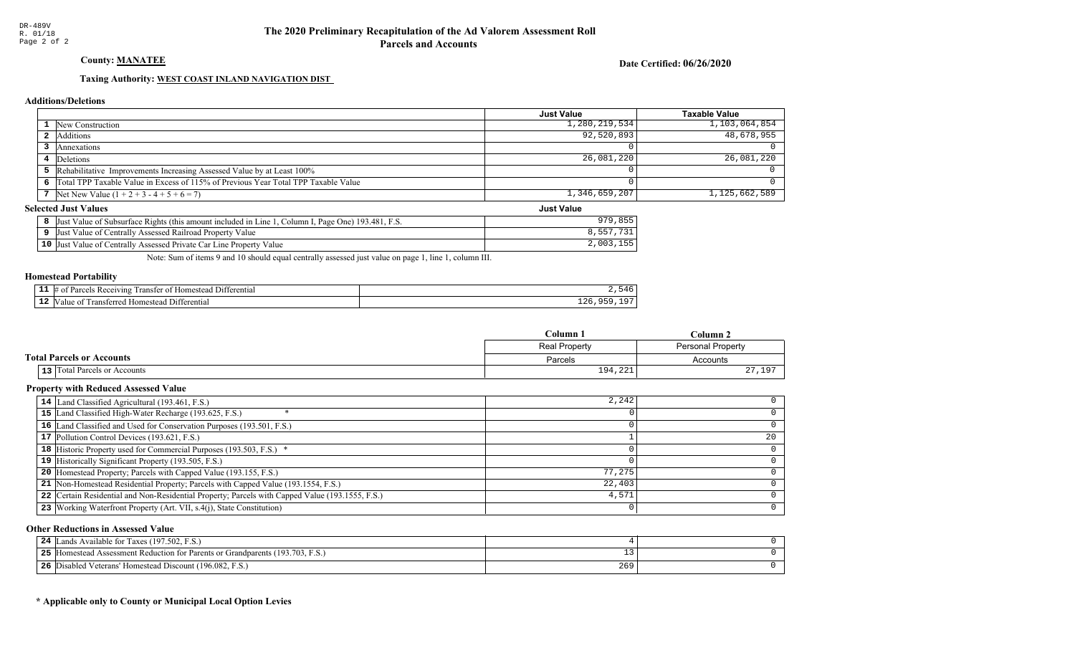County: **MANATEE** 

Date Certified: 06/26/2020

Just Value

#### Taxing Authority: WEST COAST INLAND NAVIGATION DIST

#### Additions/Deletions

|                                                                                      | <b>Just Value</b> | Taxable Value    |
|--------------------------------------------------------------------------------------|-------------------|------------------|
| <b>1</b> New Construction                                                            | 1,280,219,534     | 1, 103, 064, 854 |
| <b>2</b> Additions                                                                   | 92,520,893        | 48,678,955       |
| Annexations                                                                          |                   |                  |
| 4 Deletions                                                                          | 26,081,220        | 26,081,220       |
| 5 Rehabilitative Improvements Increasing Assessed Value by at Least 100%             |                   |                  |
| 6 Total TPP Taxable Value in Excess of 115% of Previous Year Total TPP Taxable Value |                   |                  |
| 7 Net New Value $(1 + 2 + 3 - 4 + 5 + 6 = 7)$                                        | 1,346,659,207     | 1,125,662,589    |

#### **Selected Just Values**

| <sup>1</sup> , Column I, Page One) 193.481, F.S.<br>Value of Subsurface Rights (this amount included in Line 1,<br>Just | , 855<br>979     |
|-------------------------------------------------------------------------------------------------------------------------|------------------|
| Just Value of Centrally Assessed Railroad Property Value                                                                |                  |
| 10 Just Value of Centrally Assessed Private Car Line Property Value                                                     | 155<br>2,003,155 |

Note: Sum of items 9 and 10 should equal centrally assessed just value on page 1, line 1, column III.

#### Homestead Portability

| --   | <b>COLOR</b><br>Receiving<br>10m<br>ranste<br>-111<br>01<br>stea<br><sup>-+</sup> erentia<br> |                              |
|------|-----------------------------------------------------------------------------------------------|------------------------------|
| - 14 | $\sim$<br>enti<br>Transferr<br>ʻalut<br>$-201222$                                             | $\sim$ $\sim$<br>. .<br>____ |

|                                  | Column 1 | Column <sub>2</sub> |  |
|----------------------------------|----------|---------------------|--|
| Real Property                    |          | Personal Property   |  |
| <b>Total Parcels or Accounts</b> | Parcels  | Accounts            |  |
| 13 Total Parcels or Accounts     | 194,221  | 197                 |  |

#### Property with Reduced Assessed Value

| 14 Land Classified Agricultural (193.461, F.S.)                                                 | 2,242  |    |
|-------------------------------------------------------------------------------------------------|--------|----|
| 15 Land Classified High-Water Recharge (193.625, F.S.)                                          |        |    |
| 16 Land Classified and Used for Conservation Purposes (193.501, F.S.)                           |        |    |
| 17 Pollution Control Devices (193.621, F.S.)                                                    |        | 20 |
| 18 Historic Property used for Commercial Purposes (193.503, F.S.) *                             |        |    |
| 19 Historically Significant Property (193.505, F.S.)                                            |        |    |
| <b>20</b> Homestead Property; Parcels with Capped Value (193.155, F.S.)                         | 77,275 |    |
| 21 Non-Homestead Residential Property; Parcels with Capped Value (193.1554, F.S.)               | 22,403 |    |
| 22 Certain Residential and Non-Residential Property; Parcels with Capped Value (193.1555, F.S.) | 4,571  |    |
| 23 Working Waterfront Property (Art. VII, s.4(j), State Constitution)                           |        | 0  |

#### Other Reductions in Assessed Value

| 24 | Lands Available for Taxes (197.502, F.S.)             |               |  |
|----|-------------------------------------------------------|---------------|--|
| 25 | Figure 193.703, F.S.)                                 |               |  |
| 26 | Disabled Veterans' Homestead Discount (196.082, F.S.) | $\sim$<br>265 |  |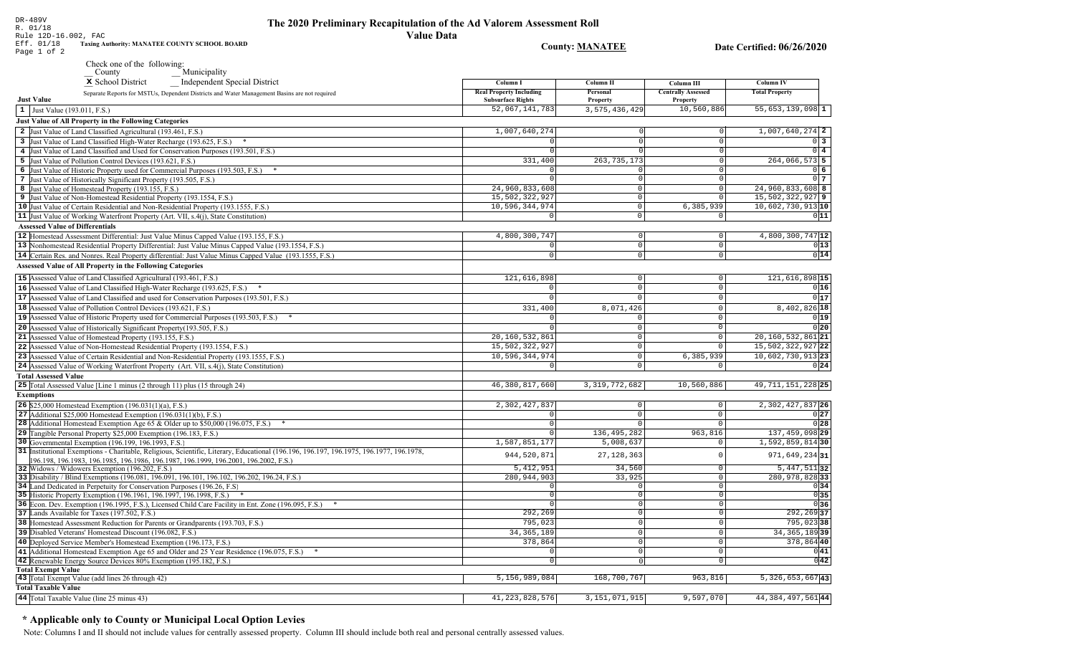|                       | The 2020 Preliminary Recapitulation of the Ad Valorem Assessment Roll |
|-----------------------|-----------------------------------------------------------------------|
|                       | Value Data                                                            |
| E COUNTY SCHOOL BOARD | <b>County: MANATEE</b>                                                |

Date Certified: 06/26/2020

| Municipality<br>County<br>x School District<br><b>Independent Special District</b>                                                                                           | Column I                                   | Column II                  | Column III                 | Column IV                     |
|------------------------------------------------------------------------------------------------------------------------------------------------------------------------------|--------------------------------------------|----------------------------|----------------------------|-------------------------------|
| Separate Reports for MSTUs, Dependent Districts and Water Management Basins are not required                                                                                 | <b>Real Property Including</b>             | Personal                   | <b>Centrally Assessed</b>  | <b>Total Property</b>         |
| <b>Just Value</b>                                                                                                                                                            | <b>Subsurface Rights</b><br>52,067,141,783 | Property<br>3,575,436,429  | Property<br>10,560,886     | $55,653,139,098$ 1            |
| 1 Just Value (193.011, F.S.)                                                                                                                                                 |                                            |                            |                            |                               |
| Just Value of All Property in the Following Categories                                                                                                                       |                                            |                            |                            |                               |
| 2 Just Value of Land Classified Agricultural (193.461, F.S.)                                                                                                                 | 1,007,640,274                              |                            | 0                          | $1,007,640,274$ 2             |
| 3 Just Value of Land Classified High-Water Recharge (193.625, F.S.)                                                                                                          | 0<br>$\Omega$                              |                            | $\overline{0}$             | $0\overline{3}$               |
| 4 Just Value of Land Classified and Used for Conservation Purposes (193.501, F.S.)                                                                                           |                                            |                            | $\circ$<br>$\overline{0}$  | $0\vert 4$<br>$264,066,573$ 5 |
| 5 Just Value of Pollution Control Devices (193.621, F.S.)                                                                                                                    | 331,400<br>$\Omega$                        | 263, 735, 173              | $\overline{0}$             | $0\overline{6}$               |
| 6 Just Value of Historic Property used for Commercial Purposes (193.503, F.S.) *<br>7 Just Value of Historically Significant Property (193.505, F.S.)                        | $\Omega$                                   | $\cap$                     | $\circ$                    | 0 <sub>7</sub>                |
| 8 Just Value of Homestead Property (193.155, F.S.)                                                                                                                           | 24,960,833,608                             | $\Omega$                   | $\circ$                    | 24,960,833,608 8              |
| 9 Just Value of Non-Homestead Residential Property (193.1554, F.S.)                                                                                                          | 15,502,322,927                             | $\overline{0}$             | $\circ$                    | 15,502,322,927 9              |
| 10 Just Value of Certain Residential and Non-Residential Property (193.1555, F.S.)                                                                                           | 10,596,344,974                             | $\Omega$                   | 6,385,939                  | 10,602,730,913 10             |
| 11 Just Value of Working Waterfront Property (Art. VII, s.4(j), State Constitution)                                                                                          | $\mathsf 0$                                | $\mathsf 0$                | $\overline{0}$             | 011                           |
| <b>Assessed Value of Differentials</b>                                                                                                                                       |                                            |                            |                            |                               |
| 12 Homestead Assessment Differential: Just Value Minus Capped Value (193.155, F.S.)                                                                                          | 4,800,300,747                              | $\Omega$                   | $\mathsf 0$                | 4,800,300,747 12              |
| 13 Nonhomestead Residential Property Differential: Just Value Minus Capped Value (193.1554, F.S.)                                                                            | $\mathbf 0$                                | $\mathbb O$                | $\mathbb O$                | 0 13                          |
| 14 Certain Res. and Nonres. Real Property differential: Just Value Minus Capped Value (193.1555, F.S.)                                                                       | $\overline{0}$                             | $\overline{0}$             | $\overline{0}$             | 0 14                          |
| <b>Assessed Value of All Property in the Following Categories</b>                                                                                                            |                                            |                            |                            |                               |
| 15 Assessed Value of Land Classified Agricultural (193.461, F.S.)                                                                                                            | 121,616,898                                | $\mathbb O$                | $\mathsf{O}\xspace$        | 121,616,898 15                |
| 16 Assessed Value of Land Classified High-Water Recharge (193.625, F.S.)                                                                                                     |                                            | $\Omega$                   | $\mathbf{0}$               | 0 16                          |
| 17 Assessed Value of Land Classified and used for Conservation Purposes (193.501, F.S.)                                                                                      | $\Omega$                                   | $\Omega$                   | $\mathsf 0$                | 0 17                          |
| 18 Assessed Value of Pollution Control Devices (193.621, F.S.)                                                                                                               | 331,400                                    | 8,071,426                  | $\overline{0}$             | 8,402,826 18                  |
| 19 Assessed Value of Historic Property used for Commercial Purposes (193.503, F.S.)                                                                                          | $\Omega$                                   | $\Omega$                   | $\mathbf{0}$               | 0 19                          |
| 20 Assessed Value of Historically Significant Property (193.505, F.S.)                                                                                                       | $\Omega$                                   | $\Omega$                   | $\mathbf 0$                | 0 20                          |
| 21 Assessed Value of Homestead Property (193.155, F.S.)                                                                                                                      | 20,160,532,861                             | $\Omega$                   | $\mathsf{O}\xspace$        | 20, 160, 532, 861 21          |
| 22 Assessed Value of Non-Homestead Residential Property (193.1554, F.S.)                                                                                                     | 15,502,322,927                             | $\Omega$                   | $\Omega$                   | 15,502,322,927 22             |
| 23 Assessed Value of Certain Residential and Non-Residential Property (193.1555, F.S.)                                                                                       | 10,596,344,974                             | $\circ$                    | 6,385,939                  | 10,602,730,913 23             |
| 24 Assessed Value of Working Waterfront Property (Art. VII, s.4(j), State Constitution)                                                                                      | $\mathbf 0$                                | $\mathbf 0$                | 0                          | 0 24                          |
| <b>Total Assessed Value</b>                                                                                                                                                  |                                            |                            |                            |                               |
| 25 Total Assessed Value [Line 1 minus (2 through 11) plus (15 through 24)                                                                                                    | 46,380,817,660                             | 3, 319, 772, 682           | 10,560,886                 | 49, 711, 151, 228 25          |
| <b>Exemptions</b>                                                                                                                                                            |                                            |                            |                            |                               |
| 26 \$25,000 Homestead Exemption (196.031(1)(a), F.S.)                                                                                                                        | 2,302,427,837                              | $\circ$                    | $\circ$                    | 2, 302, 427, 837 26           |
| 27 Additional $$25,000$ Homestead Exemption (196.031(1)(b), F.S.)                                                                                                            | 0                                          | $\overline{0}$             | $\mathbf{0}$               | 0 27                          |
| 28 Additional Homestead Exemption Age 65 & Older up to \$50,000 (196.075, F.S.)                                                                                              | $\overline{0}$                             | $\overline{0}$             | $\overline{0}$             | 0 28                          |
| 29 Tangible Personal Property \$25,000 Exemption (196.183, F.S.)                                                                                                             | $\mathsf 0$                                | 136, 495, 282              | 963,816                    | 137, 459, 098 29              |
| 30 Governmental Exemption (196.199, 196.1993, F.S.)                                                                                                                          | 1,587,851,177                              | 5,008,637                  | $\mathbf 0$                | $1,592,859,814$ 30            |
| 31 Institutional Exemptions - Charitable, Religious, Scientific, Literary, Educational (196.196.197, 196.1975, 196.1977, 196.1978,                                           | 944,520,871                                | 27, 128, 363               | $\Omega$                   | 971,649,234 31                |
| 196.198, 196.1983, 196.1985, 196.1986, 196.1987, 196.1999, 196.2001, 196.2002, F.S.)                                                                                         |                                            |                            |                            |                               |
| 32 Widows / Widowers Exemption (196.202, F.S.)                                                                                                                               | 5, 412, 951                                | 34,560                     | $\mathbf 0$                | $5,447,511$ 32                |
| 33 Disability / Blind Exemptions (196.081, 196.091, 196.101, 196.102, 196.202, 196.24, F.S.)                                                                                 | 280, 944, 903                              | 33,925                     | $\mathsf 0$                | 280,978,828 33                |
| 34 Land Dedicated in Perpetuity for Conservation Purposes (196.26, F.S.)                                                                                                     | $\mathbf 0$<br>$\mathbf 0$                 | $\Omega$<br>$\overline{0}$ | $\mathbb O$<br>$\mathbf 0$ | 0 34<br>0 35                  |
| 35 Historic Property Exemption (196.1961, 196.1997, 196.1998, F.S.) *<br>36 Econ. Dev. Exemption (196.1995, F.S.), Licensed Child Care Facility in Ent. Zone (196.095, F.S.) | $\overline{0}$                             | $\Omega$                   | $\overline{0}$             | 0 36                          |
| 37 Lands Available for Taxes (197.502, F.S.)                                                                                                                                 | 292,269                                    | $\Omega$                   | $\mathbb O$                | $292, 269$ 37                 |
| 38 Homestead Assessment Reduction for Parents or Grandparents (193.703, F.S.)                                                                                                | 795,023                                    | $\Omega$                   | $\overline{0}$             | 795,02338                     |
| 39 Disabled Veterans' Homestead Discount (196.082, F.S.)                                                                                                                     | 34, 365, 189                               | 0                          | $\mathbb O$                | 34, 365, 189 39               |
| 40 Deployed Service Member's Homestead Exemption (196.173, F.S.)                                                                                                             | 378,864                                    | 0                          | $\mathsf{O}\xspace$        | 378,864 40                    |
| 41 Additional Homestead Exemption Age 65 and Older and 25 Year Residence (196.075, F.S.)                                                                                     |                                            | $\Omega$                   | $\mathbf 0$                | 0 41                          |
| 42 Renewable Energy Source Devices 80% Exemption (195.182, F.S.)                                                                                                             | $\mathbb O$                                | $\Omega$                   | $\mathbf 0$                | $0\overline{42}$              |
| <b>Total Exempt Value</b>                                                                                                                                                    |                                            |                            |                            |                               |
| 43 Total Exempt Value (add lines 26 through 42)                                                                                                                              | 5,156,989,084                              | 168,700,767                | 963,816                    | $5,326,653,667$ <sup>43</sup> |
| <b>Total Taxable Value</b>                                                                                                                                                   |                                            |                            |                            |                               |
| 44 Total Taxable Value (line 25 minus 43)                                                                                                                                    | 41, 223, 828, 576                          | 3, 151, 071, 915           | 9,597,070                  | 44, 384, 497, 561 44          |

## \* Applicable only to County or Municipal Local Option Levies

Note: Columns I and II should not include values for centrally assessed property. Column III should include both real and personal centrally assessed values.

DR-489V<br>R. 01/18<br>Rule 12D-16.002, FAC<br>Eff. 01/18 Taxing Authority: MANATEE<br>Page 1 of 2